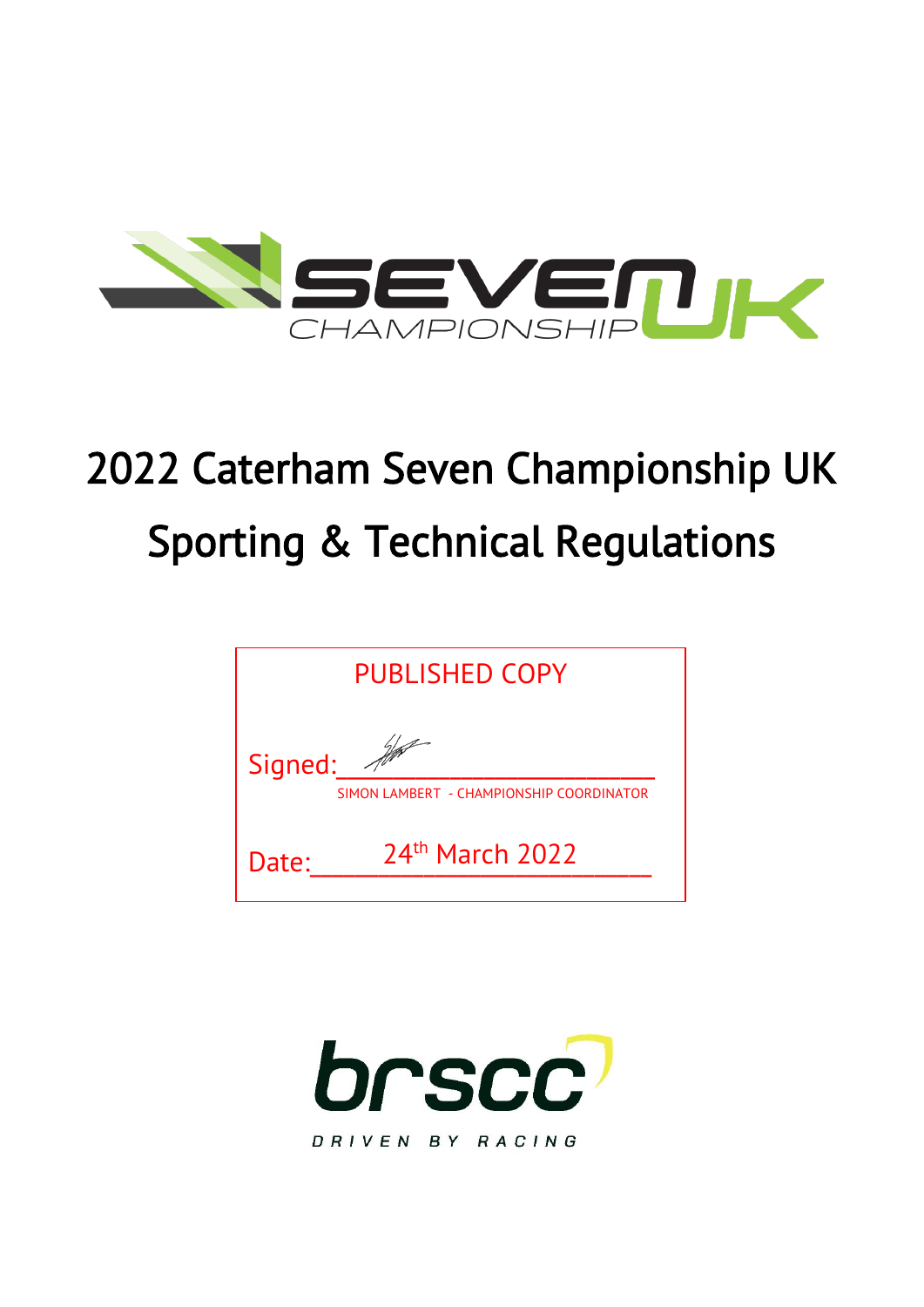

# 2022 Caterham Seven Championship UK Sporting & Technical Regulations

| <b>PUBLISHED COPY</b> |                                          |  |  |
|-----------------------|------------------------------------------|--|--|
| Signed:               | SIMON LAMBERT - CHAMPIONSHIP COORDINATOR |  |  |
| Date:                 | 24th March 2022                          |  |  |

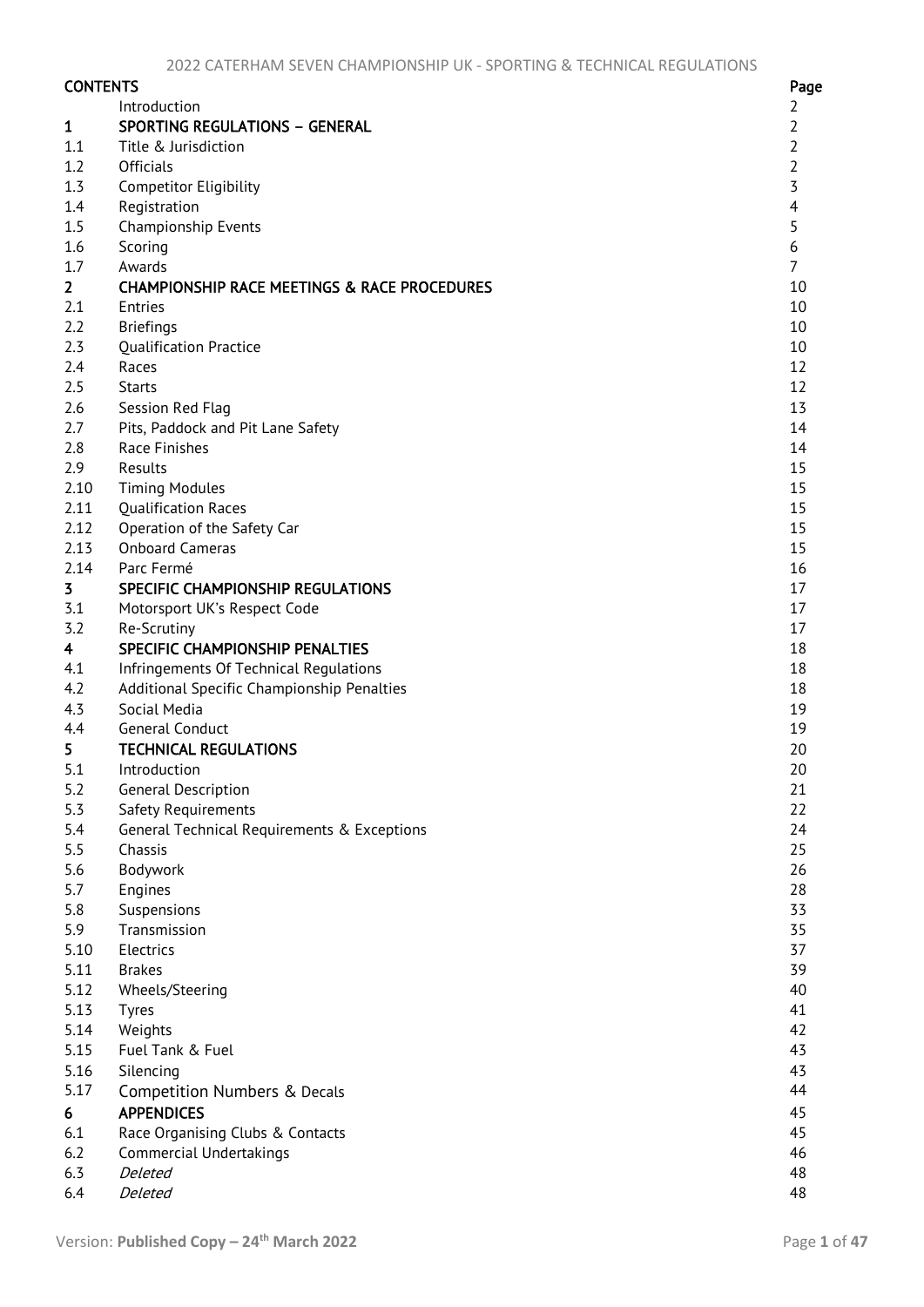| <b>CONTENTS</b> |                                                         | Page                    |
|-----------------|---------------------------------------------------------|-------------------------|
|                 | Introduction                                            | 2                       |
| 1               | <b>SPORTING REGULATIONS - GENERAL</b>                   | $\overline{2}$          |
| 1.1             | Title & Jurisdiction                                    | $\overline{2}$          |
| 1.2             | <b>Officials</b>                                        | $\overline{2}$          |
| 1.3             | Competitor Eligibility                                  | $\overline{3}$          |
| 1.4             | Registration                                            | $\overline{\mathbf{4}}$ |
| 1.5             | Championship Events                                     | 5                       |
| 1.6             | Scoring                                                 | 6                       |
| 1.7             | Awards                                                  | $\overline{7}$          |
| 2 <sup>1</sup>  | <b>CHAMPIONSHIP RACE MEETINGS &amp; RACE PROCEDURES</b> | 10                      |
| 2.1             | Entries                                                 | 10                      |
| 2.2             | <b>Briefings</b>                                        | 10                      |
| 2.3             | <b>Qualification Practice</b>                           | 10                      |
| 2.4             | Races                                                   | 12                      |
| 2.5             | <b>Starts</b>                                           | 12                      |
| 2.6             | Session Red Flag                                        | 13                      |
| 2.7             | Pits, Paddock and Pit Lane Safety                       | 14                      |
| 2.8             | Race Finishes                                           | 14                      |
| 2.9             | Results                                                 | 15                      |
| 2.10            | <b>Timing Modules</b>                                   | 15                      |
| 2.11            | <b>Qualification Races</b>                              | 15                      |
| 2.12            | Operation of the Safety Car                             | 15                      |
| 2.13            | <b>Onboard Cameras</b>                                  | 15                      |
| 2.14            | Parc Fermé                                              | 16                      |
| $\overline{3}$  | SPECIFIC CHAMPIONSHIP REGULATIONS                       | 17                      |
| 3.1             | Motorsport UK's Respect Code                            | 17                      |
| 3.2             | Re-Scrutiny                                             | 17                      |
| $\overline{4}$  | SPECIFIC CHAMPIONSHIP PENALTIES                         | 18                      |
| 4.1             | Infringements Of Technical Regulations                  | 18                      |
| 4.2             | Additional Specific Championship Penalties              | 18                      |
| 4.3             | Social Media                                            | 19                      |
| 4.4             | <b>General Conduct</b>                                  | 19                      |
| 5               | <b>TECHNICAL REGULATIONS</b>                            | 20                      |
| 5.1             | Introduction                                            | 20                      |
| 5.2             | General Description                                     | 21                      |
| 5.3             | Safety Requirements                                     | 22                      |
| 5.4             | General Technical Requirements & Exceptions             | 24                      |
| 5.5             | Chassis                                                 | 25                      |
| 5.6             | Bodywork                                                | 26                      |
| 5.7             | Engines                                                 | 28                      |
| 5.8             | Suspensions                                             | 33                      |
| 5.9             | Transmission                                            | 35                      |
| 5.10            | Electrics                                               | 37                      |
| 5.11            | <b>Brakes</b>                                           | 39                      |
| 5.12            | Wheels/Steering                                         | 40                      |
| 5.13            | <b>Tyres</b>                                            | 41                      |
| 5.14            | Weights                                                 | 42                      |
| 5.15            | Fuel Tank & Fuel                                        | 43                      |
| 5.16            | Silencing                                               | 43                      |
| 5.17            | Competition Numbers & Decals                            | 44                      |
| 6               | <b>APPENDICES</b>                                       | 45                      |
| 6.1             | Race Organising Clubs & Contacts                        | 45                      |
| 6.2             | <b>Commercial Undertakings</b>                          | 46                      |
| 6.3             | Deleted                                                 | 48                      |
| 6.4             | Deleted                                                 | 48                      |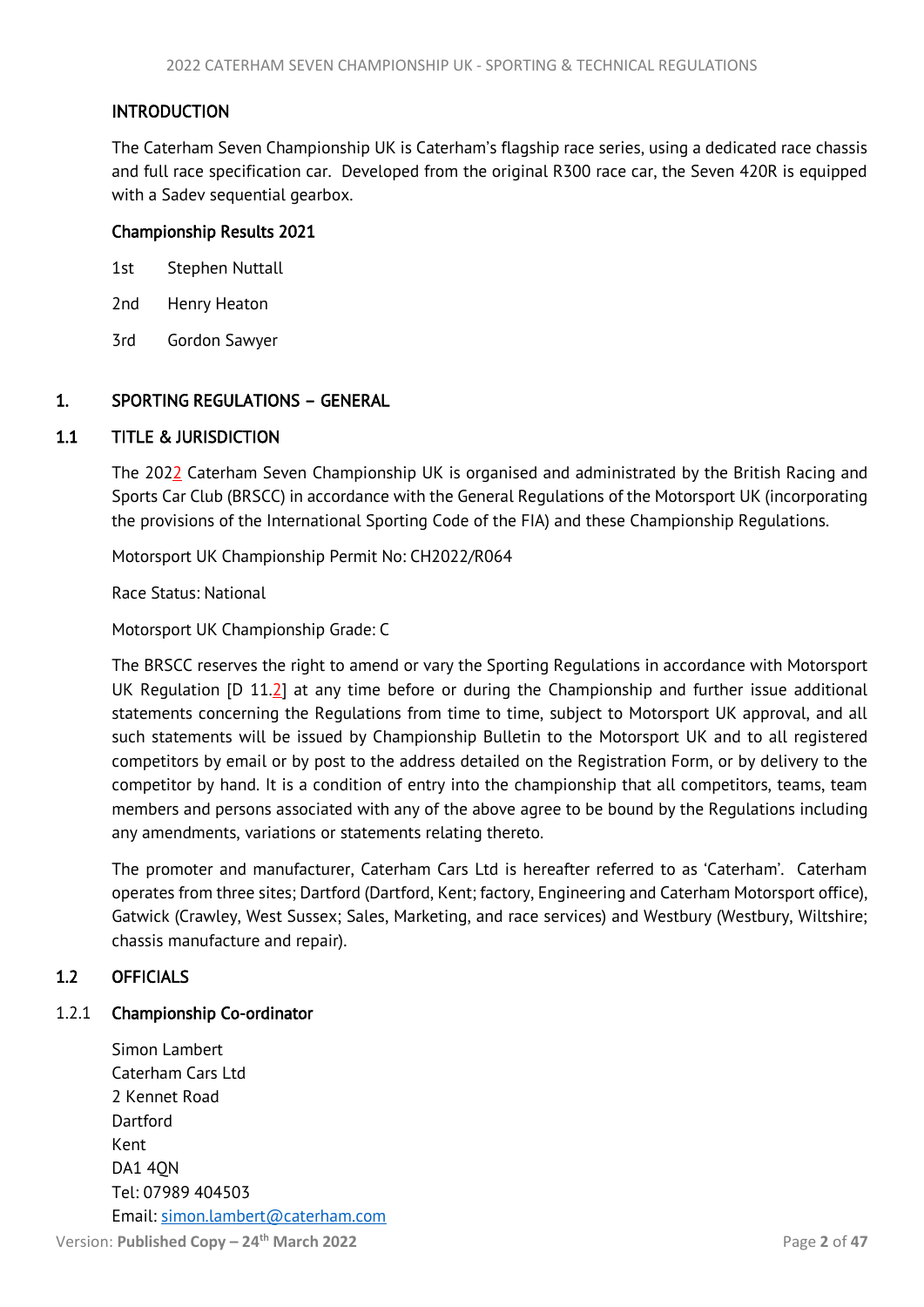# <span id="page-2-4"></span><span id="page-2-0"></span>INTRODUCTION

The Caterham Seven Championship UK is Caterham's flagship race series, using a dedicated race chassis and full race specification car. Developed from the original R300 race car, the Seven 420R is equipped with a Sadev sequential gearbox.

## Championship Results 2021

- 1st Stephen Nuttall
- 2nd Henry Heaton
- 3rd Gordon Sawyer

# <span id="page-2-1"></span>1. SPORTING REGULATIONS – GENERAL

# 1.1 TITLE & JURISDICTION

<span id="page-2-2"></span>The 2022 Caterham Seven Championship UK is organised and administrated by the British Racing and Sports Car Club (BRSCC) in accordance with the General Regulations of the Motorsport UK (incorporating the provisions of the International Sporting Code of the FIA) and these Championship Regulations.

Motorsport UK Championship Permit No: CH2022/R064

Race Status: National

Motorsport UK Championship Grade: C

The BRSCC reserves the right to amend or vary the Sporting Regulations in accordance with Motorsport UK Regulation  $[D 11.2]$  at any time before or during the Championship and further issue additional statements concerning the Regulations from time to time, subject to Motorsport UK approval, and all such statements will be issued by Championship Bulletin to the Motorsport UK and to all registered competitors by email or by post to the address detailed on the Registration Form, or by delivery to the competitor by hand. It is a condition of entry into the championship that all competitors, teams, team members and persons associated with any of the above agree to be bound by the Regulations including any amendments, variations or statements relating thereto.

The promoter and manufacturer, Caterham Cars Ltd is hereafter referred to as 'Caterham'. Caterham operates from three sites; Dartford (Dartford, Kent; factory, Engineering and Caterham Motorsport office), Gatwick (Crawley, West Sussex; Sales, Marketing, and race services) and Westbury (Westbury, Wiltshire; chassis manufacture and repair).

# <span id="page-2-3"></span>1.2 OFFICIALS

# 1.2.1 Championship Co-ordinator

Simon Lambert Caterham Cars Ltd 2 Kennet Road **Dartford** Kent DA1 4QN Tel: 07989 404503 Email: [simon.lambert@caterham.com](mailto:simon.lambert@caterham.com)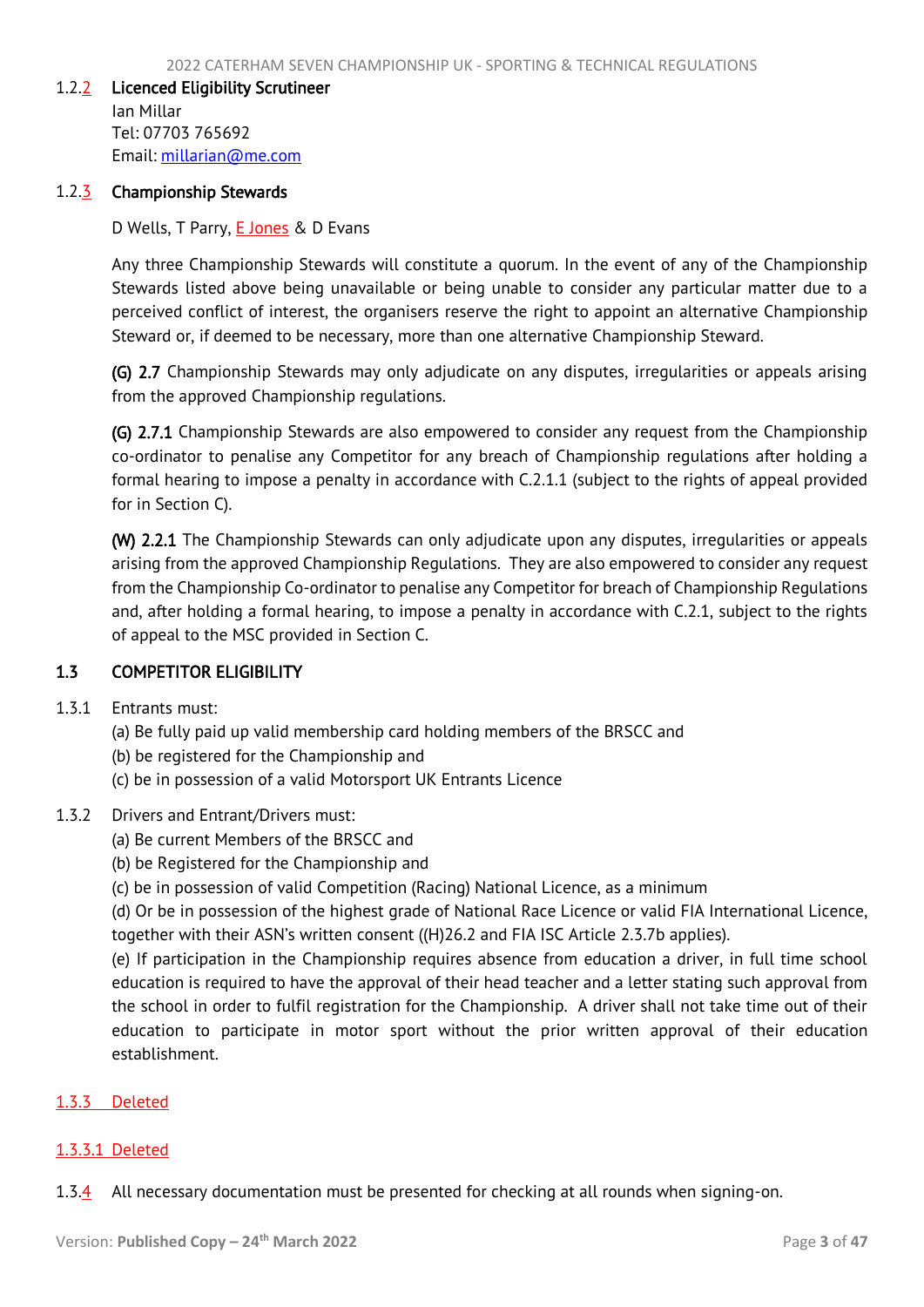#### <span id="page-3-1"></span>1.2.2 Licenced Eligibility Scrutineer

Ian Millar Tel: 07703 765692 Email: [millarian@me.com](mailto:millarian@me.com)

## 1.2.3 Championship Stewards

D Wells, T Parry, **E Jones** & D Evans

Any three Championship Stewards will constitute a quorum. In the event of any of the Championship Stewards listed above being unavailable or being unable to consider any particular matter due to a perceived conflict of interest, the organisers reserve the right to appoint an alternative Championship Steward or, if deemed to be necessary, more than one alternative Championship Steward.

(G) 2.7 Championship Stewards may only adjudicate on any disputes, irregularities or appeals arising from the approved Championship regulations.

(G) 2.7.1 Championship Stewards are also empowered to consider any request from the Championship co-ordinator to penalise any Competitor for any breach of Championship regulations after holding a formal hearing to impose a penalty in accordance with C.2.1.1 (subject to the rights of appeal provided for in Section C).

(W) 2.2.1 The Championship Stewards can only adjudicate upon any disputes, irregularities or appeals arising from the approved Championship Regulations. They are also empowered to consider any request from the Championship Co-ordinator to penalise any Competitor for breach of Championship Regulations and, after holding a formal hearing, to impose a penalty in accordance with C.2.1, subject to the rights of appeal to the MSC provided in Section C.

# <span id="page-3-0"></span>1.3 COMPETITOR ELIGIBILITY

- 1.3.1 Entrants must:
	- (a) Be fully paid up valid membership card holding members of the BRSCC and
	- (b) be registered for the Championship and
	- (c) be in possession of a valid Motorsport UK Entrants Licence

## 1.3.2 Drivers and Entrant/Drivers must:

- (a) Be current Members of the BRSCC and
- (b) be Registered for the Championship and
- (c) be in possession of valid Competition (Racing) National Licence, as a minimum

(d) Or be in possession of the highest grade of National Race Licence or valid FIA International Licence, together with their ASN's written consent ((H)26.2 and FIA ISC Article 2.3.7b applies).

(e) If participation in the Championship requires absence from education a driver, in full time school education is required to have the approval of their head teacher and a letter stating such approval from the school in order to fulfil registration for the Championship. A driver shall not take time out of their education to participate in motor sport without the prior written approval of their education establishment.

## 1.3.3 Deleted

## 1.3.3.1 Deleted

1.3.4 All necessary documentation must be presented for checking at all rounds when signing-on.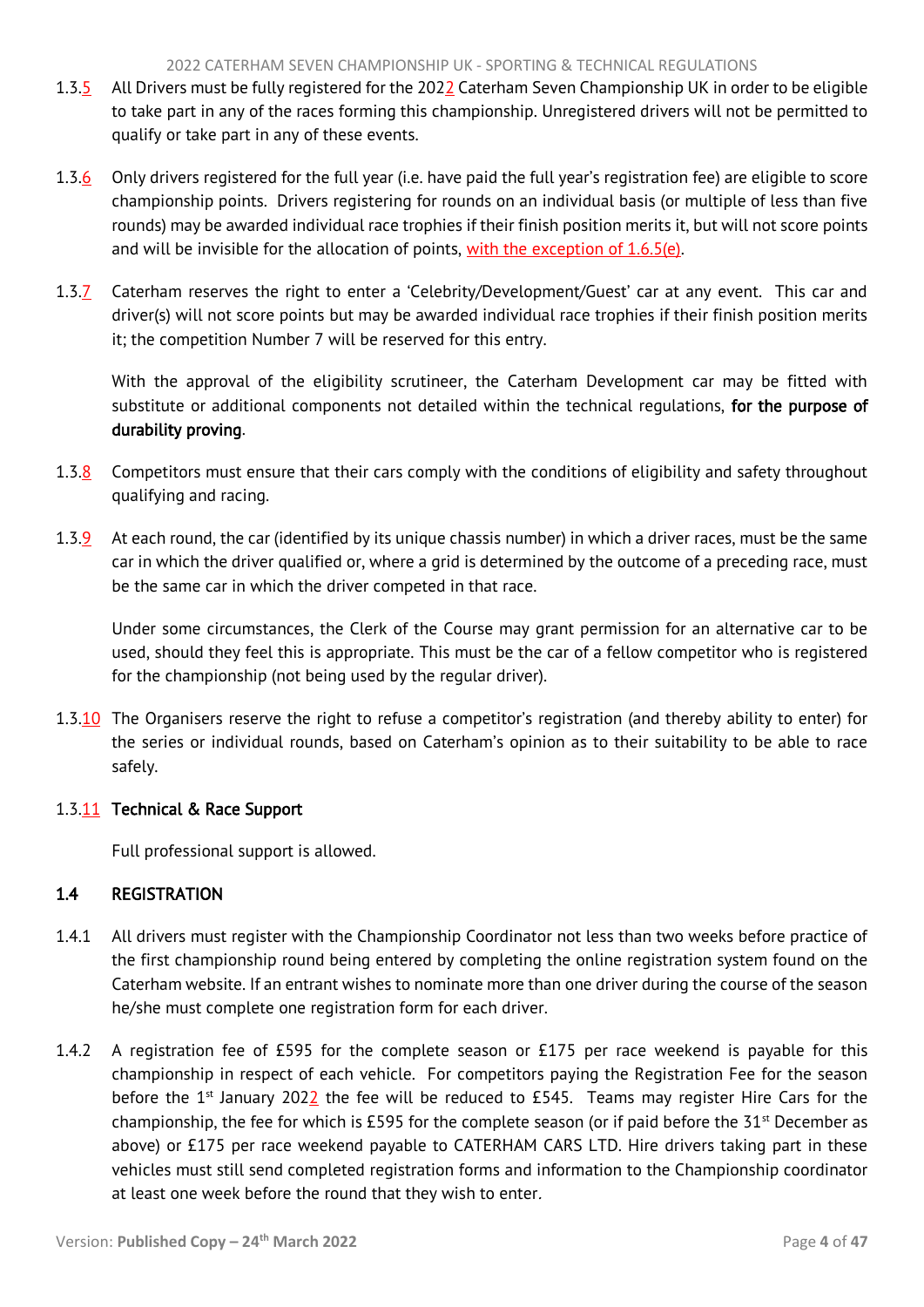- <span id="page-4-1"></span>1.3.5 All Drivers must be fully registered for the 2022 Caterham Seven Championship UK in order to be eligible to take part in any of the races forming this championship. Unregistered drivers will not be permitted to qualify or take part in any of these events.
- 1.3.6 Only drivers registered for the full year (i.e. have paid the full year's registration fee) are eligible to score championship points. Drivers registering for rounds on an individual basis (or multiple of less than five rounds) may be awarded individual race trophies if their finish position merits it, but will not score points and will be invisible for the allocation of points, with the exception of 1.6.5(e).
- 1.3.7 Caterham reserves the right to enter a 'Celebrity/Development/Guest' car at any event. This car and driver(s) will not score points but may be awarded individual race trophies if their finish position merits it; the competition Number 7 will be reserved for this entry.

With the approval of the eligibility scrutineer, the Caterham Development car may be fitted with substitute or additional components not detailed within the technical regulations, for the purpose of durability proving.

- 1.3.8 Competitors must ensure that their cars comply with the conditions of eligibility and safety throughout qualifying and racing.
- 1.3.9 At each round, the car (identified by its unique chassis number) in which a driver races, must be the same car in which the driver qualified or, where a grid is determined by the outcome of a preceding race, must be the same car in which the driver competed in that race.

Under some circumstances, the Clerk of the Course may grant permission for an alternative car to be used, should they feel this is appropriate. This must be the car of a fellow competitor who is registered for the championship (not being used by the regular driver).

1.3.10 The Organisers reserve the right to refuse a competitor's registration (and thereby ability to enter) for the series or individual rounds, based on Caterham's opinion as to their suitability to be able to race safely.

# 1.3.11 Technical & Race Support

<span id="page-4-0"></span>Full professional support is allowed.

# 1.4 REGISTRATION

- 1.4.1 All drivers must register with the Championship Coordinator not less than two weeks before practice of the first championship round being entered by completing the online registration system found on the Caterham website. If an entrant wishes to nominate more than one driver during the course of the season he/she must complete one registration form for each driver.
- 1.4.2 A registration fee of £595 for the complete season or £175 per race weekend is payable for this championship in respect of each vehicle. For competitors paying the Registration Fee for the season before the 1<sup>st</sup> January 2022 the fee will be reduced to £545. Teams may register Hire Cars for the championship, the fee for which is £595 for the complete season (or if paid before the  $31<sup>st</sup>$  December as above) or £175 per race weekend payable to CATERHAM CARS LTD. Hire drivers taking part in these vehicles must still send completed registration forms and information to the Championship coordinator at least one week before the round that they wish to enter.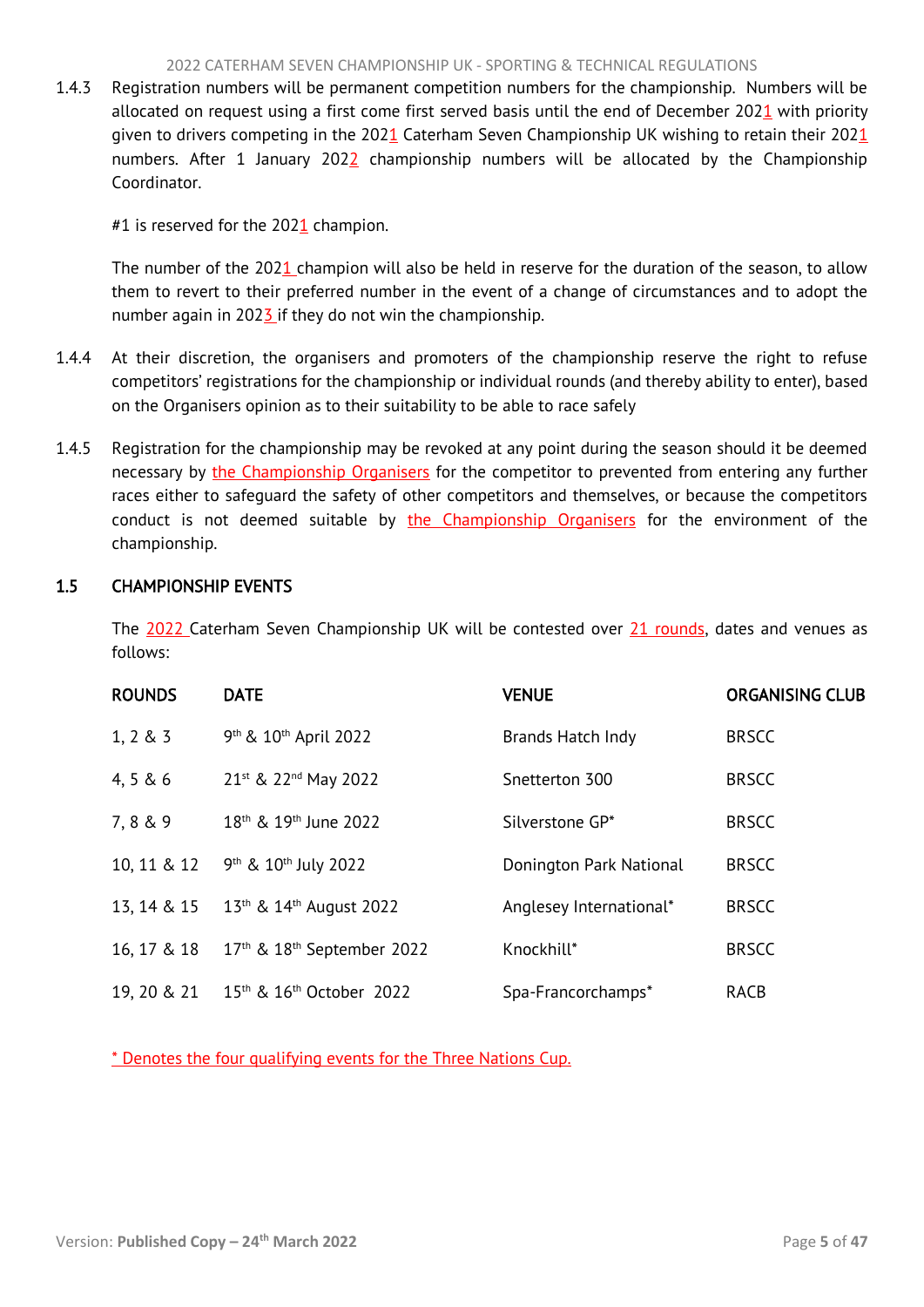#### 2022 CATERHAM SEVEN CHAMPIONSHIP UK - SPORTING & TECHNICAL REGULATIONS

<span id="page-5-1"></span>1.4.3 Registration numbers will be permanent competition numbers for the championship. Numbers will be allocated on request using a first come first served basis until the end of December 2021 with priority given to drivers competing in the 2021 Caterham Seven Championship UK wishing to retain their 2021 numbers. After 1 January 202 $2$  championship numbers will be allocated by the Championship Coordinator.

#1 is reserved for the  $2021$  champion.

The number of the 2021 champion will also be held in reserve for the duration of the season, to allow them to revert to their preferred number in the event of a change of circumstances and to adopt the number again in 2023 if they do not win the championship.

- 1.4.4 At their discretion, the organisers and promoters of the championship reserve the right to refuse competitors' registrations for the championship or individual rounds (and thereby ability to enter), based on the Organisers opinion as to their suitability to be able to race safely
- 1.4.5 Registration for the championship may be revoked at any point during the season should it be deemed necessary by the Championship Organisers for the competitor to prevented from entering any further races either to safeguard the safety of other competitors and themselves, or because the competitors conduct is not deemed suitable by the Championship Organisers for the environment of the championship.

# <span id="page-5-0"></span>1.5 CHAMPIONSHIP EVENTS

The 2022 Caterham Seven Championship UK will be contested over 21 rounds, dates and venues as follows:

| <b>ROUNDS</b> | <b>DATE</b>                                      | <b>VENUE</b>            | <b>ORGANISING CLUB</b> |
|---------------|--------------------------------------------------|-------------------------|------------------------|
| $1, 2 \& 3$   | 9 <sup>th</sup> & 10 <sup>th</sup> April 2022    | Brands Hatch Indy       | <b>BRSCC</b>           |
| 4, 5 & 6      | 21st & 22nd May 2022                             | Snetterton 300          | <b>BRSCC</b>           |
| 7,8 & 9       | 18 <sup>th</sup> & 19 <sup>th</sup> June 2022    | Silverstone GP*         | <b>BRSCC</b>           |
| 10, 11 & 12   | 9 <sup>th</sup> & 10 <sup>th</sup> July 2022     | Donington Park National | <b>BRSCC</b>           |
| 13, 14 & 15   | $13th$ & $14th$ August 2022                      | Anglesey International* | <b>BRSCC</b>           |
| 16, 17 & 18   | $17th$ & $18th$ September 2022                   | Knockhill*              | <b>BRSCC</b>           |
| 19, 20 & 21   | 15 <sup>th</sup> & 16 <sup>th</sup> October 2022 | Spa-Francorchamps*      | RACB                   |

\* Denotes the four qualifying events for the Three Nations Cup.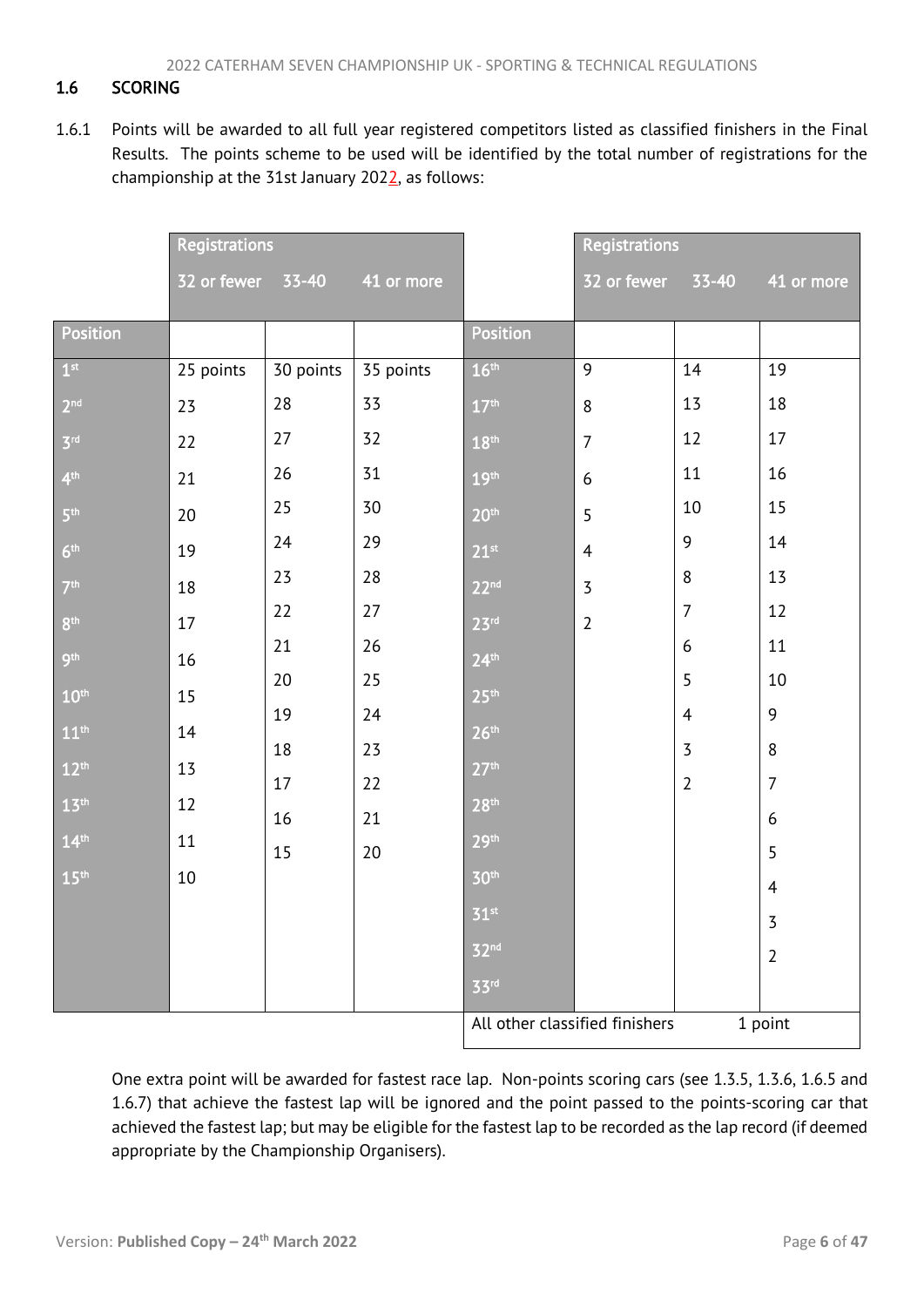# <span id="page-6-1"></span><span id="page-6-0"></span>1.6 SCORING

1.6.1 Points will be awarded to all full year registered competitors listed as classified finishers in the Final Results. The points scheme to be used will be identified by the total number of registrations for the championship at the 31st January 202 $\frac{2}{3}$ , as follows:

|                  | <b>Registrations</b> |           | <b>Registrations</b> |                                |                |                |                  |
|------------------|----------------------|-----------|----------------------|--------------------------------|----------------|----------------|------------------|
|                  | 32 or fewer 33-40    |           | 41 or more           |                                | 32 or fewer    | 33-40          | 41 or more       |
| Position         |                      |           |                      | Position                       |                |                |                  |
| 1 <sup>st</sup>  | 25 points            | 30 points | 35 points            | 16 <sup>th</sup>               | 9              | 14             | 19               |
| 2 <sup>nd</sup>  | 23                   | 28        | 33                   | 17 <sup>th</sup>               | $8\,$          | 13             | 18               |
| 3 <sup>rd</sup>  | 22                   | 27        | 32                   | 18 <sup>th</sup>               | $\overline{7}$ | 12             | 17               |
| 4 <sup>th</sup>  | 21                   | 26        | 31                   | 19 <sup>th</sup>               | 6              | 11             | 16               |
| 5 <sup>th</sup>  | $20\,$               | 25        | 30                   | 20 <sup>th</sup>               | 5              | 10             | 15               |
| 6 <sup>th</sup>  | 19                   | 24        | 29                   | 21 <sup>st</sup>               | $\overline{4}$ | 9              | 14               |
| 7 <sup>th</sup>  | 18                   | 23        | 28                   | 22 <sup>nd</sup>               | $\overline{3}$ | $\,8\,$        | 13               |
| 8 <sup>th</sup>  | 17                   | 22        | 27                   | 23 <sup>rd</sup>               | $\overline{2}$ | $\overline{7}$ | 12               |
| 9 <sup>th</sup>  | $16\,$               | 21        | 26                   | 24 <sup>th</sup>               |                | 6              | 11               |
| 10 <sup>th</sup> | 15                   | 20        | 25                   | 25 <sup>th</sup>               |                | 5              | 10               |
| 11 <sup>th</sup> | 14                   | 19        | 24                   | 26 <sup>th</sup>               |                | $\overline{4}$ | 9                |
| 12 <sup>th</sup> | 13                   | 18        | 23                   | 27 <sup>th</sup>               |                | $\overline{3}$ | 8                |
| 13 <sup>th</sup> | 12                   | 17        | 22                   | 28 <sup>th</sup>               |                | $\overline{2}$ | $\overline{7}$   |
|                  |                      | 16        | 21                   |                                |                |                | $\boldsymbol{6}$ |
| 14 <sup>th</sup> | 11                   | 15        | 20                   | 29 <sup>th</sup>               |                |                | 5                |
| 15 <sup>th</sup> | 10                   |           |                      | 30 <sup>th</sup>               |                |                | $\overline{4}$   |
|                  |                      |           |                      | 51 <sup>st</sup>               |                |                | $\overline{3}$   |
|                  |                      |           |                      | 32 <sup>nd</sup>               |                |                | $\overline{2}$   |
|                  |                      |           |                      | 33rd                           |                |                |                  |
|                  |                      |           |                      | All other classified finishers |                |                | 1 point          |

One extra point will be awarded for fastest race lap. Non-points scoring cars (see 1.3.5, 1.3.6, 1.6.5 and 1.6.7) that achieve the fastest lap will be ignored and the point passed to the points-scoring car that achieved the fastest lap; but may be eligible for the fastest lap to be recorded as the lap record (if deemed appropriate by the Championship Organisers).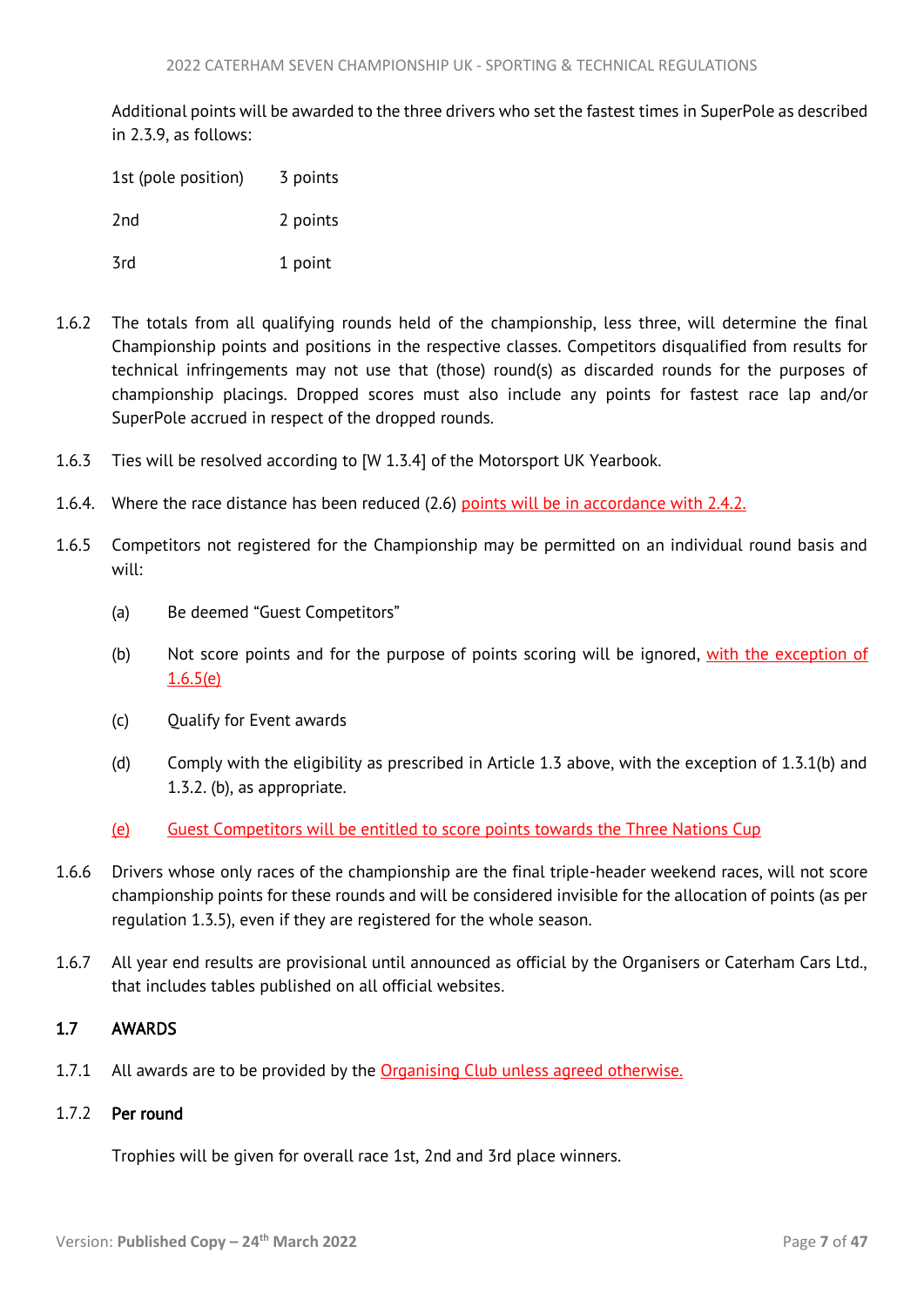<span id="page-7-1"></span>Additional points will be awarded to the three drivers who set the fastest times in SuperPole as described in 2.3.9, as follows:

| 1st (pole position) | 3 points |
|---------------------|----------|
| 2nd                 | 2 points |
| 3rd                 | 1 point  |

- 1.6.2 The totals from all qualifying rounds held of the championship, less three, will determine the final Championship points and positions in the respective classes. Competitors disqualified from results for technical infringements may not use that (those) round(s) as discarded rounds for the purposes of championship placings. Dropped scores must also include any points for fastest race lap and/or SuperPole accrued in respect of the dropped rounds.
- 1.6.3 Ties will be resolved according to [W 1.3.4] of the Motorsport UK Yearbook.
- 1.6.4. Where the race distance has been reduced (2.6) points will be in accordance with 2.4.2.
- 1.6.5 Competitors not registered for the Championship may be permitted on an individual round basis and will:
	- (a) Be deemed "Guest Competitors"
	- (b) Not score points and for the purpose of points scoring will be ignored, with the exception of 1.6.5(e)
	- (c) Qualify for Event awards
	- (d) Comply with the eligibility as prescribed in Article 1.3 above, with the exception of 1.3.1(b) and 1.3.2. (b), as appropriate.
	- (e) Guest Competitors will be entitled to score points towards the Three Nations Cup
- 1.6.6 Drivers whose only races of the championship are the final triple-header weekend races, will not score championship points for these rounds and will be considered invisible for the allocation of points (as per regulation 1.3.5), even if they are registered for the whole season.
- 1.6.7 All year end results are provisional until announced as official by the Organisers or Caterham Cars Ltd., that includes tables published on all official websites.

## <span id="page-7-0"></span>1.7 AWARDS

1.7.1 All awards are to be provided by the Organising Club unless agreed otherwise.

## 1.7.2 Per round

Trophies will be given for overall race 1st, 2nd and 3rd place winners.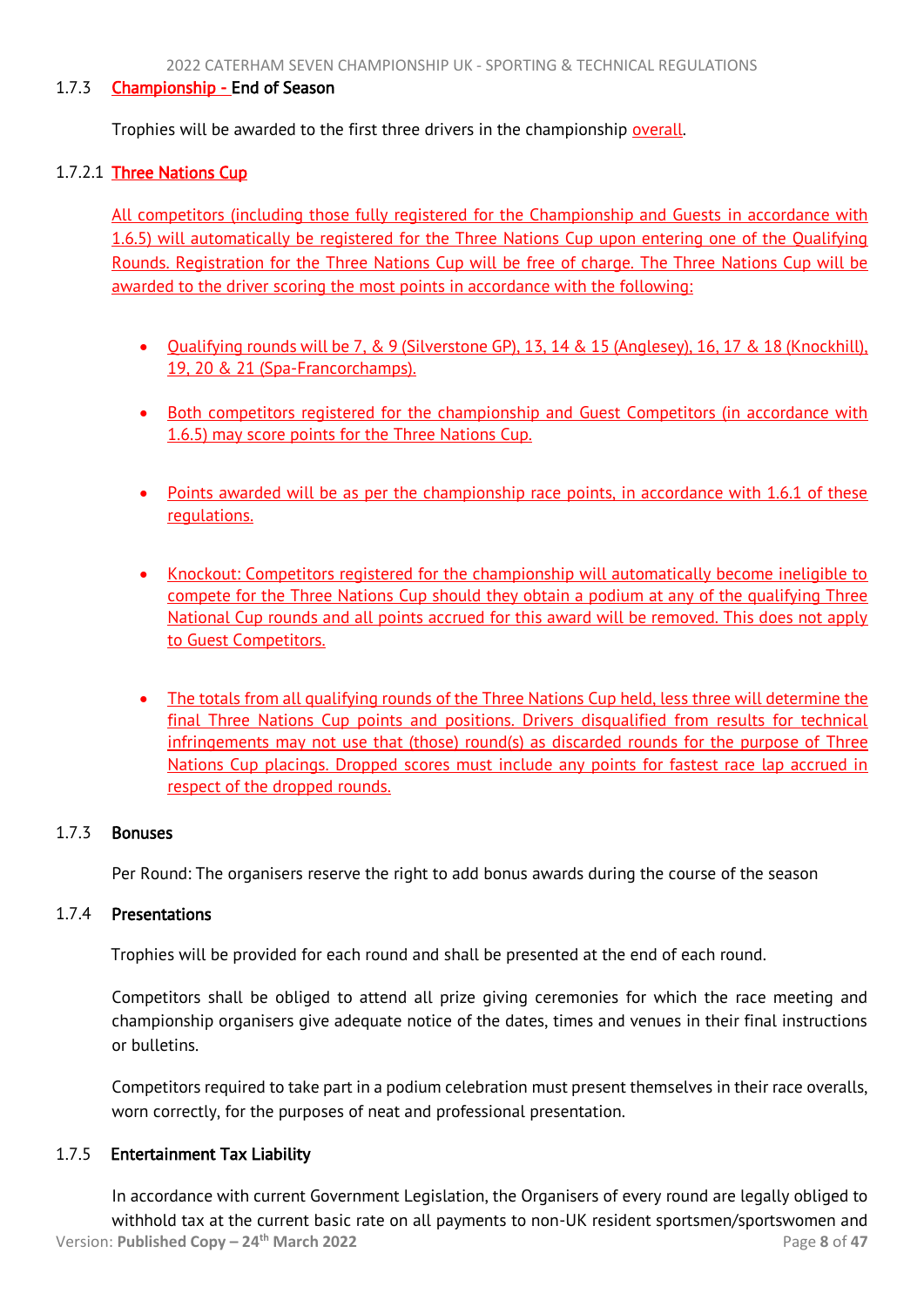## 1.7.3 Championship - End of Season

Trophies will be awarded to the first three drivers in the championship overall.

## 1.7.2.1 Three Nations Cup

All competitors (including those fully registered for the Championship and Guests in accordance with 1.6.5) will automatically be registered for the Three Nations Cup upon entering one of the Qualifying Rounds. Registration for the Three Nations Cup will be free of charge. The Three Nations Cup will be awarded to the driver scoring the most points in accordance with the following:

- Qualifying rounds will be 7, & 9 (Silverstone GP), 13, 14 & 15 (Anglesey), 16, 17 & 18 (Knockhill), 19, 20 & 21 (Spa-Francorchamps).
- Both competitors registered for the championship and Guest Competitors (in accordance with 1.6.5) may score points for the Three Nations Cup.
- Points awarded will be as per the championship race points, in accordance with 1.6.1 of these regulations.
- Knockout: Competitors registered for the championship will automatically become ineligible to compete for the Three Nations Cup should they obtain a podium at any of the qualifying Three National Cup rounds and all points accrued for this award will be removed. This does not apply to Guest Competitors.
- The totals from all qualifying rounds of the Three Nations Cup held, less three will determine the final Three Nations Cup points and positions. Drivers disqualified from results for technical infringements may not use that (those) round(s) as discarded rounds for the purpose of Three Nations Cup placings. Dropped scores must include any points for fastest race lap accrued in respect of the dropped rounds.

## 1.7.3 Bonuses

Per Round: The organisers reserve the right to add bonus awards during the course of the season

## 1.7.4 Presentations

Trophies will be provided for each round and shall be presented at the end of each round.

Competitors shall be obliged to attend all prize giving ceremonies for which the race meeting and championship organisers give adequate notice of the dates, times and venues in their final instructions or bulletins.

Competitors required to take part in a podium celebration must present themselves in their race overalls, worn correctly, for the purposes of neat and professional presentation.

## 1.7.5 Entertainment Tax Liability

Version: **Published Copy – 24th March 2022** Page **8** of **47** In accordance with current Government Legislation, the Organisers of every round are legally obliged to withhold tax at the current basic rate on all payments to non-UK resident sportsmen/sportswomen and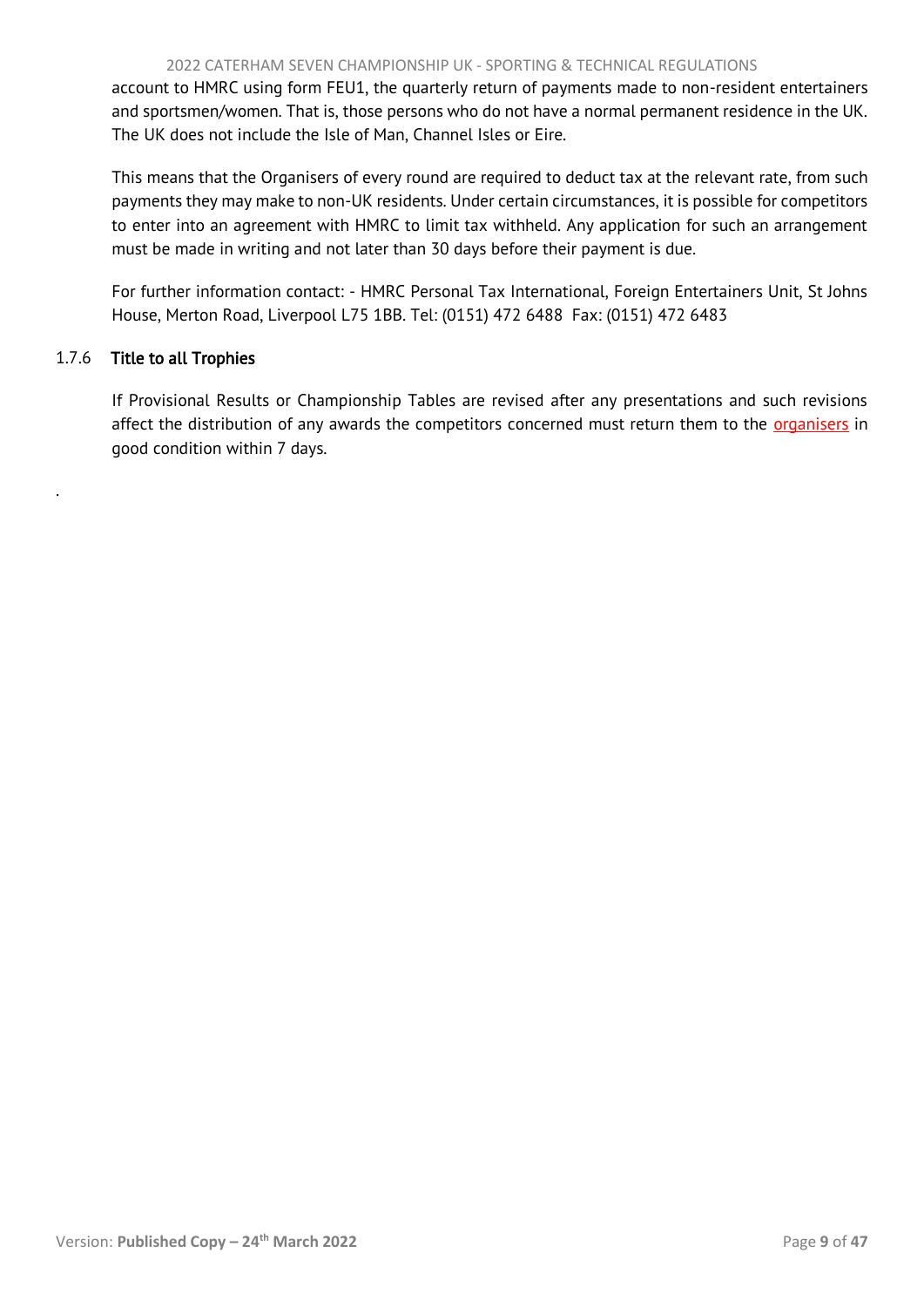account to HMRC using form FEU1, the quarterly return of payments made to non-resident entertainers and sportsmen/women. That is, those persons who do not have a normal permanent residence in the UK. The UK does not include the Isle of Man, Channel Isles or Eire.

This means that the Organisers of every round are required to deduct tax at the relevant rate, from such payments they may make to non-UK residents. Under certain circumstances, it is possible for competitors to enter into an agreement with HMRC to limit tax withheld. Any application for such an arrangement must be made in writing and not later than 30 days before their payment is due.

For further information contact: - HMRC Personal Tax International, Foreign Entertainers Unit, St Johns House, Merton Road, Liverpool L75 1BB. Tel: (0151) 472 6488 Fax: (0151) 472 6483

# 1.7.6 Title to all Trophies

.

If Provisional Results or Championship Tables are revised after any presentations and such revisions affect the distribution of any awards the competitors concerned must return them to the organisers in good condition within 7 days.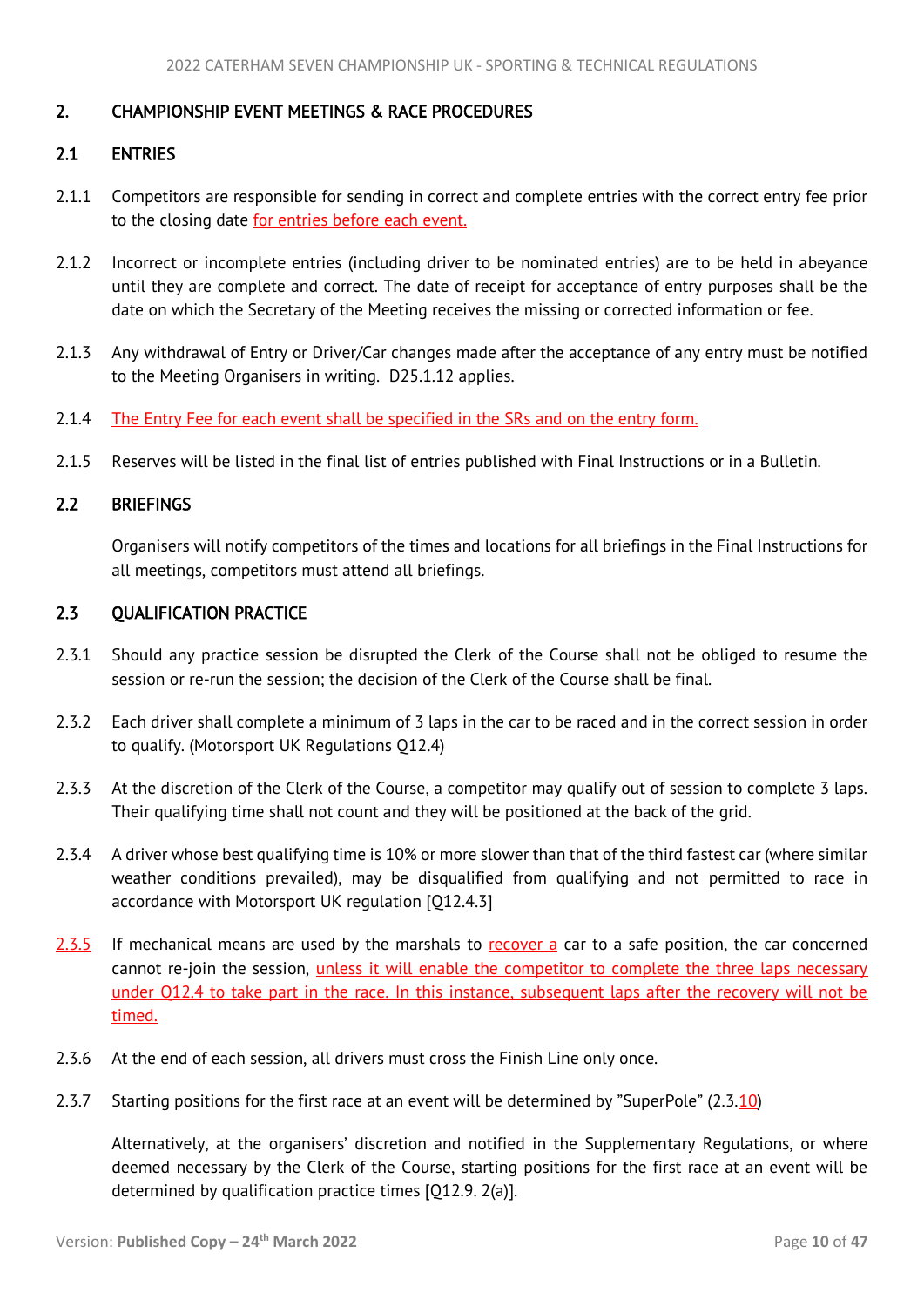## <span id="page-10-4"></span><span id="page-10-0"></span>2. CHAMPIONSHIP EVENT MEETINGS & RACE PROCEDURES

## <span id="page-10-1"></span>2.1 ENTRIES

- 2.1.1 Competitors are responsible for sending in correct and complete entries with the correct entry fee prior to the closing date for entries before each event.
- 2.1.2 Incorrect or incomplete entries (including driver to be nominated entries) are to be held in abeyance until they are complete and correct. The date of receipt for acceptance of entry purposes shall be the date on which the Secretary of the Meeting receives the missing or corrected information or fee.
- 2.1.3 Any withdrawal of Entry or Driver/Car changes made after the acceptance of any entry must be notified to the Meeting Organisers in writing. D25.1.12 applies.
- 2.1.4 The Entry Fee for each event shall be specified in the SRs and on the entry form.
- 2.1.5 Reserves will be listed in the final list of entries published with Final Instructions or in a Bulletin.

# <span id="page-10-2"></span>2.2 BRIEFINGS

<span id="page-10-3"></span>Organisers will notify competitors of the times and locations for all briefings in the Final Instructions for all meetings, competitors must attend all briefings.

## 2.3 QUALIFICATION PRACTICE

- 2.3.1 Should any practice session be disrupted the Clerk of the Course shall not be obliged to resume the session or re-run the session; the decision of the Clerk of the Course shall be final.
- 2.3.2 Each driver shall complete a minimum of 3 laps in the car to be raced and in the correct session in order to qualify. (Motorsport UK Regulations Q12.4)
- 2.3.3 At the discretion of the Clerk of the Course, a competitor may qualify out of session to complete 3 laps. Their qualifying time shall not count and they will be positioned at the back of the grid.
- 2.3.4 A driver whose best qualifying time is 10% or more slower than that of the third fastest car (where similar weather conditions prevailed), may be disqualified from qualifying and not permitted to race in accordance with Motorsport UK regulation [Q12.4.3]
- 2.3.5 If mechanical means are used by the marshals to recover a car to a safe position, the car concerned cannot re-join the session, *unless it will enable the competitor to complete the three laps necessary* under Q12.4 to take part in the race. In this instance, subsequent laps after the recovery will not be timed.
- 2.3.6 At the end of each session, all drivers must cross the Finish Line only once.
- 2.3.7 Starting positions for the first race at an event will be determined by "SuperPole" (2.3.10)

Alternatively, at the organisers' discretion and notified in the Supplementary Regulations, or where deemed necessary by the Clerk of the Course, starting positions for the first race at an event will be determined by qualification practice times [Q12.9. 2(a)].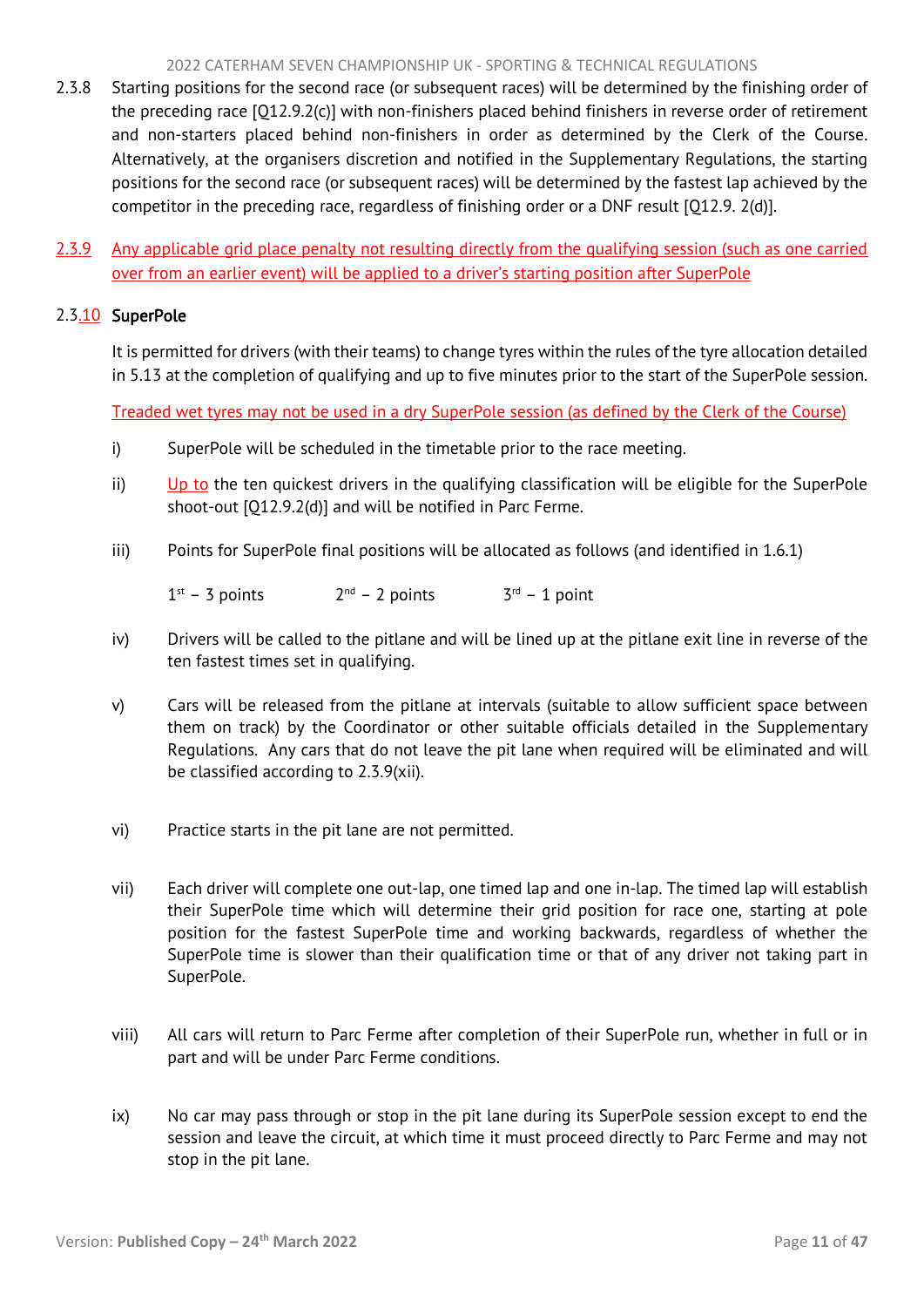#### 2022 CATERHAM SEVEN CHAMPIONSHIP UK - SPORTING & TECHNICAL REGULATIONS

- 2.3.8 Starting positions for the second race (or subsequent races) will be determined by the finishing order of the preceding race [Q12.9.2(c)] with non-finishers placed behind finishers in reverse order of retirement and non-starters placed behind non-finishers in order as determined by the Clerk of the Course. Alternatively, at the organisers discretion and notified in the Supplementary Regulations, the starting positions for the second race (or subsequent races) will be determined by the fastest lap achieved by the competitor in the preceding race, regardless of finishing order or a DNF result [Q12.9. 2(d)].
- 2.3.9 Any applicable grid place penalty not resulting directly from the qualifying session (such as one carried over from an earlier event) will be applied to a driver's starting position after SuperPole

# 2.3.10 SuperPole

It is permitted for drivers (with their teams) to change tyres within the rules of the tyre allocation detailed in 5.13 at the completion of qualifying and up to five minutes prior to the start of the SuperPole session.

Treaded wet tyres may not be used in a dry SuperPole session (as defined by the Clerk of the Course)

- i) SuperPole will be scheduled in the timetable prior to the race meeting.
- ii) Up to the ten quickest drivers in the qualifying classification will be eligible for the SuperPole shoot-out [Q12.9.2(d)] and will be notified in Parc Ferme.
- iii) Points for SuperPole final positions will be allocated as follows (and identified in 1.6.1)

 $1<sup>st</sup> - 3$  points 2  $2<sup>nd</sup> - 2 points$  $3<sup>rd</sup> - 1$  point

- iv) Drivers will be called to the pitlane and will be lined up at the pitlane exit line in reverse of the ten fastest times set in qualifying.
- v) Cars will be released from the pitlane at intervals (suitable to allow sufficient space between them on track) by the Coordinator or other suitable officials detailed in the Supplementary Regulations. Any cars that do not leave the pit lane when required will be eliminated and will be classified according to 2.3.9(xii).
- vi) Practice starts in the pit lane are not permitted.
- vii) Each driver will complete one out-lap, one timed lap and one in-lap. The timed lap will establish their SuperPole time which will determine their grid position for race one, starting at pole position for the fastest SuperPole time and working backwards, regardless of whether the SuperPole time is slower than their qualification time or that of any driver not taking part in SuperPole.
- viii) All cars will return to Parc Ferme after completion of their SuperPole run, whether in full or in part and will be under Parc Ferme conditions.
- ix) No car may pass through or stop in the pit lane during its SuperPole session except to end the session and leave the circuit, at which time it must proceed directly to Parc Ferme and may not stop in the pit lane.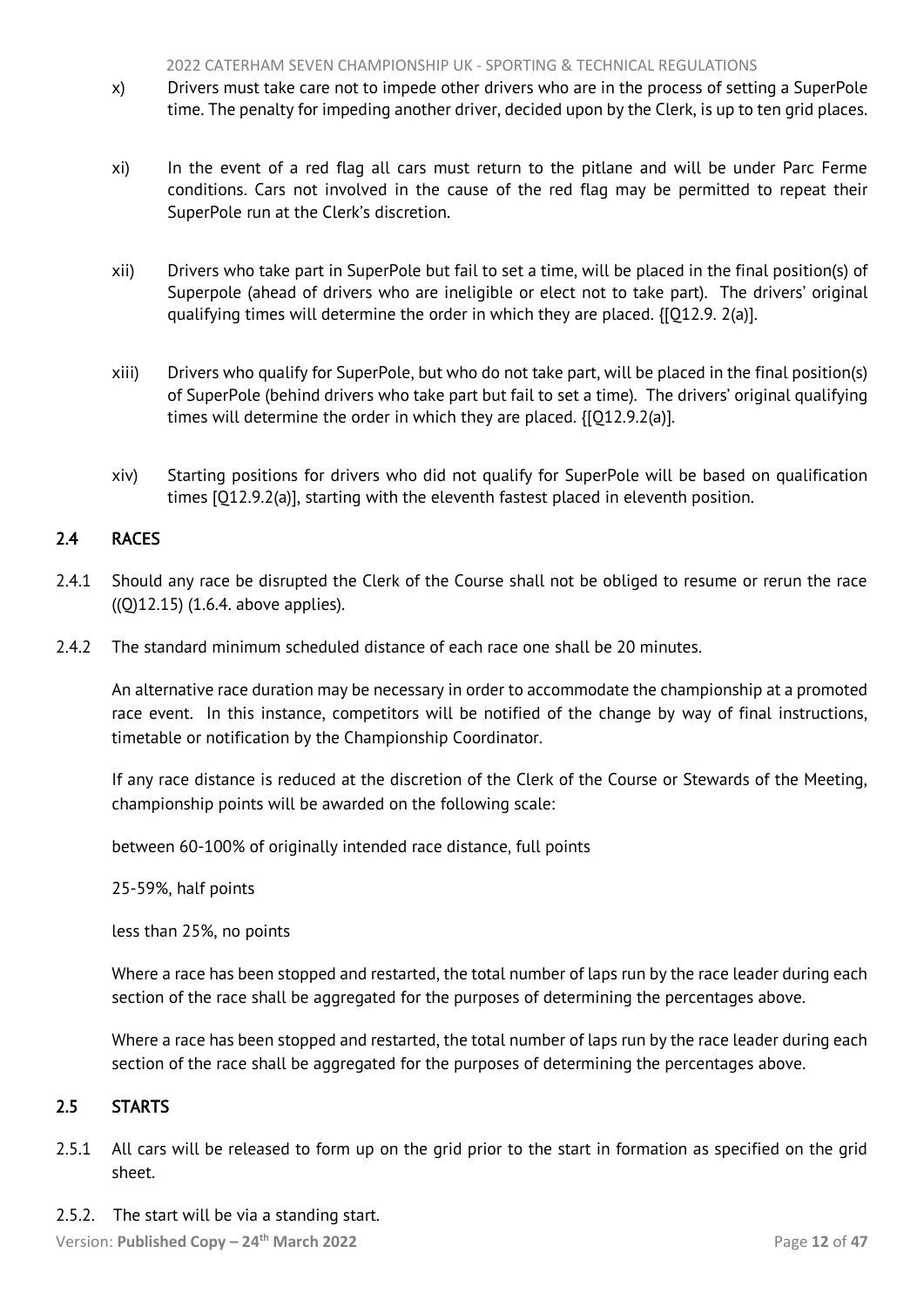- <span id="page-12-2"></span>x) Drivers must take care not to impede other drivers who are in the process of setting a SuperPole time. The penalty for impeding another driver, decided upon by the Clerk, is up to ten grid places.
- xi) In the event of a red flag all cars must return to the pitlane and will be under Parc Ferme conditions. Cars not involved in the cause of the red flag may be permitted to repeat their SuperPole run at the Clerk's discretion.
- xii) Drivers who take part in SuperPole but fail to set a time, will be placed in the final position(s) of Superpole (ahead of drivers who are ineligible or elect not to take part). The drivers' original qualifying times will determine the order in which they are placed. {[Q12.9. 2(a)].
- xiii) Drivers who qualify for SuperPole, but who do not take part, will be placed in the final position(s) of SuperPole (behind drivers who take part but fail to set a time). The drivers' original qualifying times will determine the order in which they are placed. {[Q12.9.2(a)].
- <span id="page-12-0"></span>xiv) Starting positions for drivers who did not qualify for SuperPole will be based on qualification times [Q12.9.2(a)], starting with the eleventh fastest placed in eleventh position.

# 2.4 RACES

- 2.4.1 Should any race be disrupted the Clerk of the Course shall not be obliged to resume or rerun the race ((Q)12.15) (1.6.4. above applies).
- 2.4.2 The standard minimum scheduled distance of each race one shall be 20 minutes.

An alternative race duration may be necessary in order to accommodate the championship at a promoted race event. In this instance, competitors will be notified of the change by way of final instructions, timetable or notification by the Championship Coordinator.

If any race distance is reduced at the discretion of the Clerk of the Course or Stewards of the Meeting, championship points will be awarded on the following scale:

between 60-100% of originally intended race distance, full points

25-59%, half points

less than 25%, no points

Where a race has been stopped and restarted, the total number of laps run by the race leader during each section of the race shall be aggregated for the purposes of determining the percentages above.

<span id="page-12-1"></span>Where a race has been stopped and restarted, the total number of laps run by the race leader during each section of the race shall be aggregated for the purposes of determining the percentages above.

## 2.5 STARTS

- 2.5.1 All cars will be released to form up on the grid prior to the start in formation as specified on the grid sheet.
- 2.5.2. The start will be via a standing start.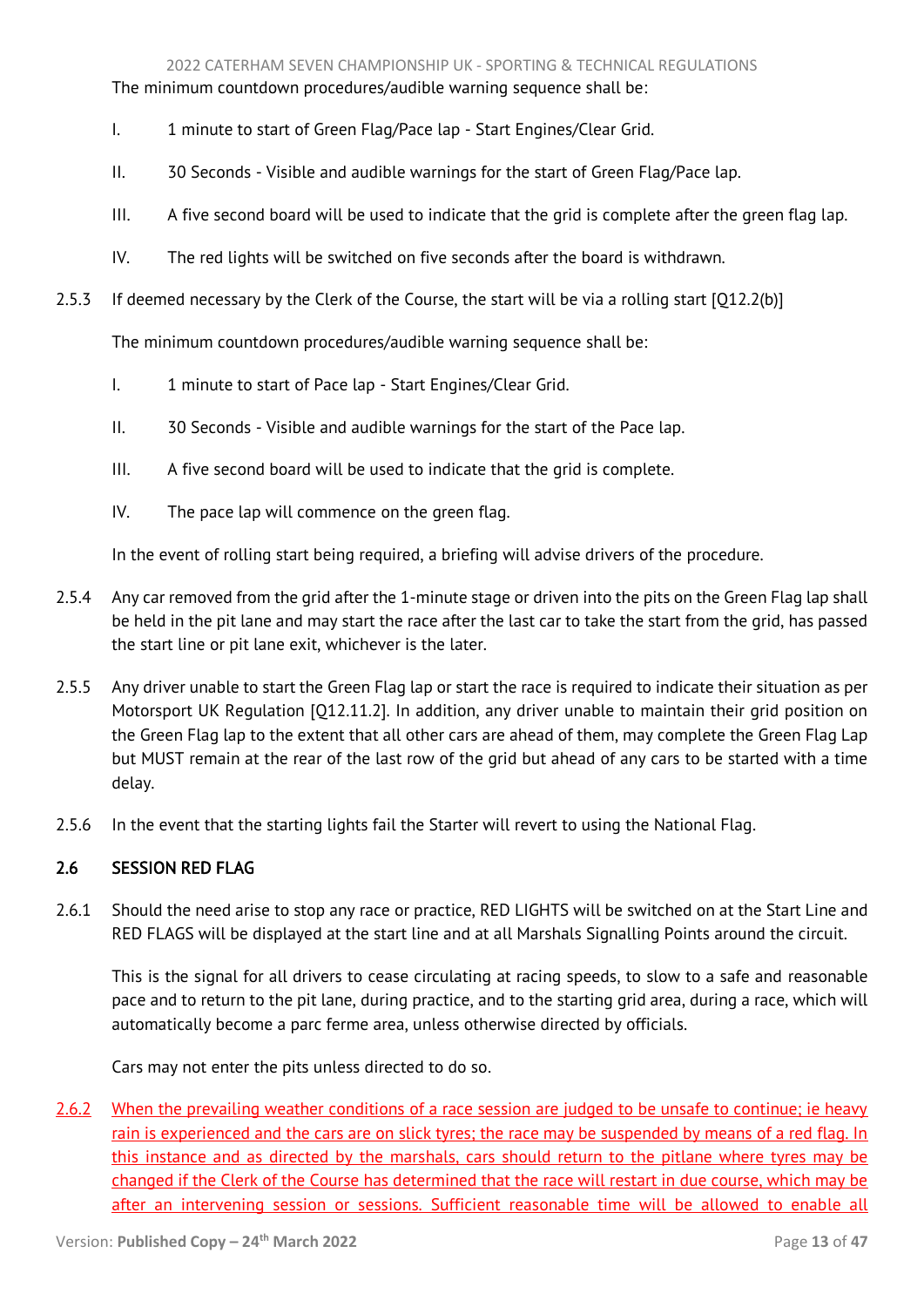#### 2022 CATERHAM SEVEN CHAMPIONSHIP UK - SPORTING & TECHNICAL REGULATIONS

<span id="page-13-1"></span>The minimum countdown procedures/audible warning sequence shall be:

- I. 1 minute to start of Green Flag/Pace lap Start Engines/Clear Grid.
- II. 30 Seconds Visible and audible warnings for the start of Green Flag/Pace lap.
- III. A five second board will be used to indicate that the grid is complete after the green flag lap.
- IV. The red lights will be switched on five seconds after the board is withdrawn.
- 2.5.3 If deemed necessary by the Clerk of the Course, the start will be via a rolling start [Q12.2(b)]

The minimum countdown procedures/audible warning sequence shall be:

- I. 1 minute to start of Pace lap Start Engines/Clear Grid.
- II. 30 Seconds Visible and audible warnings for the start of the Pace lap.
- III. A five second board will be used to indicate that the grid is complete.
- IV. The pace lap will commence on the green flag.

In the event of rolling start being required, a briefing will advise drivers of the procedure.

- 2.5.4 Any car removed from the grid after the 1-minute stage or driven into the pits on the Green Flag lap shall be held in the pit lane and may start the race after the last car to take the start from the grid, has passed the start line or pit lane exit, whichever is the later.
- 2.5.5 Any driver unable to start the Green Flag lap or start the race is required to indicate their situation as per Motorsport UK Regulation [Q12.11.2]. In addition, any driver unable to maintain their grid position on the Green Flag lap to the extent that all other cars are ahead of them, may complete the Green Flag Lap but MUST remain at the rear of the last row of the grid but ahead of any cars to be started with a time delay.
- 2.5.6 In the event that the starting lights fail the Starter will revert to using the National Flag.

# <span id="page-13-0"></span>2.6 SESSION RED FLAG

2.6.1 Should the need arise to stop any race or practice, RED LIGHTS will be switched on at the Start Line and RED FLAGS will be displayed at the start line and at all Marshals Signalling Points around the circuit.

This is the signal for all drivers to cease circulating at racing speeds, to slow to a safe and reasonable pace and to return to the pit lane, during practice, and to the starting grid area, during a race, which will automatically become a parc ferme area, unless otherwise directed by officials.

Cars may not enter the pits unless directed to do so.

2.6.2 When the prevailing weather conditions of a race session are judged to be unsafe to continue; ie heavy rain is experienced and the cars are on slick tyres; the race may be suspended by means of a red flag. In this instance and as directed by the marshals, cars should return to the pitlane where tyres may be changed if the Clerk of the Course has determined that the race will restart in due course, which may be after an intervening session or sessions. Sufficient reasonable time will be allowed to enable all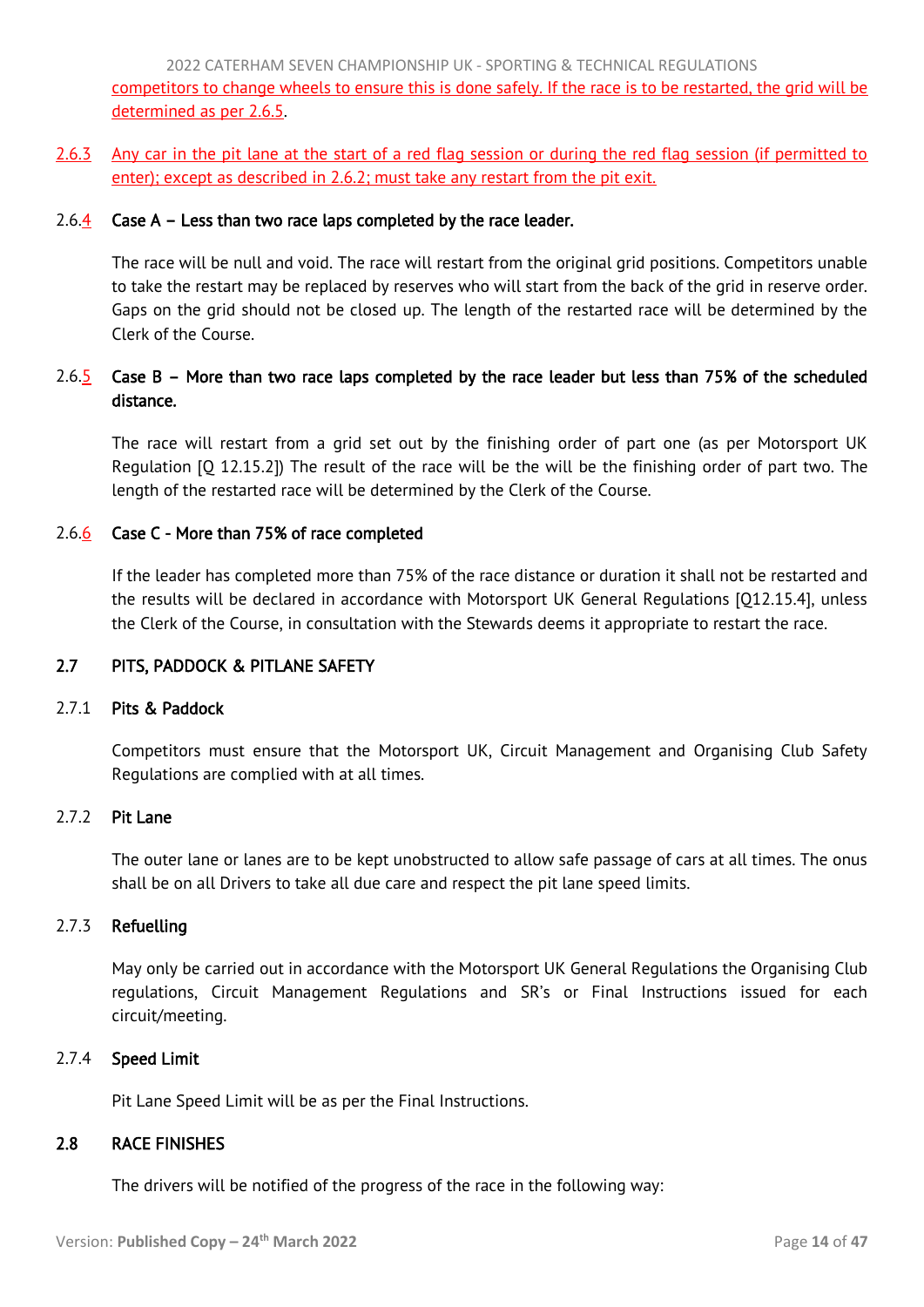<span id="page-14-2"></span>2022 CATERHAM SEVEN CHAMPIONSHIP UK - SPORTING & TECHNICAL REGULATIONS competitors to change wheels to ensure this is done safely. If the race is to be restarted, the grid will be determined as per 2.6.5.

2.6.3 Any car in the pit lane at the start of a red flag session or during the red flag session (if permitted to enter); except as described in 2.6.2; must take any restart from the pit exit.

## 2.6. $\frac{4}{5}$  Case A – Less than two race laps completed by the race leader.

The race will be null and void. The race will restart from the original grid positions. Competitors unable to take the restart may be replaced by reserves who will start from the back of the grid in reserve order. Gaps on the grid should not be closed up. The length of the restarted race will be determined by the Clerk of the Course.

# 2.6.5 Case B – More than two race laps completed by the race leader but less than 75% of the scheduled distance.

The race will restart from a grid set out by the finishing order of part one (as per Motorsport UK Regulation [Q 12.15.2]) The result of the race will be the will be the finishing order of part two. The length of the restarted race will be determined by the Clerk of the Course.

# 2.6.6 Case C - More than 75% of race completed

If the leader has completed more than 75% of the race distance or duration it shall not be restarted and the results will be declared in accordance with Motorsport UK General Regulations [Q12.15.4], unless the Clerk of the Course, in consultation with the Stewards deems it appropriate to restart the race.

# <span id="page-14-0"></span>2.7 PITS, PADDOCK & PITLANE SAFETY

# 2.7.1 Pits & Paddock

Competitors must ensure that the Motorsport UK, Circuit Management and Organising Club Safety Regulations are complied with at all times.

## 2.7.2 Pit Lane

The outer lane or lanes are to be kept unobstructed to allow safe passage of cars at all times. The onus shall be on all Drivers to take all due care and respect the pit lane speed limits.

## 2.7.3 Refuelling

May only be carried out in accordance with the Motorsport UK General Regulations the Organising Club regulations, Circuit Management Regulations and SR's or Final Instructions issued for each circuit/meeting.

## 2.7.4 Speed Limit

<span id="page-14-1"></span>Pit Lane Speed Limit will be as per the Final Instructions.

## 2.8 RACE FINISHES

The drivers will be notified of the progress of the race in the following way: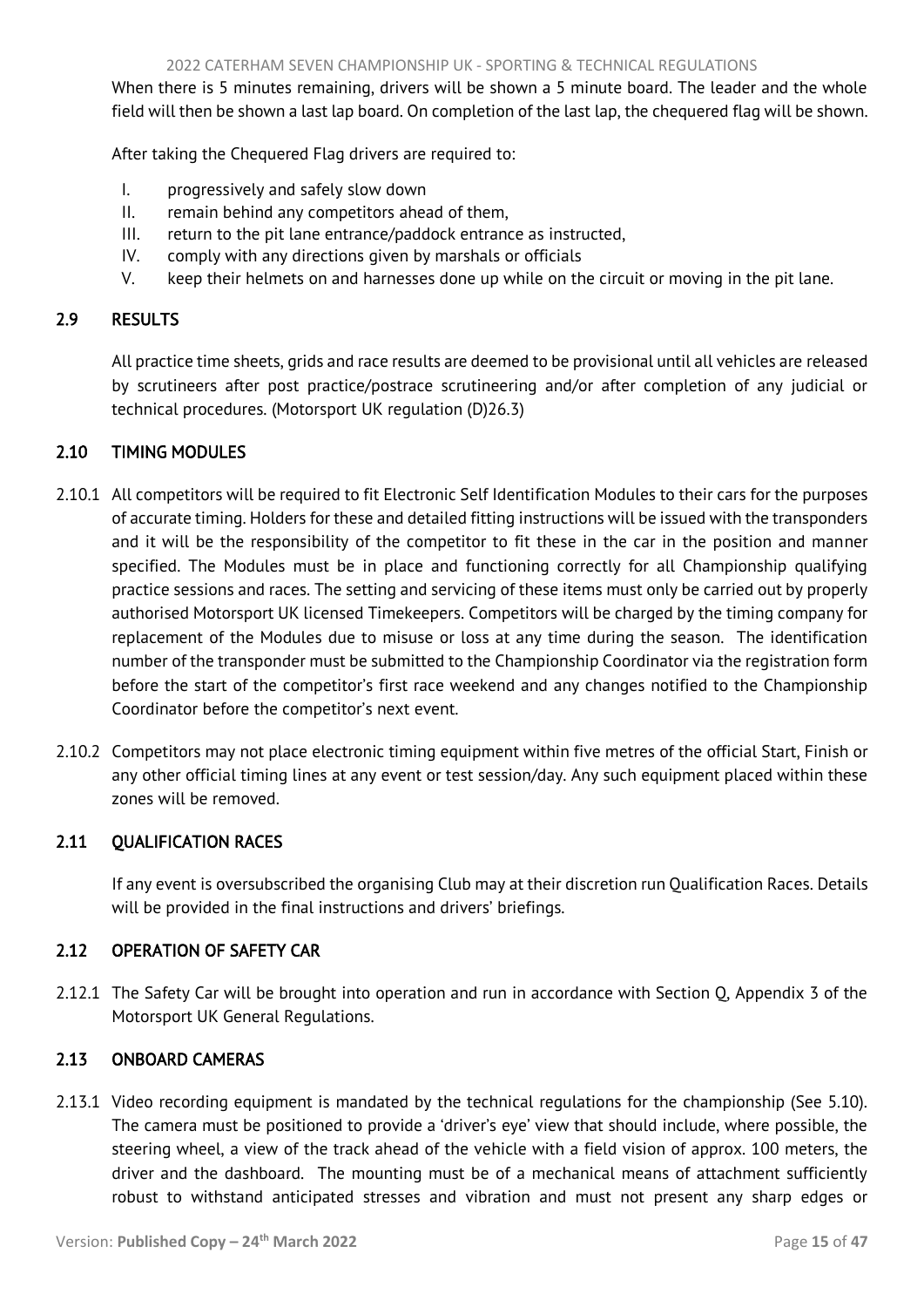<span id="page-15-5"></span>When there is 5 minutes remaining, drivers will be shown a 5 minute board. The leader and the whole field will then be shown a last lap board. On completion of the last lap, the chequered flag will be shown.

After taking the Chequered Flag drivers are required to:

- I. progressively and safely slow down
- II. remain behind any competitors ahead of them,
- III. return to the pit lane entrance/paddock entrance as instructed,
- IV. comply with any directions given by marshals or officials
- <span id="page-15-0"></span>V. keep their helmets on and harnesses done up while on the circuit or moving in the pit lane.

## 2.9 RESULTS

All practice time sheets, grids and race results are deemed to be provisional until all vehicles are released by scrutineers after post practice/postrace scrutineering and/or after completion of any judicial or technical procedures. (Motorsport UK regulation (D)26.3)

# <span id="page-15-1"></span>2.10 TIMING MODULES

- 2.10.1 All competitors will be required to fit Electronic Self Identification Modules to their cars for the purposes of accurate timing. Holders for these and detailed fitting instructions will be issued with the transponders and it will be the responsibility of the competitor to fit these in the car in the position and manner specified. The Modules must be in place and functioning correctly for all Championship qualifying practice sessions and races. The setting and servicing of these items must only be carried out by properly authorised Motorsport UK licensed Timekeepers. Competitors will be charged by the timing company for replacement of the Modules due to misuse or loss at any time during the season. The identification number of the transponder must be submitted to the Championship Coordinator via the registration form before the start of the competitor's first race weekend and any changes notified to the Championship Coordinator before the competitor's next event.
- 2.10.2 Competitors may not place electronic timing equipment within five metres of the official Start, Finish or any other official timing lines at any event or test session/day. Any such equipment placed within these zones will be removed.

## <span id="page-15-2"></span>2.11 QUALIFICATION RACES

<span id="page-15-3"></span>If any event is oversubscribed the organising Club may at their discretion run Qualification Races. Details will be provided in the final instructions and drivers' briefings.

## 2.12 OPERATION OF SAFETY CAR

2.12.1 The Safety Car will be brought into operation and run in accordance with Section Q, Appendix 3 of the Motorsport UK General Regulations.

# <span id="page-15-4"></span>2.13 ONBOARD CAMERAS

2.13.1 Video recording equipment is mandated by the technical regulations for the championship (See 5.10). The camera must be positioned to provide a 'driver's eye' view that should include, where possible, the steering wheel, a view of the track ahead of the vehicle with a field vision of approx. 100 meters, the driver and the dashboard. The mounting must be of a mechanical means of attachment sufficiently robust to withstand anticipated stresses and vibration and must not present any sharp edges or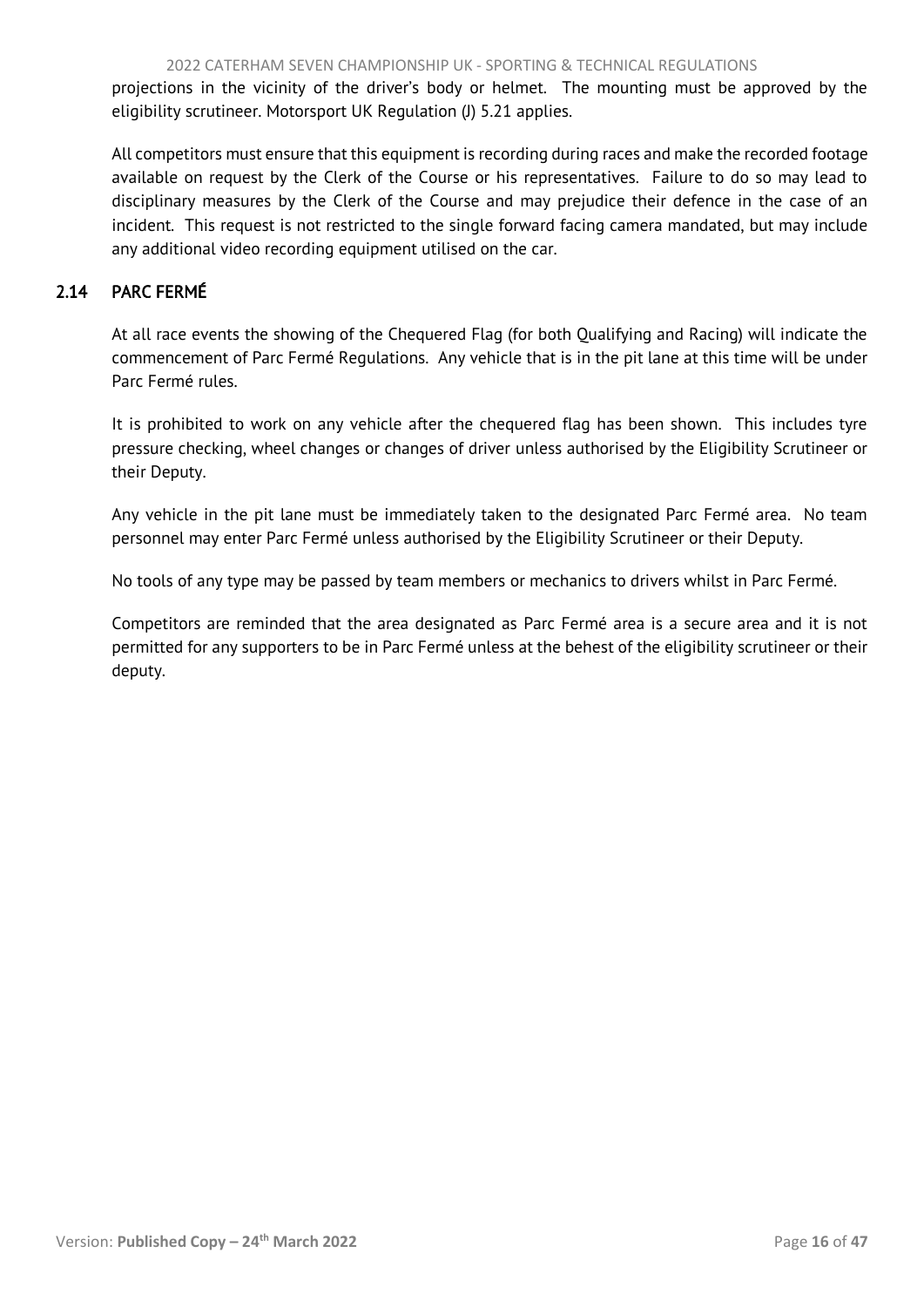<span id="page-16-1"></span>projections in the vicinity of the driver's body or helmet. The mounting must be approved by the eligibility scrutineer. Motorsport UK Regulation (J) 5.21 applies.

All competitors must ensure that this equipment is recording during races and make the recorded footage available on request by the Clerk of the Course or his representatives. Failure to do so may lead to disciplinary measures by the Clerk of the Course and may prejudice their defence in the case of an incident. This request is not restricted to the single forward facing camera mandated, but may include any additional video recording equipment utilised on the car.

# <span id="page-16-0"></span>2.14 PARC FERMÉ

At all race events the showing of the Chequered Flag (for both Qualifying and Racing) will indicate the commencement of Parc Fermé Regulations. Any vehicle that is in the pit lane at this time will be under Parc Fermé rules.

It is prohibited to work on any vehicle after the chequered flag has been shown. This includes tyre pressure checking, wheel changes or changes of driver unless authorised by the Eligibility Scrutineer or their Deputy.

Any vehicle in the pit lane must be immediately taken to the designated Parc Fermé area. No team personnel may enter Parc Fermé unless authorised by the Eligibility Scrutineer or their Deputy.

No tools of any type may be passed by team members or mechanics to drivers whilst in Parc Fermé.

Competitors are reminded that the area designated as Parc Fermé area is a secure area and it is not permitted for any supporters to be in Parc Fermé unless at the behest of the eligibility scrutineer or their deputy.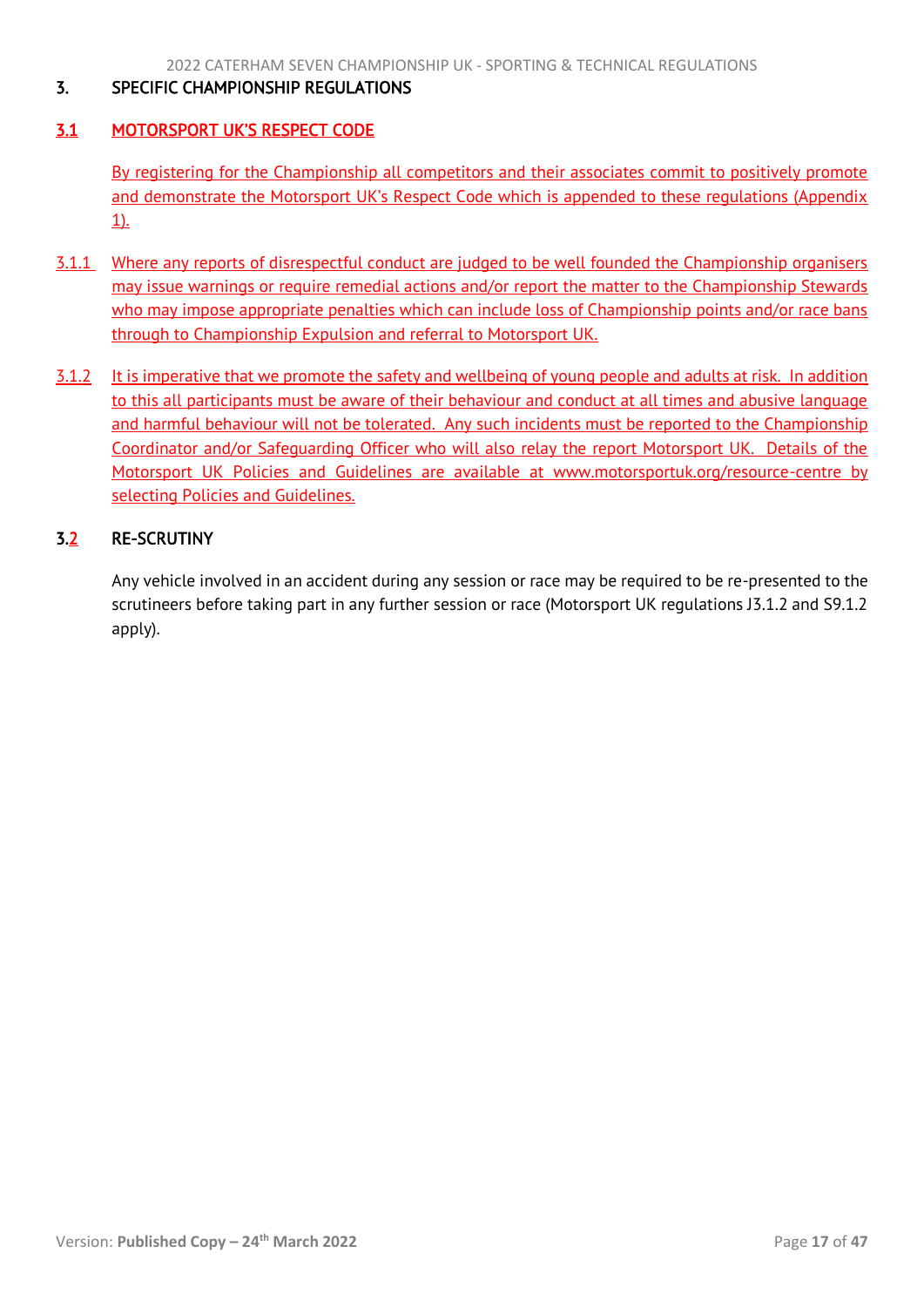## <span id="page-17-3"></span><span id="page-17-0"></span>3. SPECIFIC CHAMPIONSHIP REGULATIONS

# <span id="page-17-1"></span>3.1 MOTORSPORT UK'S RESPECT CODE

By registering for the Championship all competitors and their associates commit to positively promote and demonstrate the Motorsport UK's Respect Code which is appended to these regulations (Appendix 1).

- 3.1.1 Where any reports of disrespectful conduct are judged to be well founded the Championship organisers may issue warnings or require remedial actions and/or report the matter to the Championship Stewards who may impose appropriate penalties which can include loss of Championship points and/or race bans through to Championship Expulsion and referral to Motorsport UK.
- 3.1.2 It is imperative that we promote the safety and wellbeing of young people and adults at risk. In addition to this all participants must be aware of their behaviour and conduct at all times and abusive language and harmful behaviour will not be tolerated. Any such incidents must be reported to the Championship Coordinator and/or Safeguarding Officer who will also relay the report Motorsport UK. Details of the Motorsport UK Policies and Guidelines are available at www.motorsportuk.org/resource-centre by selecting Policies and Guidelines.

# <span id="page-17-2"></span>3.2 RE-SCRUTINY

Any vehicle involved in an accident during any session or race may be required to be re-presented to the scrutineers before taking part in any further session or race (Motorsport UK regulations J3.1.2 and S9.1.2 apply).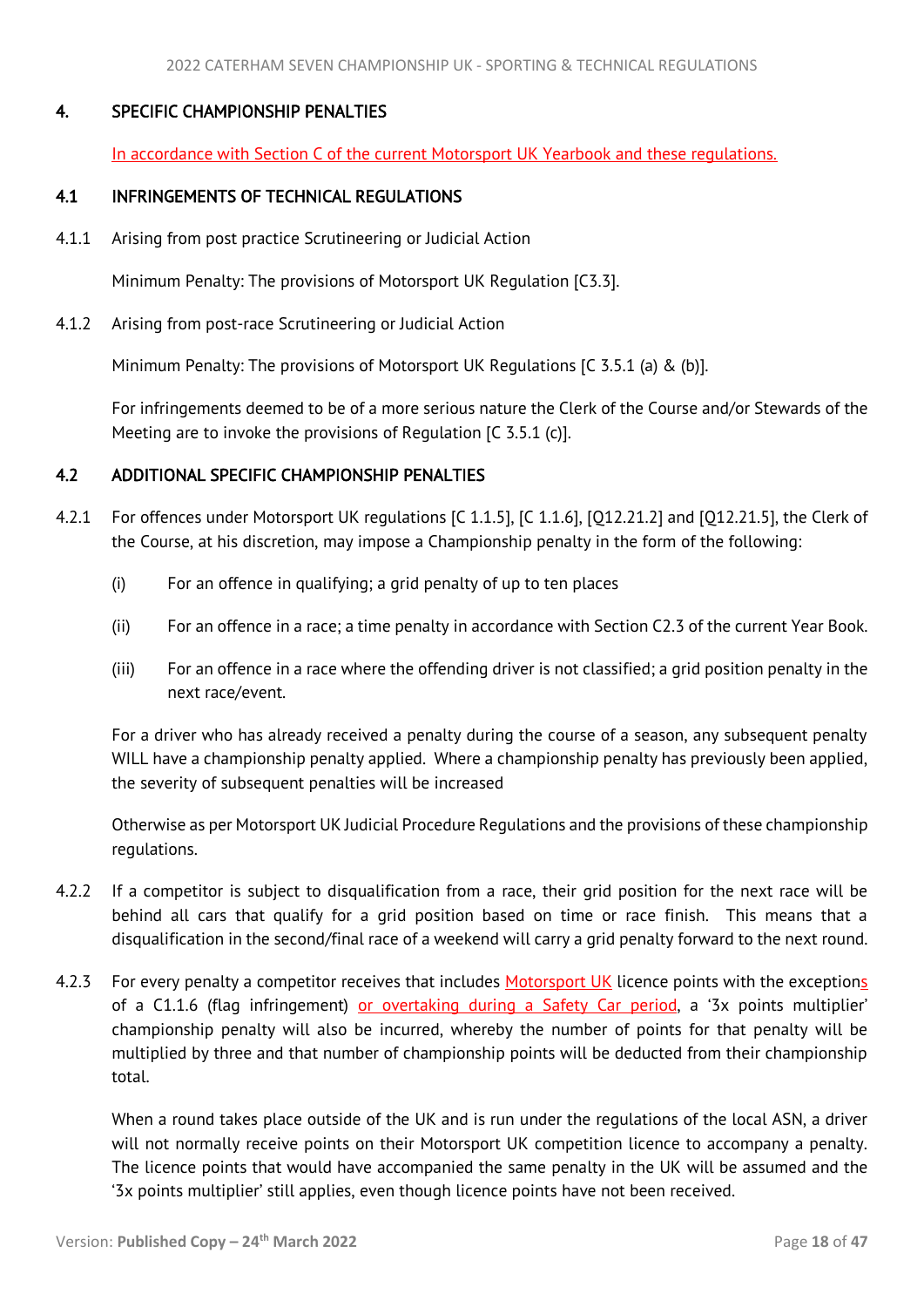## <span id="page-18-3"></span>4. SPECIFIC CHAMPIONSHIP PENALTIES

<span id="page-18-1"></span><span id="page-18-0"></span>In accordance with Section C of the current Motorsport UK Yearbook and these regulations.

## 4.1 INFRINGEMENTS OF TECHNICAL REGULATIONS

4.1.1 Arising from post practice Scrutineering or Judicial Action

Minimum Penalty: The provisions of Motorsport UK Regulation [C3.3].

4.1.2 Arising from post-race Scrutineering or Judicial Action

Minimum Penalty: The provisions of Motorsport UK Regulations [C 3.5.1 (a) & (b)].

For infringements deemed to be of a more serious nature the Clerk of the Course and/or Stewards of the Meeting are to invoke the provisions of Regulation [C 3.5.1 (c)].

## <span id="page-18-2"></span>4.2 ADDITIONAL SPECIFIC CHAMPIONSHIP PENALTIES

- 4.2.1 For offences under Motorsport UK regulations [C 1.1.5], [C 1.1.6], [Q12.21.2] and [Q12.21.5], the Clerk of the Course, at his discretion, may impose a Championship penalty in the form of the following:
	- (i) For an offence in qualifying; a grid penalty of up to ten places
	- (ii) For an offence in a race; a time penalty in accordance with Section C2.3 of the current Year Book.
	- (iii) For an offence in a race where the offending driver is not classified; a grid position penalty in the next race/event.

For a driver who has already received a penalty during the course of a season, any subsequent penalty WILL have a championship penalty applied. Where a championship penalty has previously been applied, the severity of subsequent penalties will be increased

Otherwise as per Motorsport UK Judicial Procedure Regulations and the provisions of these championship regulations.

- 4.2.2 If a competitor is subject to disqualification from a race, their grid position for the next race will be behind all cars that qualify for a grid position based on time or race finish. This means that a disqualification in the second/final race of a weekend will carry a grid penalty forward to the next round.
- 4.2.3 For every penalty a competitor receives that includes Motorsport UK licence points with the exceptions of a C1.1.6 (flag infringement) or overtaking during a Safety Car period, a '3x points multiplier' championship penalty will also be incurred, whereby the number of points for that penalty will be multiplied by three and that number of championship points will be deducted from their championship total.

When a round takes place outside of the UK and is run under the regulations of the local ASN, a driver will not normally receive points on their Motorsport UK competition licence to accompany a penalty. The licence points that would have accompanied the same penalty in the UK will be assumed and the '3x points multiplier' still applies, even though licence points have not been received.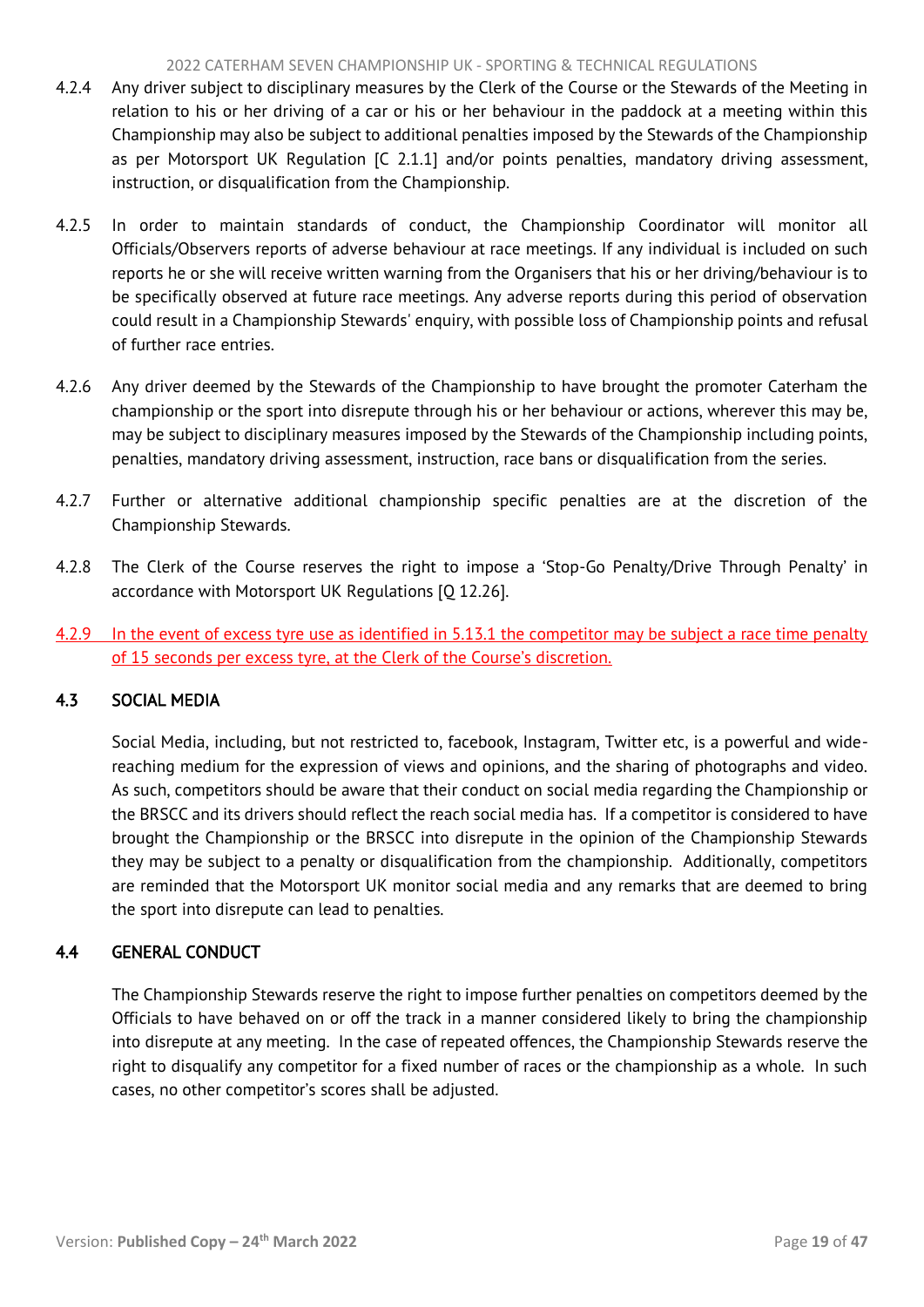#### 2022 CATERHAM SEVEN CHAMPIONSHIP UK - SPORTING & TECHNICAL REGULATIONS

- <span id="page-19-2"></span>4.2.4 Any driver subject to disciplinary measures by the Clerk of the Course or the Stewards of the Meeting in relation to his or her driving of a car or his or her behaviour in the paddock at a meeting within this Championship may also be subject to additional penalties imposed by the Stewards of the Championship as per Motorsport UK Regulation [C 2.1.1] and/or points penalties, mandatory driving assessment, instruction, or disqualification from the Championship.
- 4.2.5 In order to maintain standards of conduct, the Championship Coordinator will monitor all Officials/Observers reports of adverse behaviour at race meetings. If any individual is included on such reports he or she will receive written warning from the Organisers that his or her driving/behaviour is to be specifically observed at future race meetings. Any adverse reports during this period of observation could result in a Championship Stewards' enquiry, with possible loss of Championship points and refusal of further race entries.
- 4.2.6 Any driver deemed by the Stewards of the Championship to have brought the promoter Caterham the championship or the sport into disrepute through his or her behaviour or actions, wherever this may be, may be subject to disciplinary measures imposed by the Stewards of the Championship including points, penalties, mandatory driving assessment, instruction, race bans or disqualification from the series.
- 4.2.7 Further or alternative additional championship specific penalties are at the discretion of the Championship Stewards.
- 4.2.8 The Clerk of the Course reserves the right to impose a 'Stop-Go Penalty/Drive Through Penalty' in accordance with Motorsport UK Regulations [Q 12.26].
- 4.2.9 In the event of excess tyre use as identified in 5.13.1 the competitor may be subject a race time penalty of 15 seconds per excess tyre, at the Clerk of the Course's discretion.

# <span id="page-19-0"></span>4.3 SOCIAL MEDIA

Social Media, including, but not restricted to, facebook, Instagram, Twitter etc, is a powerful and widereaching medium for the expression of views and opinions, and the sharing of photographs and video. As such, competitors should be aware that their conduct on social media regarding the Championship or the BRSCC and its drivers should reflect the reach social media has. If a competitor is considered to have brought the Championship or the BRSCC into disrepute in the opinion of the Championship Stewards they may be subject to a penalty or disqualification from the championship. Additionally, competitors are reminded that the Motorsport UK monitor social media and any remarks that are deemed to bring the sport into disrepute can lead to penalties.

# <span id="page-19-1"></span>4.4 GENERAL CONDUCT

 The Championship Stewards reserve the right to impose further penalties on competitors deemed by the Officials to have behaved on or off the track in a manner considered likely to bring the championship into disrepute at any meeting. In the case of repeated offences, the Championship Stewards reserve the right to disqualify any competitor for a fixed number of races or the championship as a whole. In such cases, no other competitor's scores shall be adjusted.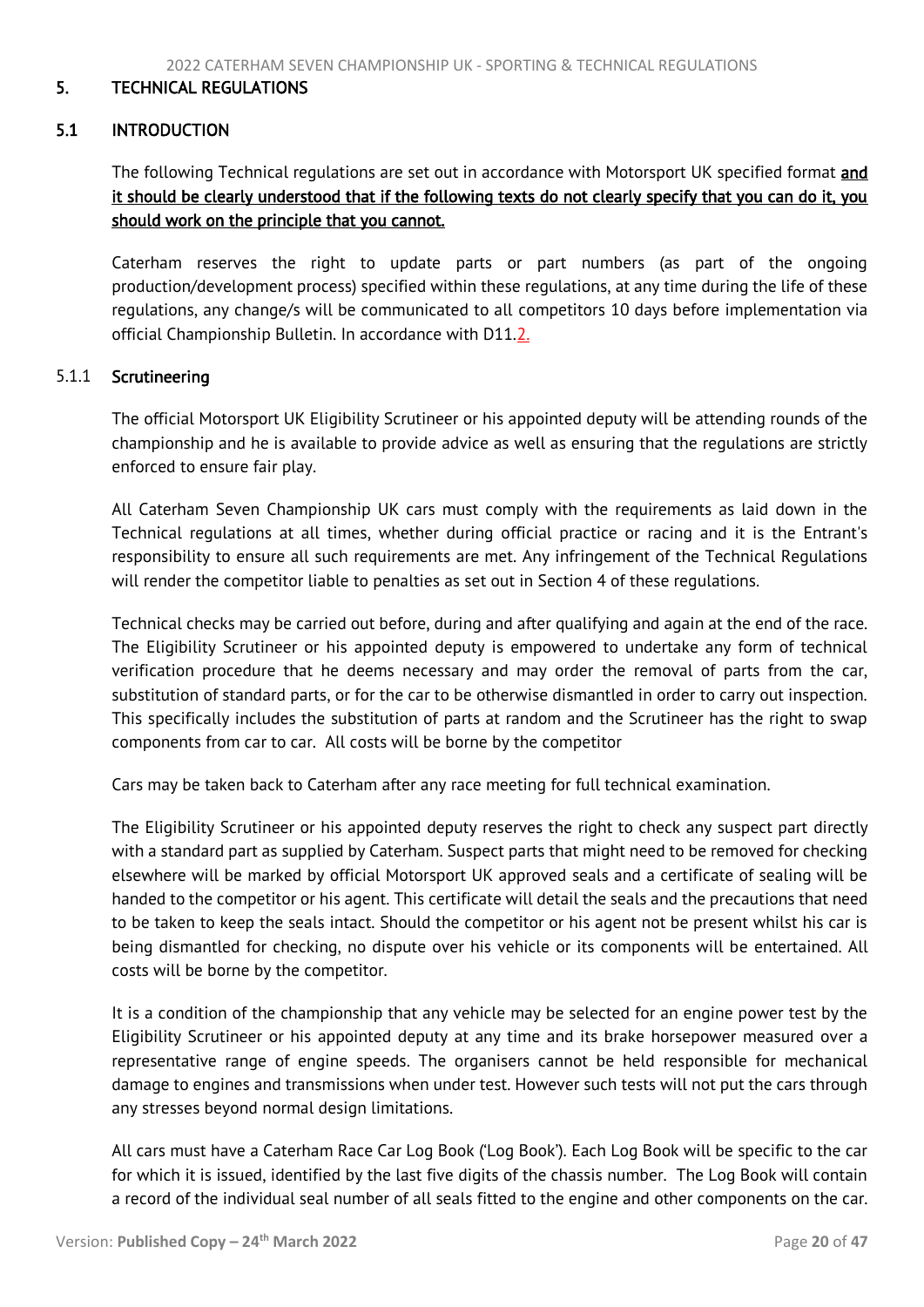#### <span id="page-20-2"></span><span id="page-20-0"></span>5. TECHNICAL REGULATIONS

## <span id="page-20-1"></span>5.1 INTRODUCTION

The following Technical regulations are set out in accordance with Motorsport UK specified format and it should be clearly understood that if the following texts do not clearly specify that you can do it, you should work on the principle that you cannot.

Caterham reserves the right to update parts or part numbers (as part of the ongoing production/development process) specified within these regulations, at any time during the life of these regulations, any change/s will be communicated to all competitors 10 days before implementation via official Championship Bulletin. In accordance with D11.2.

#### 5.1.1 Scrutineering

The official Motorsport UK Eligibility Scrutineer or his appointed deputy will be attending rounds of the championship and he is available to provide advice as well as ensuring that the regulations are strictly enforced to ensure fair play.

All Caterham Seven Championship UK cars must comply with the requirements as laid down in the Technical regulations at all times, whether during official practice or racing and it is the Entrant's responsibility to ensure all such requirements are met. Any infringement of the Technical Regulations will render the competitor liable to penalties as set out in Section 4 of these regulations.

Technical checks may be carried out before, during and after qualifying and again at the end of the race. The Eligibility Scrutineer or his appointed deputy is empowered to undertake any form of technical verification procedure that he deems necessary and may order the removal of parts from the car, substitution of standard parts, or for the car to be otherwise dismantled in order to carry out inspection. This specifically includes the substitution of parts at random and the Scrutineer has the right to swap components from car to car. All costs will be borne by the competitor

Cars may be taken back to Caterham after any race meeting for full technical examination.

The Eligibility Scrutineer or his appointed deputy reserves the right to check any suspect part directly with a standard part as supplied by Caterham. Suspect parts that might need to be removed for checking elsewhere will be marked by official Motorsport UK approved seals and a certificate of sealing will be handed to the competitor or his agent. This certificate will detail the seals and the precautions that need to be taken to keep the seals intact. Should the competitor or his agent not be present whilst his car is being dismantled for checking, no dispute over his vehicle or its components will be entertained. All costs will be borne by the competitor.

It is a condition of the championship that any vehicle may be selected for an engine power test by the Eligibility Scrutineer or his appointed deputy at any time and its brake horsepower measured over a representative range of engine speeds. The organisers cannot be held responsible for mechanical damage to engines and transmissions when under test. However such tests will not put the cars through any stresses beyond normal design limitations.

All cars must have a Caterham Race Car Log Book ('Log Book'). Each Log Book will be specific to the car for which it is issued, identified by the last five digits of the chassis number. The Log Book will contain a record of the individual seal number of all seals fitted to the engine and other components on the car.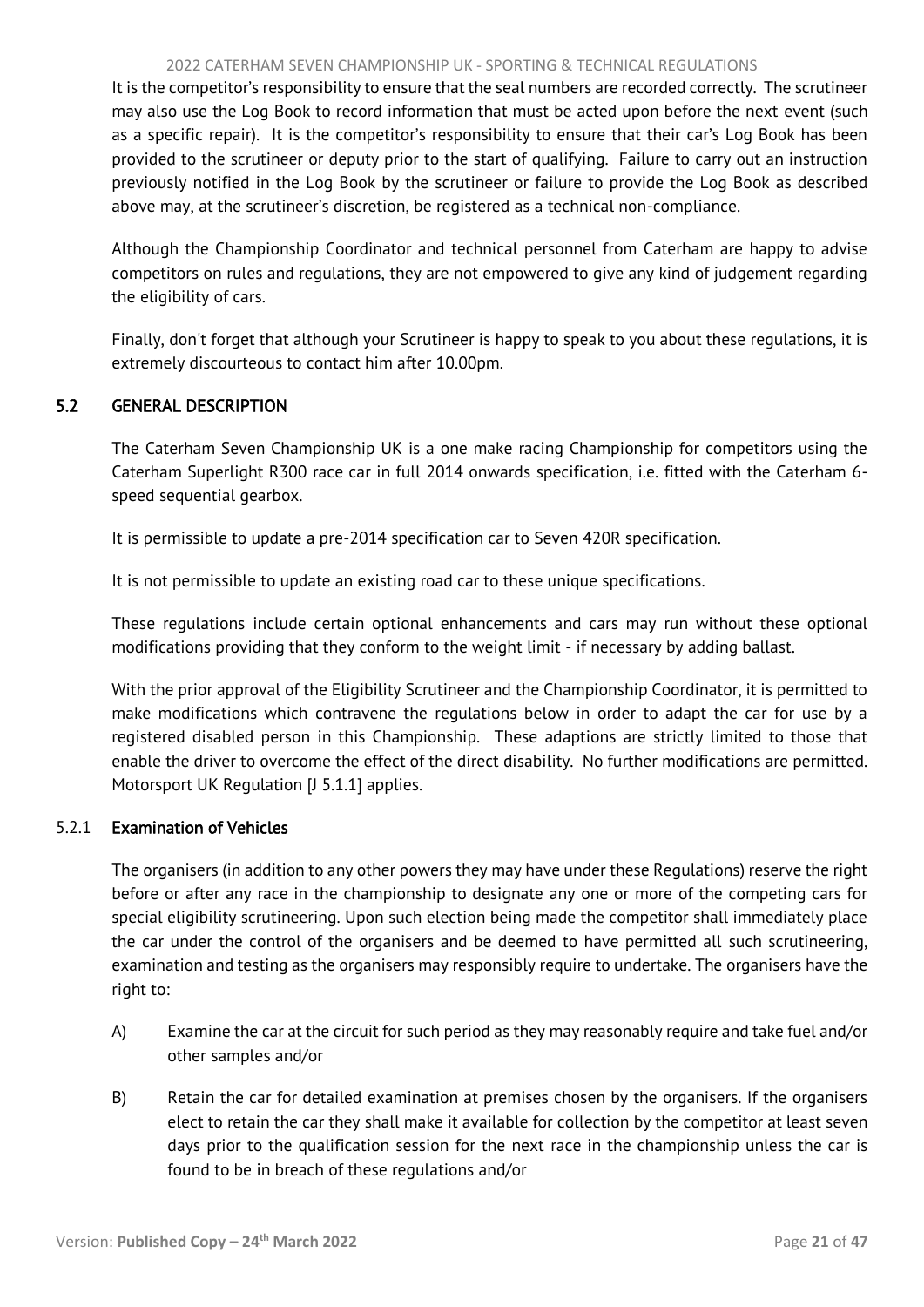#### 2022 CATERHAM SEVEN CHAMPIONSHIP UK - SPORTING & TECHNICAL REGULATIONS

<span id="page-21-1"></span>It is the competitor's responsibility to ensure that the seal numbers are recorded correctly. The scrutineer may also use the Log Book to record information that must be acted upon before the next event (such as a specific repair). It is the competitor's responsibility to ensure that their car's Log Book has been provided to the scrutineer or deputy prior to the start of qualifying. Failure to carry out an instruction previously notified in the Log Book by the scrutineer or failure to provide the Log Book as described above may, at the scrutineer's discretion, be registered as a technical non-compliance.

Although the Championship Coordinator and technical personnel from Caterham are happy to advise competitors on rules and regulations, they are not empowered to give any kind of judgement regarding the eligibility of cars.

<span id="page-21-0"></span>Finally, don't forget that although your Scrutineer is happy to speak to you about these regulations, it is extremely discourteous to contact him after 10.00pm.

# 5.2 GENERAL DESCRIPTION

The Caterham Seven Championship UK is a one make racing Championship for competitors using the Caterham Superlight R300 race car in full 2014 onwards specification, i.e. fitted with the Caterham 6 speed sequential gearbox.

It is permissible to update a pre-2014 specification car to Seven 420R specification.

It is not permissible to update an existing road car to these unique specifications.

These regulations include certain optional enhancements and cars may run without these optional modifications providing that they conform to the weight limit - if necessary by adding ballast.

With the prior approval of the Eligibility Scrutineer and the Championship Coordinator, it is permitted to make modifications which contravene the regulations below in order to adapt the car for use by a registered disabled person in this Championship. These adaptions are strictly limited to those that enable the driver to overcome the effect of the direct disability. No further modifications are permitted. Motorsport UK Regulation [J 5.1.1] applies.

# 5.2.1 Examination of Vehicles

The organisers (in addition to any other powers they may have under these Regulations) reserve the right before or after any race in the championship to designate any one or more of the competing cars for special eligibility scrutineering. Upon such election being made the competitor shall immediately place the car under the control of the organisers and be deemed to have permitted all such scrutineering, examination and testing as the organisers may responsibly require to undertake. The organisers have the right to:

- A) Examine the car at the circuit for such period as they may reasonably require and take fuel and/or other samples and/or
- B) Retain the car for detailed examination at premises chosen by the organisers. If the organisers elect to retain the car they shall make it available for collection by the competitor at least seven days prior to the qualification session for the next race in the championship unless the car is found to be in breach of these regulations and/or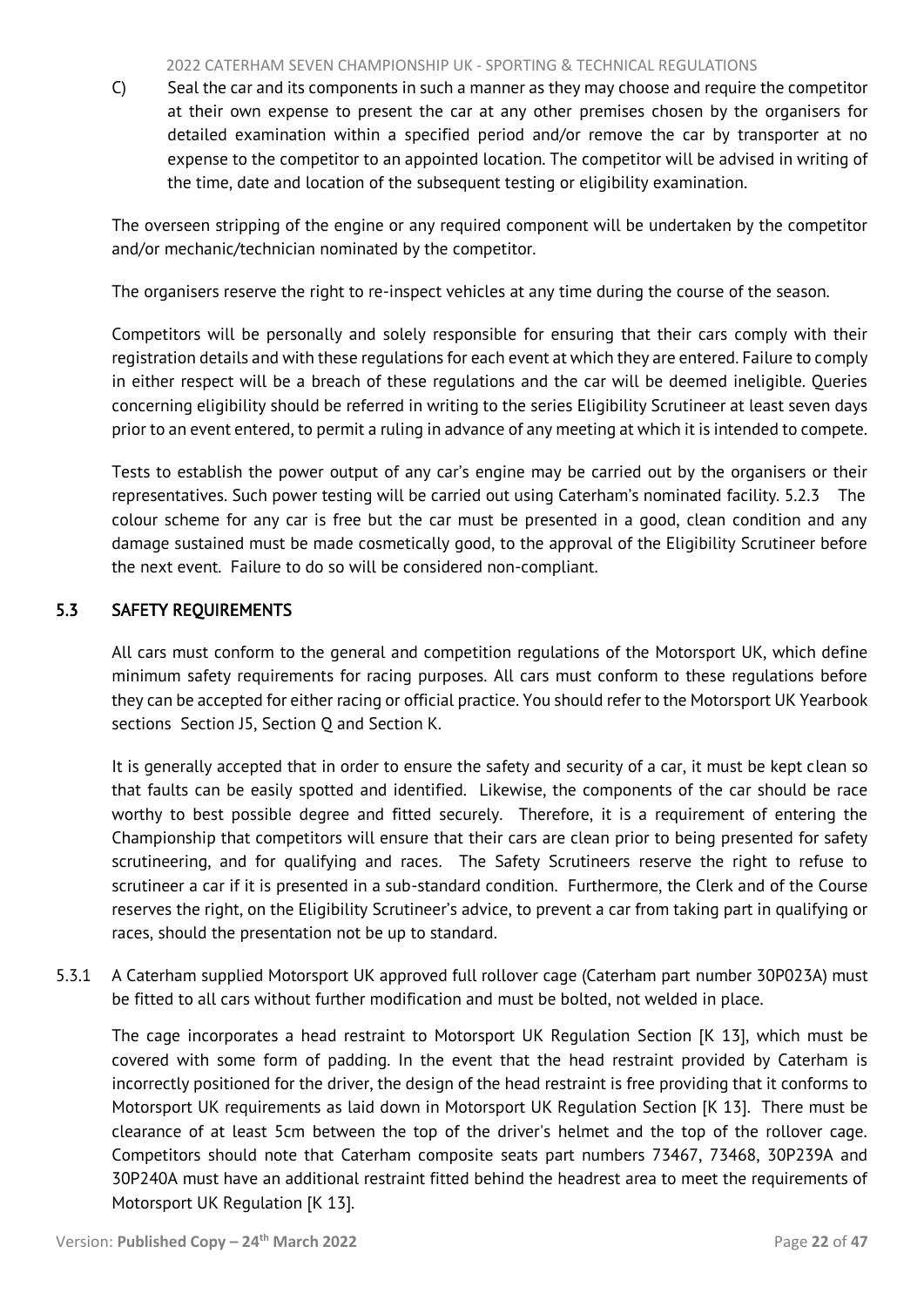#### 2022 CATERHAM SEVEN CHAMPIONSHIP UK - SPORTING & TECHNICAL REGULATIONS

<span id="page-22-1"></span>C) Seal the car and its components in such a manner as they may choose and require the competitor at their own expense to present the car at any other premises chosen by the organisers for detailed examination within a specified period and/or remove the car by transporter at no expense to the competitor to an appointed location. The competitor will be advised in writing of the time, date and location of the subsequent testing or eligibility examination.

The overseen stripping of the engine or any required component will be undertaken by the competitor and/or mechanic/technician nominated by the competitor.

The organisers reserve the right to re-inspect vehicles at any time during the course of the season.

Competitors will be personally and solely responsible for ensuring that their cars comply with their registration details and with these regulations for each event at which they are entered. Failure to comply in either respect will be a breach of these regulations and the car will be deemed ineligible. Queries concerning eligibility should be referred in writing to the series Eligibility Scrutineer at least seven days prior to an event entered, to permit a ruling in advance of any meeting at which it is intended to compete.

Tests to establish the power output of any car's engine may be carried out by the organisers or their representatives. Such power testing will be carried out using Caterham's nominated facility. 5.2.3 The colour scheme for any car is free but the car must be presented in a good, clean condition and any damage sustained must be made cosmetically good, to the approval of the Eligibility Scrutineer before the next event. Failure to do so will be considered non-compliant.

# <span id="page-22-0"></span>5.3 SAFETY REQUIREMENTS

All cars must conform to the general and competition regulations of the Motorsport UK, which define minimum safety requirements for racing purposes. All cars must conform to these regulations before they can be accepted for either racing or official practice. You should refer to the Motorsport UK Yearbook sections Section J5, Section Q and Section K.

It is generally accepted that in order to ensure the safety and security of a car, it must be kept clean so that faults can be easily spotted and identified. Likewise, the components of the car should be race worthy to best possible degree and fitted securely. Therefore, it is a requirement of entering the Championship that competitors will ensure that their cars are clean prior to being presented for safety scrutineering, and for qualifying and races. The Safety Scrutineers reserve the right to refuse to scrutineer a car if it is presented in a sub-standard condition. Furthermore, the Clerk and of the Course reserves the right, on the Eligibility Scrutineer's advice, to prevent a car from taking part in qualifying or races, should the presentation not be up to standard.

5.3.1 A Caterham supplied Motorsport UK approved full rollover cage (Caterham part number 30P023A) must be fitted to all cars without further modification and must be bolted, not welded in place.

The cage incorporates a head restraint to Motorsport UK Regulation Section [K 13], which must be covered with some form of padding. In the event that the head restraint provided by Caterham is incorrectly positioned for the driver, the design of the head restraint is free providing that it conforms to Motorsport UK requirements as laid down in Motorsport UK Regulation Section [K 13]. There must be clearance of at least 5cm between the top of the driver's helmet and the top of the rollover cage. Competitors should note that Caterham composite seats part numbers 73467, 73468, 30P239A and 30P240A must have an additional restraint fitted behind the headrest area to meet the requirements of Motorsport UK Regulation [K 13].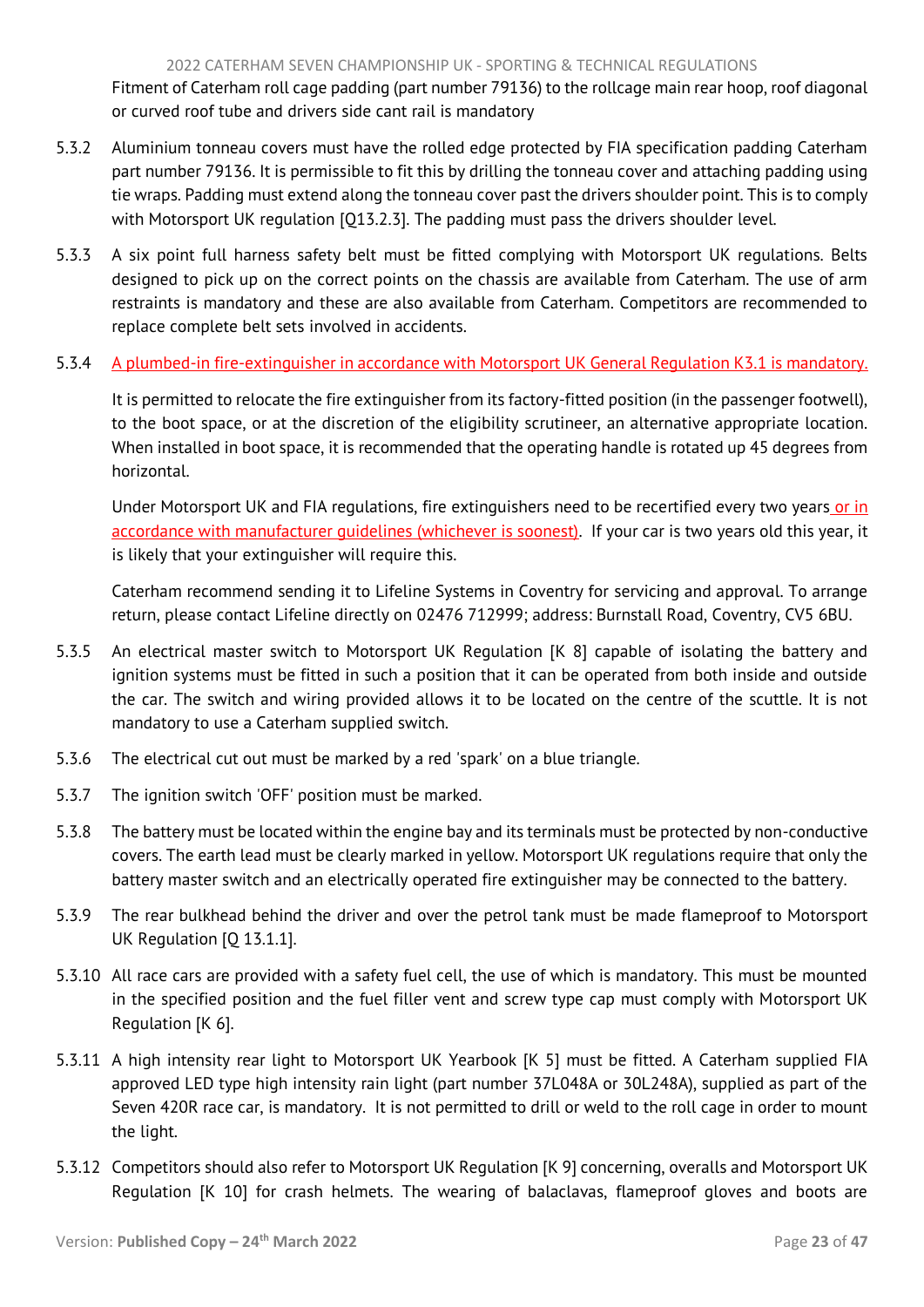Fitment of Caterham roll cage padding (part number 79136) to the rollcage main rear hoop, roof diagonal or curved roof tube and drivers side cant rail is mandatory

- 5.3.2 Aluminium tonneau covers must have the rolled edge protected by FIA specification padding Caterham part number 79136. It is permissible to fit this by drilling the tonneau cover and attaching padding using tie wraps. Padding must extend along the tonneau cover past the drivers shoulder point. This is to comply with Motorsport UK regulation [Q13.2.3]. The padding must pass the drivers shoulder level.
- 5.3.3 A six point full harness safety belt must be fitted complying with Motorsport UK regulations. Belts designed to pick up on the correct points on the chassis are available from Caterham. The use of arm restraints is mandatory and these are also available from Caterham. Competitors are recommended to replace complete belt sets involved in accidents.

# 5.3.4 A plumbed-in fire-extinguisher in accordance with Motorsport UK General Regulation K3.1 is mandatory.

It is permitted to relocate the fire extinguisher from its factory-fitted position (in the passenger footwell), to the boot space, or at the discretion of the eligibility scrutineer, an alternative appropriate location. When installed in boot space, it is recommended that the operating handle is rotated up 45 degrees from horizontal.

Under Motorsport UK and FIA regulations, fire extinguishers need to be recertified every two years or in accordance with manufacturer quidelines (whichever is soonest). If your car is two years old this year, it is likely that your extinguisher will require this.

Caterham recommend sending it to Lifeline Systems in Coventry for servicing and approval. To arrange return, please contact Lifeline directly on 02476 712999; address: Burnstall Road, Coventry, CV5 6BU.

- 5.3.5 An electrical master switch to Motorsport UK Regulation [K 8] capable of isolating the battery and ignition systems must be fitted in such a position that it can be operated from both inside and outside the car. The switch and wiring provided allows it to be located on the centre of the scuttle. It is not mandatory to use a Caterham supplied switch.
- 5.3.6 The electrical cut out must be marked by a red 'spark' on a blue triangle.
- 5.3.7 The ignition switch 'OFF' position must be marked.
- 5.3.8 The battery must be located within the engine bay and its terminals must be protected by non-conductive covers. The earth lead must be clearly marked in yellow. Motorsport UK regulations require that only the battery master switch and an electrically operated fire extinguisher may be connected to the battery.
- 5.3.9 The rear bulkhead behind the driver and over the petrol tank must be made flameproof to Motorsport UK Regulation [Q 13.1.1].
- 5.3.10 All race cars are provided with a safety fuel cell, the use of which is mandatory. This must be mounted in the specified position and the fuel filler vent and screw type cap must comply with Motorsport UK Regulation [K 6].
- 5.3.11 A high intensity rear light to Motorsport UK Yearbook [K 5] must be fitted. A Caterham supplied FIA approved LED type high intensity rain light (part number 37L048A or 30L248A), supplied as part of the Seven 420R race car, is mandatory. It is not permitted to drill or weld to the roll cage in order to mount the light.
- 5.3.12 Competitors should also refer to Motorsport UK Regulation [K 9] concerning, overalls and Motorsport UK Regulation [K 10] for crash helmets. The wearing of balaclavas, flameproof gloves and boots are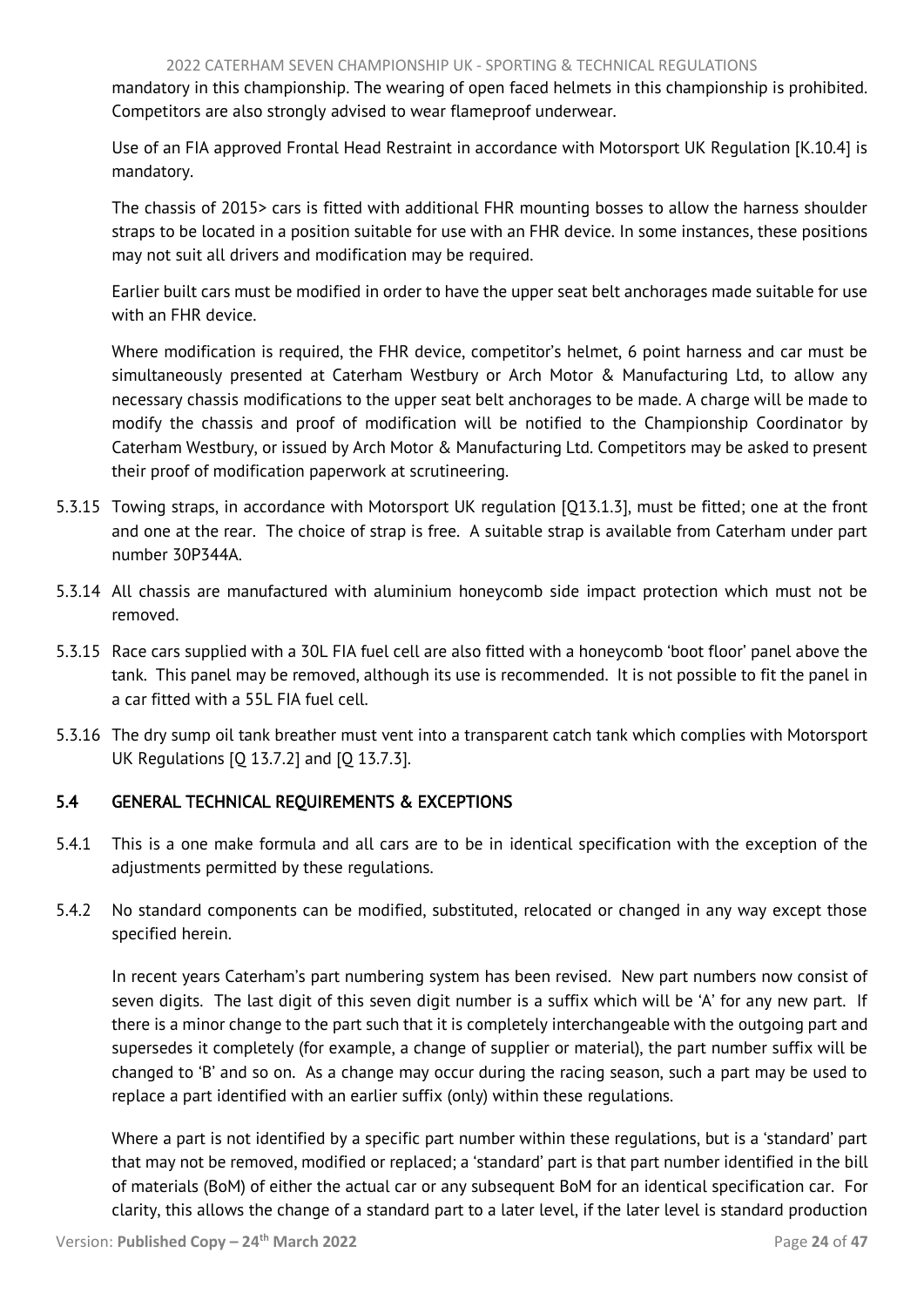<span id="page-24-1"></span>mandatory in this championship. The wearing of open faced helmets in this championship is prohibited. Competitors are also strongly advised to wear flameproof underwear.

Use of an FIA approved Frontal Head Restraint in accordance with Motorsport UK Regulation [K.10.4] is mandatory.

The chassis of 2015> cars is fitted with additional FHR mounting bosses to allow the harness shoulder straps to be located in a position suitable for use with an FHR device. In some instances, these positions may not suit all drivers and modification may be required.

Earlier built cars must be modified in order to have the upper seat belt anchorages made suitable for use with an FHR device.

Where modification is required, the FHR device, competitor's helmet, 6 point harness and car must be simultaneously presented at Caterham Westbury or Arch Motor & Manufacturing Ltd, to allow any necessary chassis modifications to the upper seat belt anchorages to be made. A charge will be made to modify the chassis and proof of modification will be notified to the Championship Coordinator by Caterham Westbury, or issued by Arch Motor & Manufacturing Ltd. Competitors may be asked to present their proof of modification paperwork at scrutineering.

- 5.3.15 Towing straps, in accordance with Motorsport UK regulation [Q13.1.3], must be fitted; one at the front and one at the rear. The choice of strap is free. A suitable strap is available from Caterham under part number 30P344A.
- 5.3.14 All chassis are manufactured with aluminium honeycomb side impact protection which must not be removed.
- 5.3.15 Race cars supplied with a 30L FIA fuel cell are also fitted with a honeycomb 'boot floor' panel above the tank. This panel may be removed, although its use is recommended. It is not possible to fit the panel in a car fitted with a 55L FIA fuel cell.
- 5.3.16 The dry sump oil tank breather must vent into a transparent catch tank which complies with Motorsport UK Regulations [Q 13.7.2] and [Q 13.7.3].

# <span id="page-24-0"></span>5.4 GENERAL TECHNICAL REQUIREMENTS & EXCEPTIONS

- 5.4.1 This is a one make formula and all cars are to be in identical specification with the exception of the adjustments permitted by these regulations.
- 5.4.2 No standard components can be modified, substituted, relocated or changed in any way except those specified herein.

In recent years Caterham's part numbering system has been revised. New part numbers now consist of seven digits. The last digit of this seven digit number is a suffix which will be 'A' for any new part. If there is a minor change to the part such that it is completely interchangeable with the outgoing part and supersedes it completely (for example, a change of supplier or material), the part number suffix will be changed to 'B' and so on. As a change may occur during the racing season, such a part may be used to replace a part identified with an earlier suffix (only) within these regulations.

Where a part is not identified by a specific part number within these regulations, but is a 'standard' part that may not be removed, modified or replaced; a 'standard' part is that part number identified in the bill of materials (BoM) of either the actual car or any subsequent BoM for an identical specification car. For clarity, this allows the change of a standard part to a later level, if the later level is standard production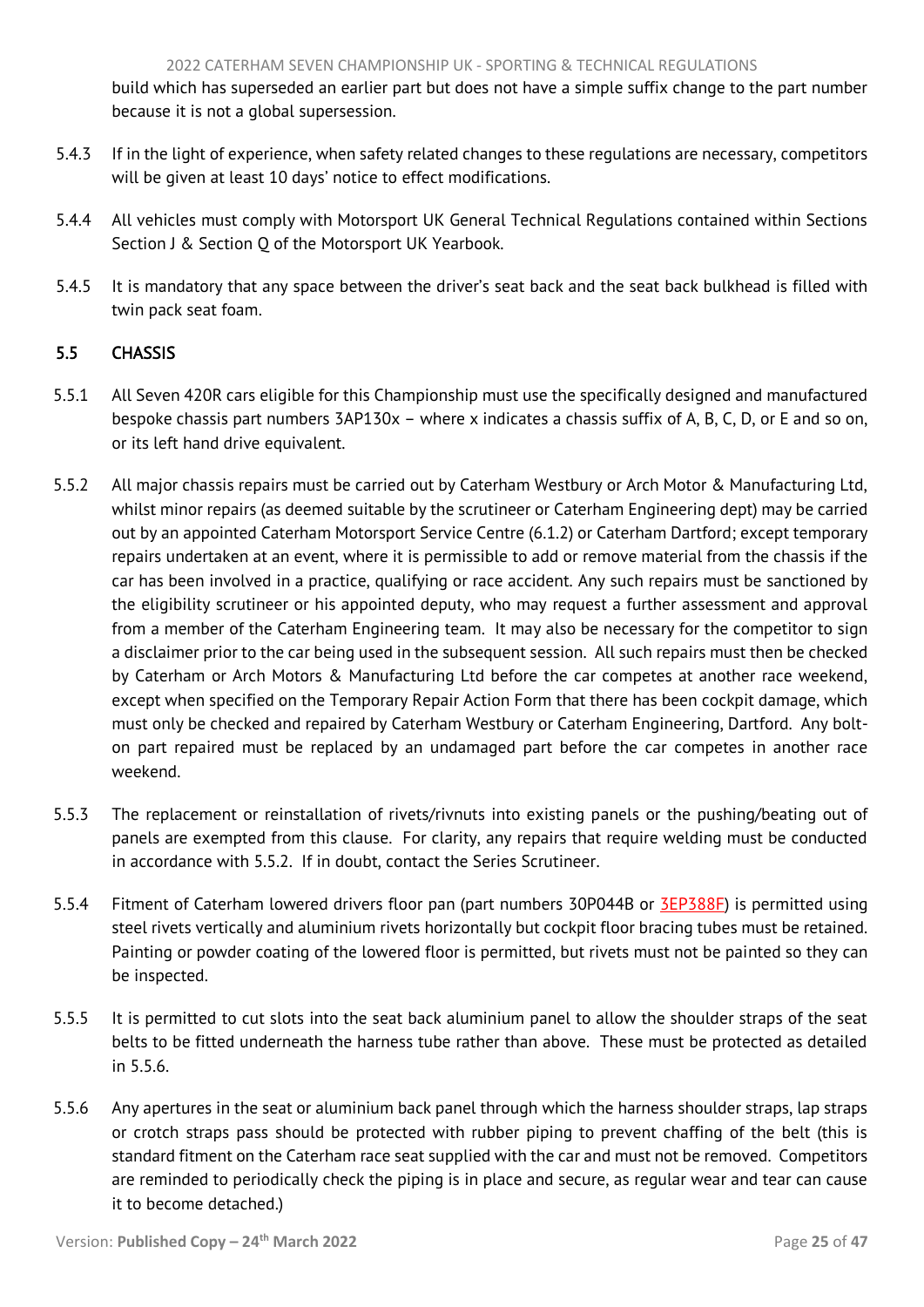<span id="page-25-1"></span>build which has superseded an earlier part but does not have a simple suffix change to the part number because it is not a global supersession.

- 5.4.3 If in the light of experience, when safety related changes to these regulations are necessary, competitors will be given at least 10 days' notice to effect modifications.
- 5.4.4 All vehicles must comply with Motorsport UK General Technical Regulations contained within Sections Section J & Section Q of the Motorsport UK Yearbook.
- 5.4.5 It is mandatory that any space between the driver's seat back and the seat back bulkhead is filled with twin pack seat foam.

# <span id="page-25-0"></span>5.5 CHASSIS

- 5.5.1 All Seven 420R cars eligible for this Championship must use the specifically designed and manufactured bespoke chassis part numbers 3AP130x – where x indicates a chassis suffix of A, B, C, D, or E and so on, or its left hand drive equivalent.
- 5.5.2 All major chassis repairs must be carried out by Caterham Westbury or Arch Motor & Manufacturing Ltd, whilst minor repairs (as deemed suitable by the scrutineer or Caterham Engineering dept) may be carried out by an appointed Caterham Motorsport Service Centre (6.1.2) or Caterham Dartford; except temporary repairs undertaken at an event, where it is permissible to add or remove material from the chassis if the car has been involved in a practice, qualifying or race accident. Any such repairs must be sanctioned by the eligibility scrutineer or his appointed deputy, who may request a further assessment and approval from a member of the Caterham Engineering team. It may also be necessary for the competitor to sign a disclaimer prior to the car being used in the subsequent session. All such repairs must then be checked by Caterham or Arch Motors & Manufacturing Ltd before the car competes at another race weekend, except when specified on the Temporary Repair Action Form that there has been cockpit damage, which must only be checked and repaired by Caterham Westbury or Caterham Engineering, Dartford. Any bolton part repaired must be replaced by an undamaged part before the car competes in another race weekend.
- 5.5.3 The replacement or reinstallation of rivets/rivnuts into existing panels or the pushing/beating out of panels are exempted from this clause. For clarity, any repairs that require welding must be conducted in accordance with 5.5.2. If in doubt, contact the Series Scrutineer.
- 5.5.4 Fitment of Caterham lowered drivers floor pan (part numbers 30P044B or **3EP388F**) is permitted using steel rivets vertically and aluminium rivets horizontally but cockpit floor bracing tubes must be retained. Painting or powder coating of the lowered floor is permitted, but rivets must not be painted so they can be inspected.
- 5.5.5 It is permitted to cut slots into the seat back aluminium panel to allow the shoulder straps of the seat belts to be fitted underneath the harness tube rather than above. These must be protected as detailed in 5.5.6.
- 5.5.6 Any apertures in the seat or aluminium back panel through which the harness shoulder straps, lap straps or crotch straps pass should be protected with rubber piping to prevent chaffing of the belt (this is standard fitment on the Caterham race seat supplied with the car and must not be removed. Competitors are reminded to periodically check the piping is in place and secure, as regular wear and tear can cause it to become detached.)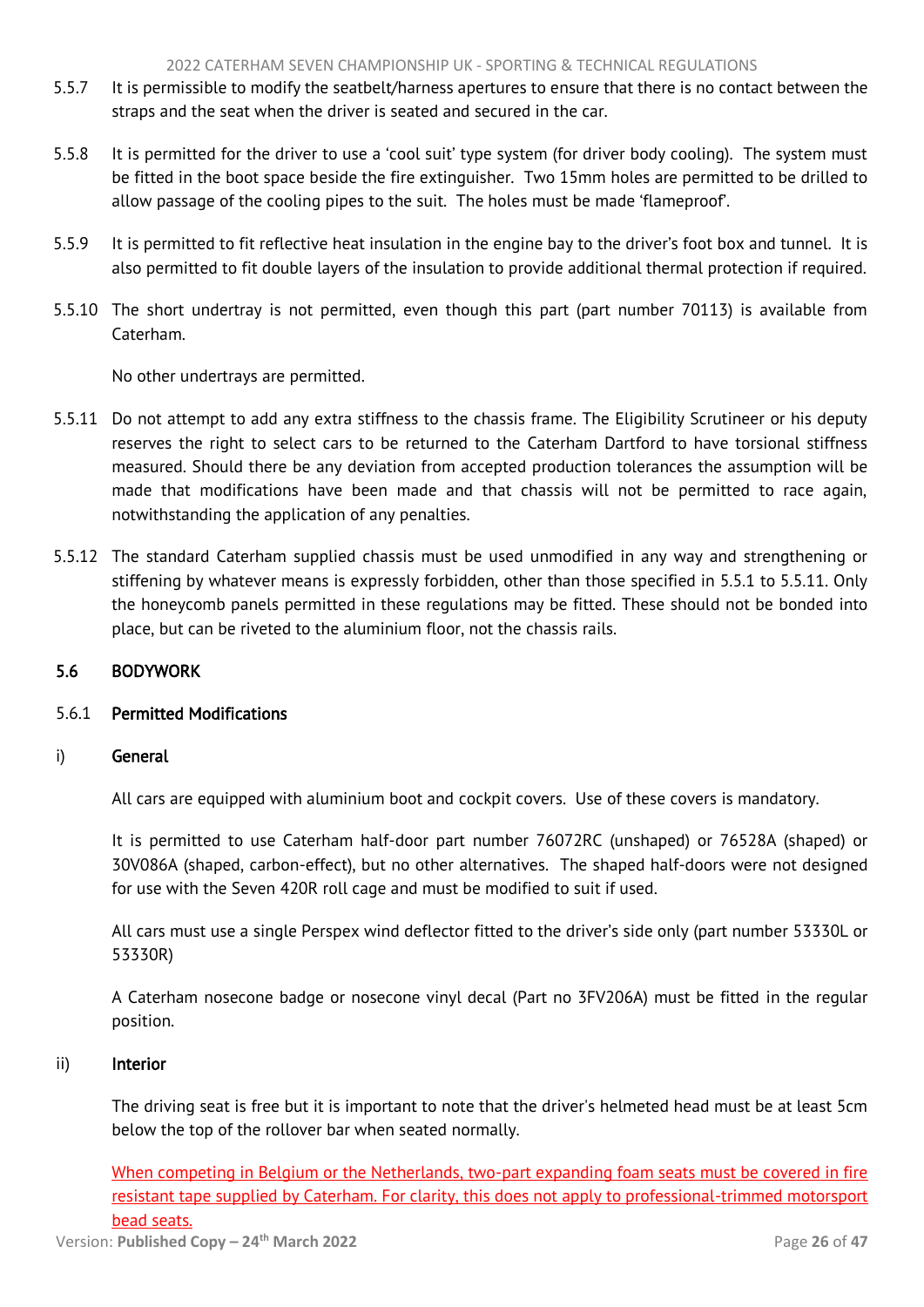- <span id="page-26-1"></span>5.5.7 It is permissible to modify the seatbelt/harness apertures to ensure that there is no contact between the straps and the seat when the driver is seated and secured in the car.
- 5.5.8 It is permitted for the driver to use a 'cool suit' type system (for driver body cooling). The system must be fitted in the boot space beside the fire extinguisher. Two 15mm holes are permitted to be drilled to allow passage of the cooling pipes to the suit. The holes must be made 'flameproof'.
- 5.5.9 It is permitted to fit reflective heat insulation in the engine bay to the driver's foot box and tunnel. It is also permitted to fit double layers of the insulation to provide additional thermal protection if required.
- 5.5.10 The short undertray is not permitted, even though this part (part number 70113) is available from Caterham.

No other undertrays are permitted.

- 5.5.11 Do not attempt to add any extra stiffness to the chassis frame. The Eligibility Scrutineer or his deputy reserves the right to select cars to be returned to the Caterham Dartford to have torsional stiffness measured. Should there be any deviation from accepted production tolerances the assumption will be made that modifications have been made and that chassis will not be permitted to race again, notwithstanding the application of any penalties.
- 5.5.12 The standard Caterham supplied chassis must be used unmodified in any way and strengthening or stiffening by whatever means is expressly forbidden, other than those specified in 5.5.1 to 5.5.11. Only the honeycomb panels permitted in these regulations may be fitted. These should not be bonded into place, but can be riveted to the aluminium floor, not the chassis rails.

## <span id="page-26-0"></span>5.6 BODYWORK

## 5.6.1 Permitted Modifications

## i) General

All cars are equipped with aluminium boot and cockpit covers. Use of these covers is mandatory.

It is permitted to use Caterham half-door part number 76072RC (unshaped) or 76528A (shaped) or 30V086A (shaped, carbon-effect), but no other alternatives. The shaped half-doors were not designed for use with the Seven 420R roll cage and must be modified to suit if used.

All cars must use a single Perspex wind deflector fitted to the driver's side only (part number 53330L or 53330R)

A Caterham nosecone badge or nosecone vinyl decal (Part no 3FV206A) must be fitted in the regular position.

#### ii) Interior

The driving seat is free but it is important to note that the driver's helmeted head must be at least 5cm below the top of the rollover bar when seated normally.

When competing in Belgium or the Netherlands, two-part expanding foam seats must be covered in fire resistant tape supplied by Caterham. For clarity, this does not apply to professional-trimmed motorsport bead seats.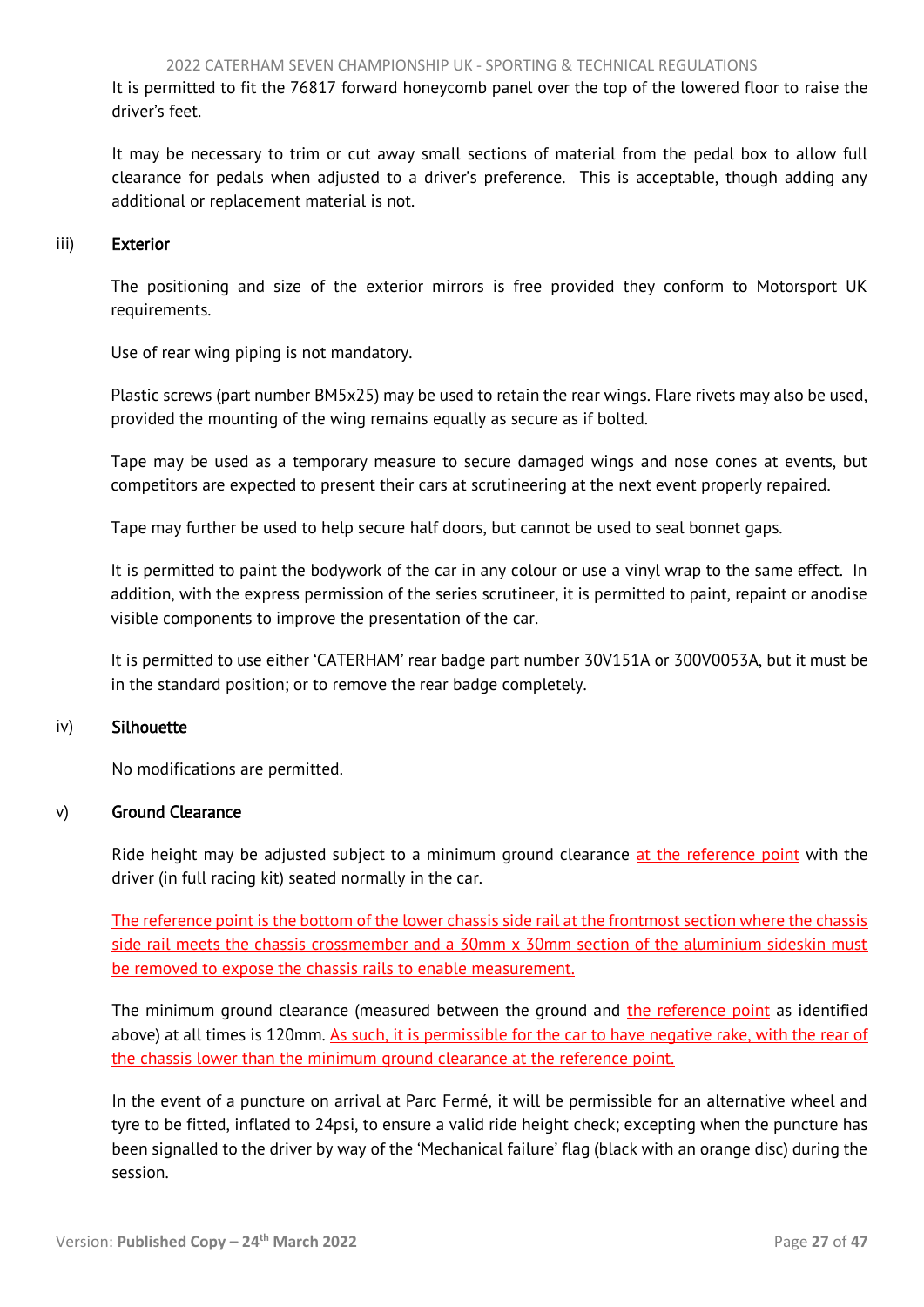It is permitted to fit the 76817 forward honeycomb panel over the top of the lowered floor to raise the driver's feet.

It may be necessary to trim or cut away small sections of material from the pedal box to allow full clearance for pedals when adjusted to a driver's preference. This is acceptable, though adding any additional or replacement material is not.

## iii) Exterior

The positioning and size of the exterior mirrors is free provided they conform to Motorsport UK requirements.

Use of rear wing piping is not mandatory.

Plastic screws (part number BM5x25) may be used to retain the rear wings. Flare rivets may also be used, provided the mounting of the wing remains equally as secure as if bolted.

Tape may be used as a temporary measure to secure damaged wings and nose cones at events, but competitors are expected to present their cars at scrutineering at the next event properly repaired.

Tape may further be used to help secure half doors, but cannot be used to seal bonnet gaps.

It is permitted to paint the bodywork of the car in any colour or use a vinyl wrap to the same effect. In addition, with the express permission of the series scrutineer, it is permitted to paint, repaint or anodise visible components to improve the presentation of the car.

It is permitted to use either 'CATERHAM' rear badge part number 30V151A or 300V0053A, but it must be in the standard position; or to remove the rear badge completely.

## iv) Silhouette

No modifications are permitted.

## v) Ground Clearance

Ride height may be adjusted subject to a minimum ground clearance at the reference point with the driver (in full racing kit) seated normally in the car.

The reference point is the bottom of the lower chassis side rail at the frontmost section where the chassis side rail meets the chassis crossmember and a 30mm x 30mm section of the aluminium sideskin must be removed to expose the chassis rails to enable measurement.

The minimum ground clearance (measured between the ground and the reference point as identified above) at all times is 120mm. As such, it is permissible for the car to have negative rake, with the rear of the chassis lower than the minimum ground clearance at the reference point.

In the event of a puncture on arrival at Parc Fermé, it will be permissible for an alternative wheel and tyre to be fitted, inflated to 24psi, to ensure a valid ride height check; excepting when the puncture has been signalled to the driver by way of the 'Mechanical failure' flag (black with an orange disc) during the session.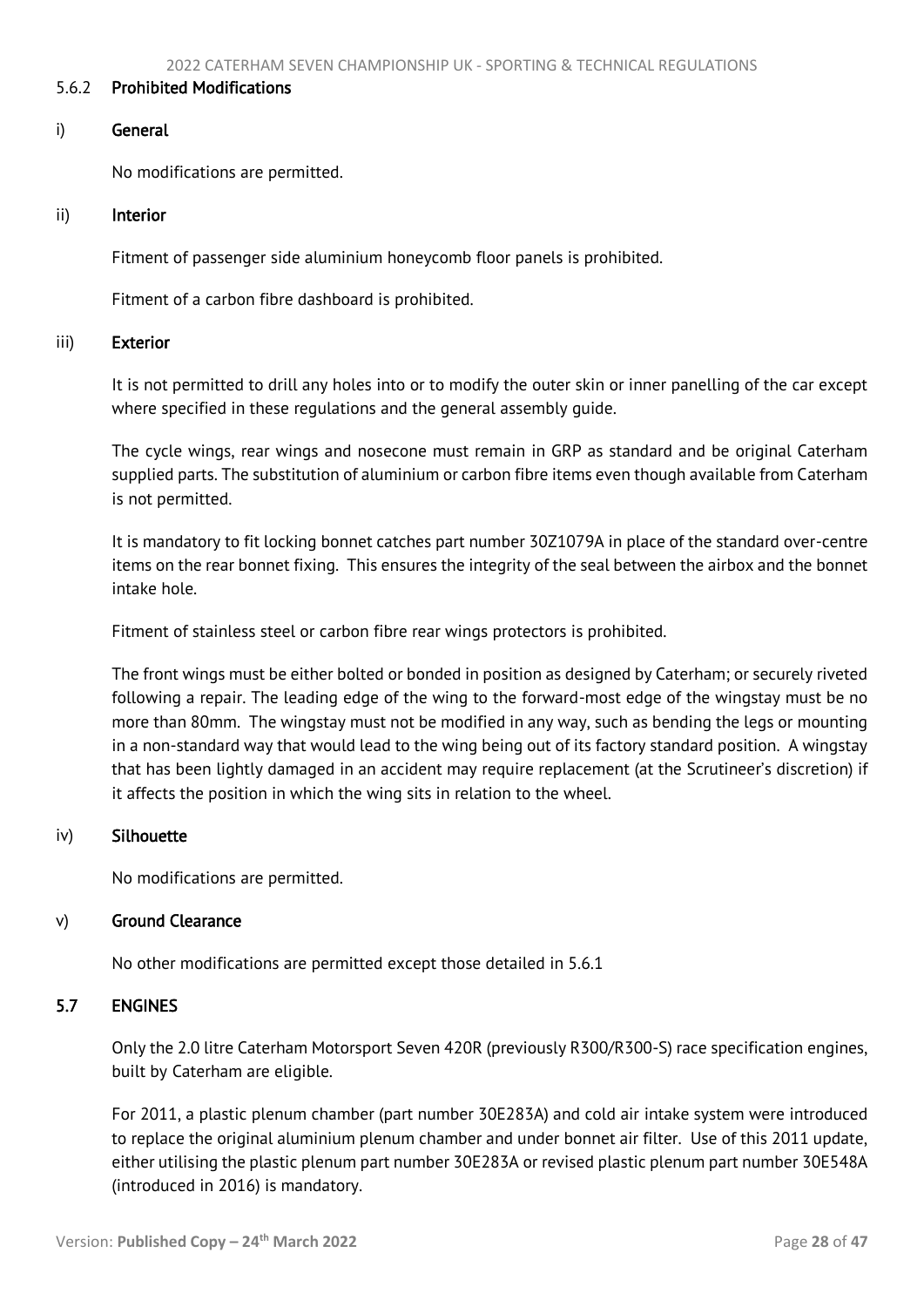#### <span id="page-28-1"></span>5.6.2 Prohibited Modifications

#### i) General

No modifications are permitted.

#### ii) Interior

Fitment of passenger side aluminium honeycomb floor panels is prohibited.

Fitment of a carbon fibre dashboard is prohibited.

#### iii) Exterior

It is not permitted to drill any holes into or to modify the outer skin or inner panelling of the car except where specified in these regulations and the general assembly guide.

The cycle wings, rear wings and nosecone must remain in GRP as standard and be original Caterham supplied parts. The substitution of aluminium or carbon fibre items even though available from Caterham is not permitted.

It is mandatory to fit locking bonnet catches part number 30Z1079A in place of the standard over-centre items on the rear bonnet fixing. This ensures the integrity of the seal between the airbox and the bonnet intake hole.

Fitment of stainless steel or carbon fibre rear wings protectors is prohibited.

The front wings must be either bolted or bonded in position as designed by Caterham; or securely riveted following a repair. The leading edge of the wing to the forward-most edge of the wingstay must be no more than 80mm. The wingstay must not be modified in any way, such as bending the legs or mounting in a non-standard way that would lead to the wing being out of its factory standard position. A wingstay that has been lightly damaged in an accident may require replacement (at the Scrutineer's discretion) if it affects the position in which the wing sits in relation to the wheel.

#### iv) Silhouette

No modifications are permitted.

#### v) Ground Clearance

<span id="page-28-0"></span>No other modifications are permitted except those detailed in 5.6.1

#### 5.7 ENGINES

Only the 2.0 litre Caterham Motorsport Seven 420R (previously R300/R300-S) race specification engines, built by Caterham are eligible.

For 2011, a plastic plenum chamber (part number 30E283A) and cold air intake system were introduced to replace the original aluminium plenum chamber and under bonnet air filter. Use of this 2011 update, either utilising the plastic plenum part number 30E283A or revised plastic plenum part number 30E548A (introduced in 2016) is mandatory.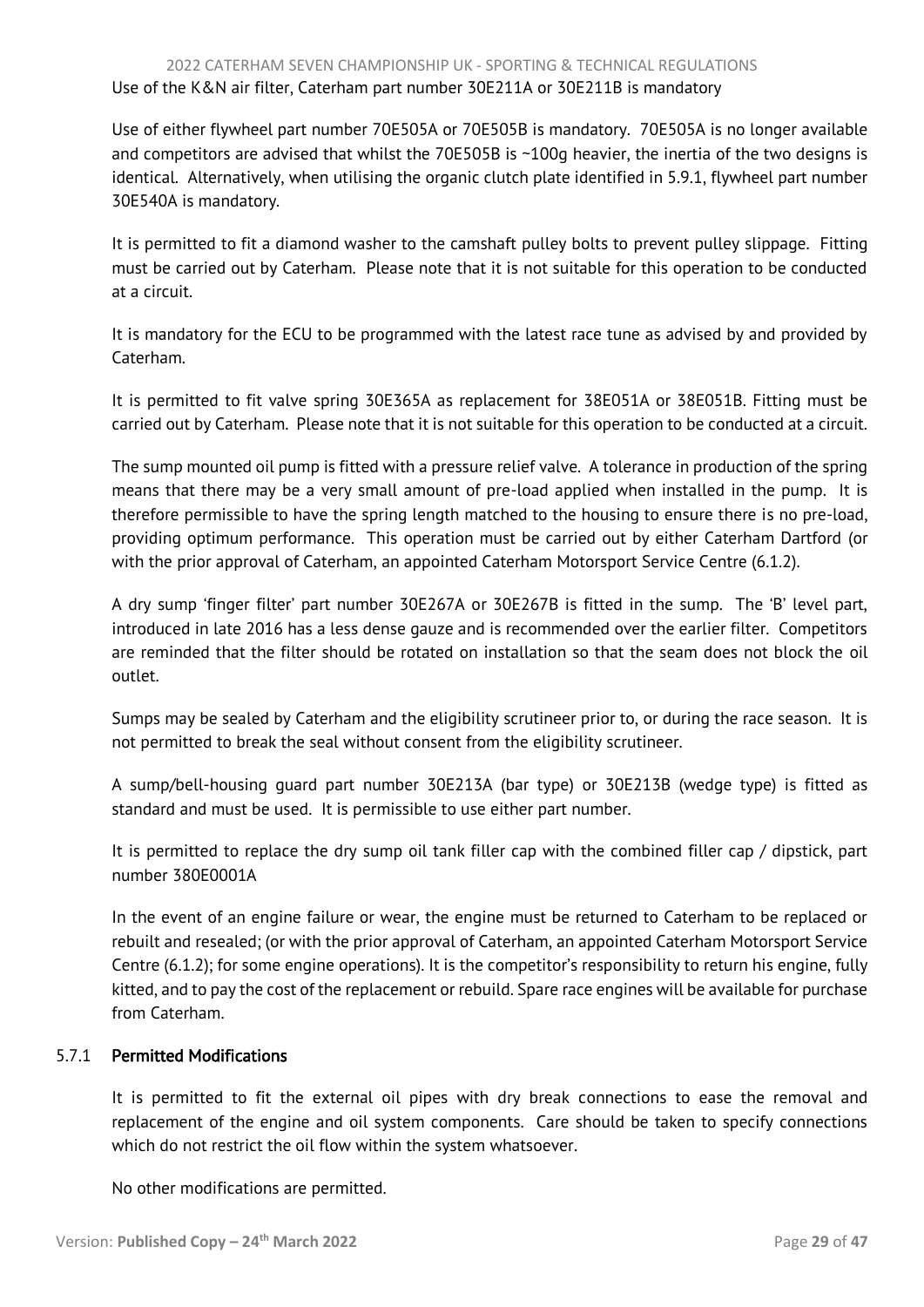Use of either flywheel part number 70E505A or 70E505B is mandatory. 70E505A is no longer available and competitors are advised that whilst the 70E505B is ~100g heavier, the inertia of the two designs is identical. Alternatively, when utilising the organic clutch plate identified in 5.9.1, flywheel part number 30E540A is mandatory.

It is permitted to fit a diamond washer to the camshaft pulley bolts to prevent pulley slippage. Fitting must be carried out by Caterham. Please note that it is not suitable for this operation to be conducted at a circuit.

It is mandatory for the ECU to be programmed with the latest race tune as advised by and provided by Caterham.

It is permitted to fit valve spring 30E365A as replacement for 38E051A or 38E051B. Fitting must be carried out by Caterham. Please note that it is not suitable for this operation to be conducted at a circuit.

The sump mounted oil pump is fitted with a pressure relief valve. A tolerance in production of the spring means that there may be a very small amount of pre-load applied when installed in the pump. It is therefore permissible to have the spring length matched to the housing to ensure there is no pre-load, providing optimum performance. This operation must be carried out by either Caterham Dartford (or with the prior approval of Caterham, an appointed Caterham Motorsport Service Centre (6.1.2).

A dry sump 'finger filter' part number 30E267A or 30E267B is fitted in the sump. The 'B' level part, introduced in late 2016 has a less dense gauze and is recommended over the earlier filter. Competitors are reminded that the filter should be rotated on installation so that the seam does not block the oil outlet.

Sumps may be sealed by Caterham and the eligibility scrutineer prior to, or during the race season. It is not permitted to break the seal without consent from the eligibility scrutineer.

A sump/bell-housing guard part number 30E213A (bar type) or 30E213B (wedge type) is fitted as standard and must be used. It is permissible to use either part number.

It is permitted to replace the dry sump oil tank filler cap with the combined filler cap / dipstick, part number 380E0001A

In the event of an engine failure or wear, the engine must be returned to Caterham to be replaced or rebuilt and resealed; (or with the prior approval of Caterham, an appointed Caterham Motorsport Service Centre (6.1.2); for some engine operations). It is the competitor's responsibility to return his engine, fully kitted, and to pay the cost of the replacement or rebuild. Spare race engines will be available for purchase from Caterham.

# 5.7.1 Permitted Modifications

It is permitted to fit the external oil pipes with dry break connections to ease the removal and replacement of the engine and oil system components. Care should be taken to specify connections which do not restrict the oil flow within the system whatsoever.

No other modifications are permitted.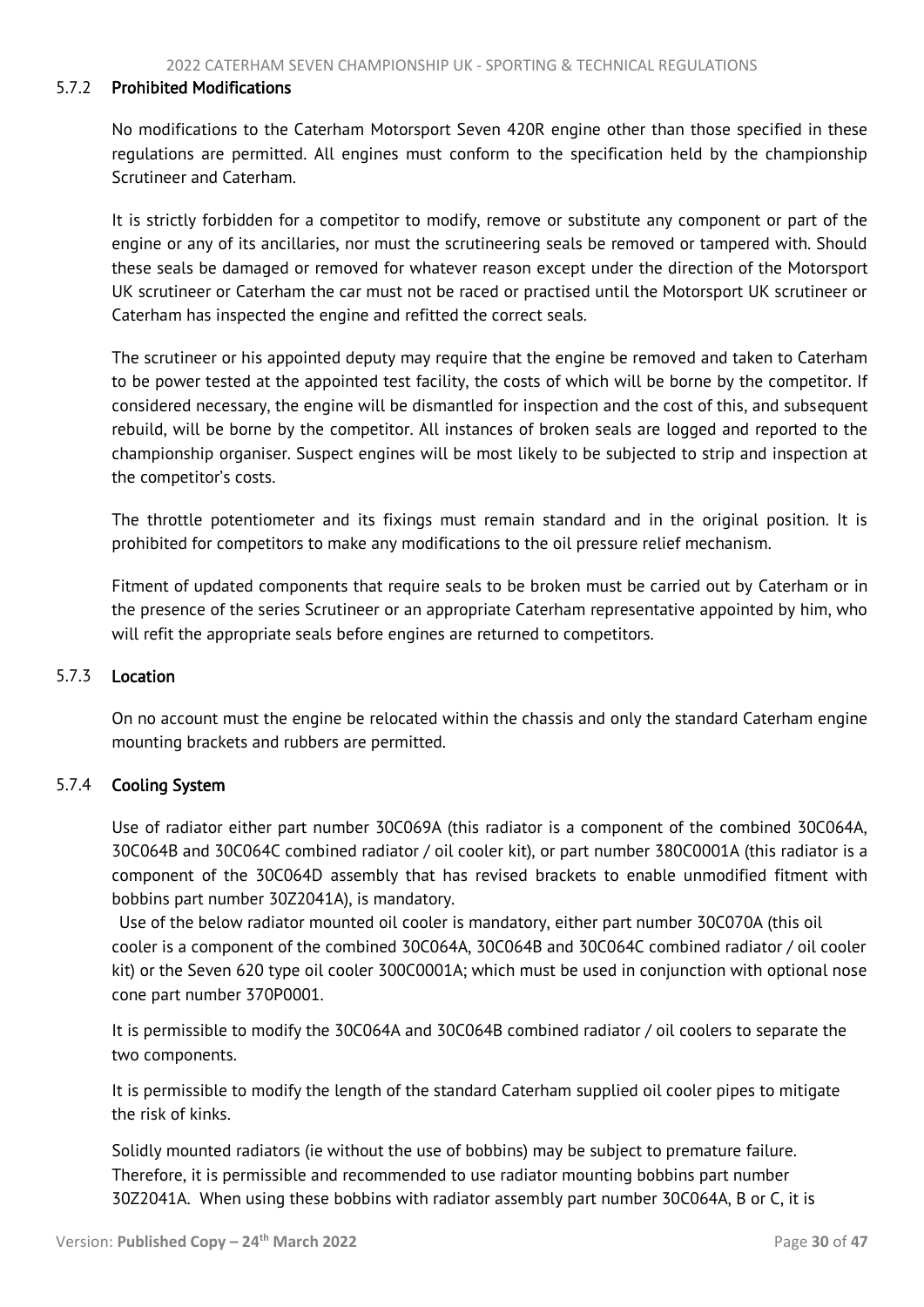#### 5.7.2 Prohibited Modifications

No modifications to the Caterham Motorsport Seven 420R engine other than those specified in these regulations are permitted. All engines must conform to the specification held by the championship Scrutineer and Caterham.

It is strictly forbidden for a competitor to modify, remove or substitute any component or part of the engine or any of its ancillaries, nor must the scrutineering seals be removed or tampered with. Should these seals be damaged or removed for whatever reason except under the direction of the Motorsport UK scrutineer or Caterham the car must not be raced or practised until the Motorsport UK scrutineer or Caterham has inspected the engine and refitted the correct seals.

The scrutineer or his appointed deputy may require that the engine be removed and taken to Caterham to be power tested at the appointed test facility, the costs of which will be borne by the competitor. If considered necessary, the engine will be dismantled for inspection and the cost of this, and subsequent rebuild, will be borne by the competitor. All instances of broken seals are logged and reported to the championship organiser. Suspect engines will be most likely to be subjected to strip and inspection at the competitor's costs.

The throttle potentiometer and its fixings must remain standard and in the original position. It is prohibited for competitors to make any modifications to the oil pressure relief mechanism.

Fitment of updated components that require seals to be broken must be carried out by Caterham or in the presence of the series Scrutineer or an appropriate Caterham representative appointed by him, who will refit the appropriate seals before engines are returned to competitors.

## 5.7.3 Location

On no account must the engine be relocated within the chassis and only the standard Caterham engine mounting brackets and rubbers are permitted.

## 5.7.4 Cooling System

Use of radiator either part number 30C069A (this radiator is a component of the combined 30C064A, 30C064B and 30C064C combined radiator / oil cooler kit), or part number 380C0001A (this radiator is a component of the 30C064D assembly that has revised brackets to enable unmodified fitment with bobbins part number 30Z2041A), is mandatory.

Use of the below radiator mounted oil cooler is mandatory, either part number 30C070A (this oil cooler is a component of the combined 30C064A, 30C064B and 30C064C combined radiator / oil cooler kit) or the Seven 620 type oil cooler 300C0001A; which must be used in conjunction with optional nose cone part number 370P0001.

It is permissible to modify the 30C064A and 30C064B combined radiator / oil coolers to separate the two components.

It is permissible to modify the length of the standard Caterham supplied oil cooler pipes to mitigate the risk of kinks.

Solidly mounted radiators (ie without the use of bobbins) may be subject to premature failure. Therefore, it is permissible and recommended to use radiator mounting bobbins part number 30Z2041A. When using these bobbins with radiator assembly part number 30C064A, B or C, it is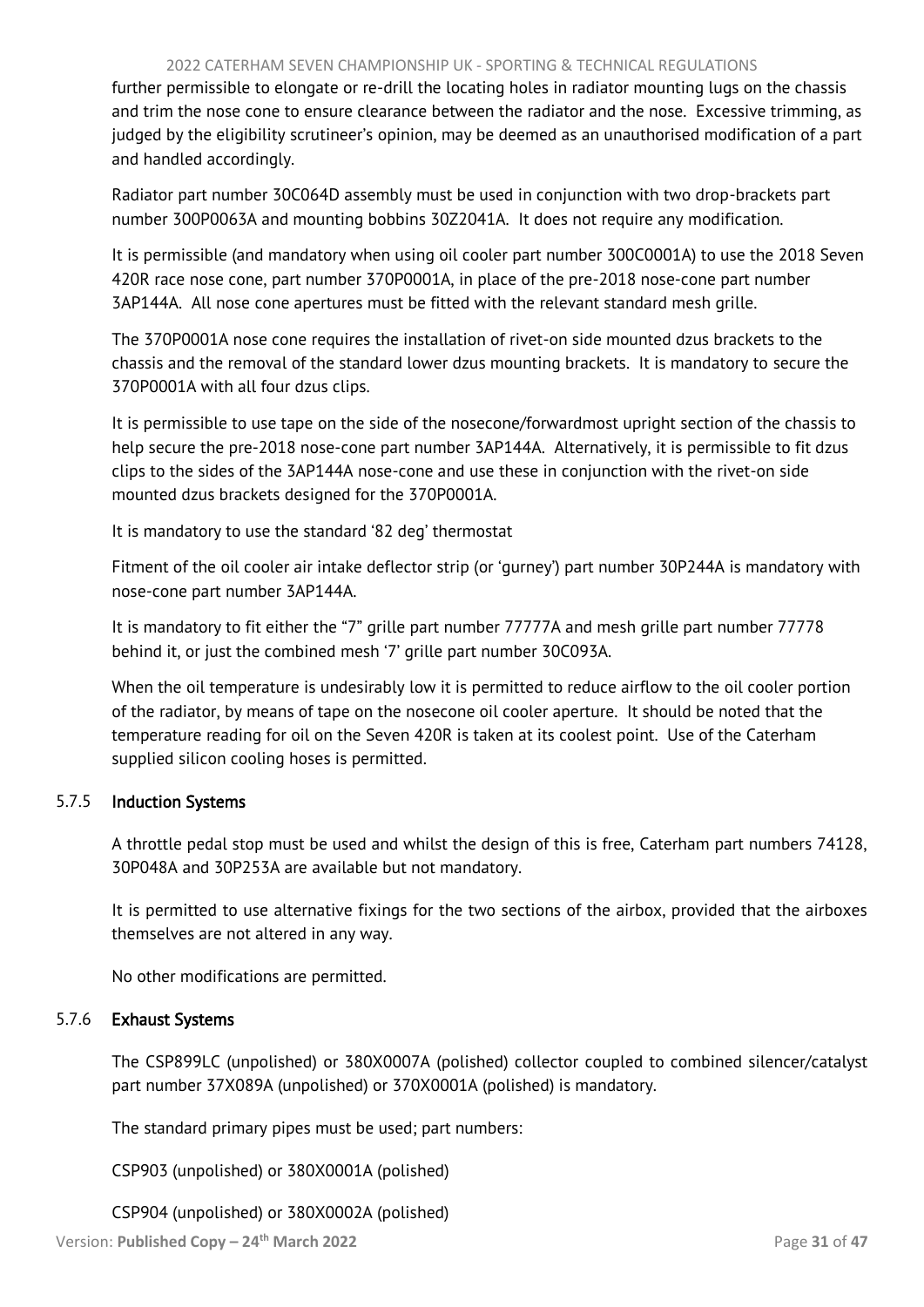#### 2022 CATERHAM SEVEN CHAMPIONSHIP UK - SPORTING & TECHNICAL REGULATIONS

further permissible to elongate or re-drill the locating holes in radiator mounting lugs on the chassis and trim the nose cone to ensure clearance between the radiator and the nose. Excessive trimming, as judged by the eligibility scrutineer's opinion, may be deemed as an unauthorised modification of a part and handled accordingly.

Radiator part number 30C064D assembly must be used in conjunction with two drop-brackets part number 300P0063A and mounting bobbins 30Z2041A. It does not require any modification.

It is permissible (and mandatory when using oil cooler part number 300C0001A) to use the 2018 Seven 420R race nose cone, part number 370P0001A, in place of the pre-2018 nose-cone part number 3AP144A. All nose cone apertures must be fitted with the relevant standard mesh grille.

The 370P0001A nose cone requires the installation of rivet-on side mounted dzus brackets to the chassis and the removal of the standard lower dzus mounting brackets. It is mandatory to secure the 370P0001A with all four dzus clips.

It is permissible to use tape on the side of the nosecone/forwardmost upright section of the chassis to help secure the pre-2018 nose-cone part number 3AP144A. Alternatively, it is permissible to fit dzus clips to the sides of the 3AP144A nose-cone and use these in conjunction with the rivet-on side mounted dzus brackets designed for the 370P0001A.

It is mandatory to use the standard '82 deg' thermostat

Fitment of the oil cooler air intake deflector strip (or 'gurney') part number 30P244A is mandatory with nose-cone part number 3AP144A.

It is mandatory to fit either the "7" grille part number 77777A and mesh grille part number 77778 behind it, or just the combined mesh '7' grille part number 30C093A.

When the oil temperature is undesirably low it is permitted to reduce airflow to the oil cooler portion of the radiator, by means of tape on the nosecone oil cooler aperture. It should be noted that the temperature reading for oil on the Seven 420R is taken at its coolest point. Use of the Caterham supplied silicon cooling hoses is permitted.

# 5.7.5 Induction Systems

A throttle pedal stop must be used and whilst the design of this is free, Caterham part numbers 74128, 30P048A and 30P253A are available but not mandatory.

It is permitted to use alternative fixings for the two sections of the airbox, provided that the airboxes themselves are not altered in any way.

No other modifications are permitted.

## 5.7.6 Exhaust Systems

The CSP899LC (unpolished) or 380X0007A (polished) collector coupled to combined silencer/catalyst part number 37X089A (unpolished) or 370X0001A (polished) is mandatory.

The standard primary pipes must be used; part numbers:

CSP903 (unpolished) or 380X0001A (polished)

## CSP904 (unpolished) or 380X0002A (polished)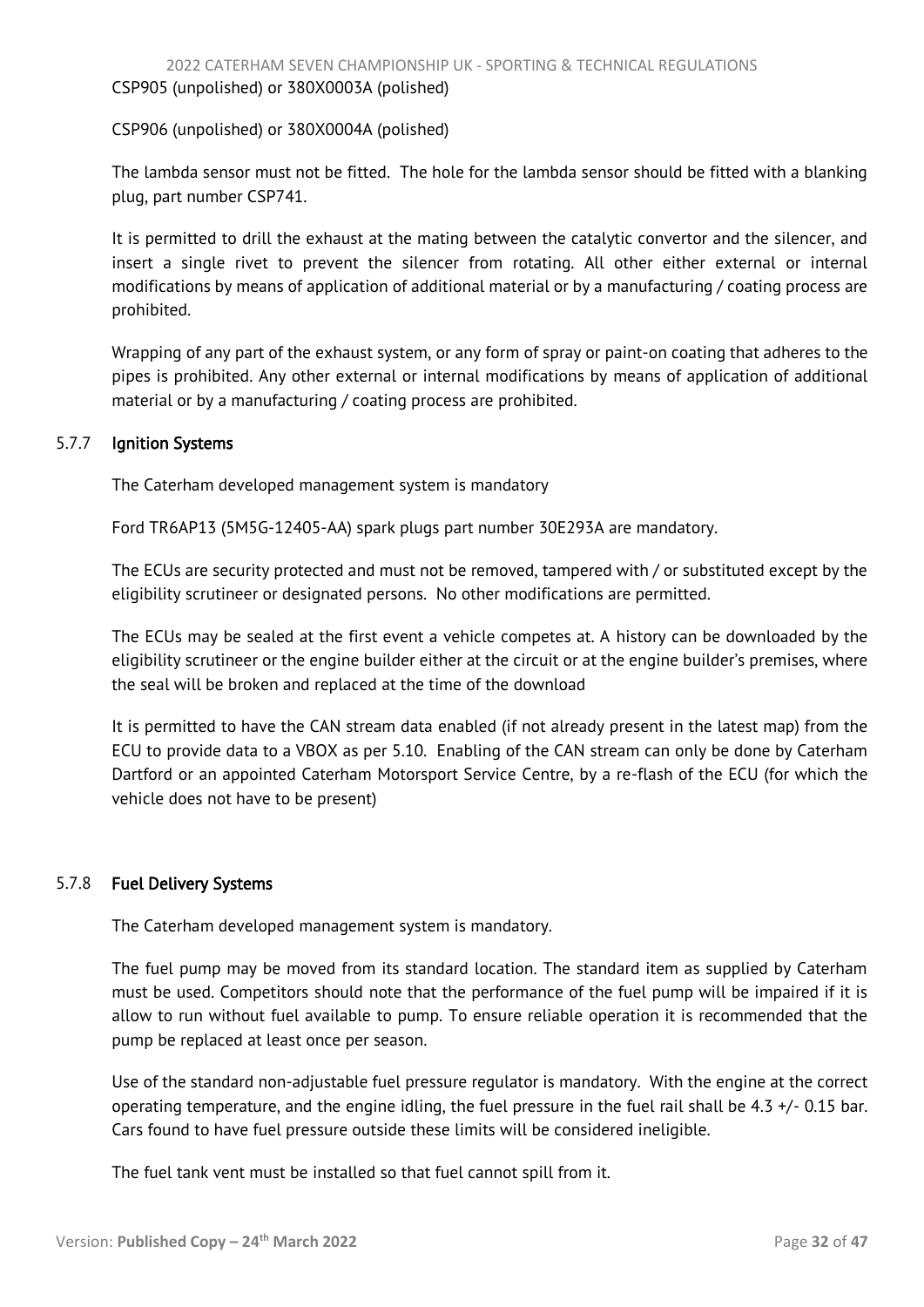CSP906 (unpolished) or 380X0004A (polished)

The lambda sensor must not be fitted. The hole for the lambda sensor should be fitted with a blanking plug, part number CSP741.

It is permitted to drill the exhaust at the mating between the catalytic convertor and the silencer, and insert a single rivet to prevent the silencer from rotating. All other either external or internal modifications by means of application of additional material or by a manufacturing / coating process are prohibited.

Wrapping of any part of the exhaust system, or any form of spray or paint-on coating that adheres to the pipes is prohibited. Any other external or internal modifications by means of application of additional material or by a manufacturing / coating process are prohibited.

# 5.7.7 Ignition Systems

The Caterham developed management system is mandatory

Ford TR6AP13 (5M5G-12405-AA) spark plugs part number 30E293A are mandatory.

The ECUs are security protected and must not be removed, tampered with / or substituted except by the eligibility scrutineer or designated persons. No other modifications are permitted.

The ECUs may be sealed at the first event a vehicle competes at. A history can be downloaded by the eligibility scrutineer or the engine builder either at the circuit or at the engine builder's premises, where the seal will be broken and replaced at the time of the download

It is permitted to have the CAN stream data enabled (if not already present in the latest map) from the ECU to provide data to a VBOX as per 5.10. Enabling of the CAN stream can only be done by Caterham Dartford or an appointed Caterham Motorsport Service Centre, by a re-flash of the ECU (for which the vehicle does not have to be present)

## 5.7.8 Fuel Delivery Systems

The Caterham developed management system is mandatory.

The fuel pump may be moved from its standard location. The standard item as supplied by Caterham must be used. Competitors should note that the performance of the fuel pump will be impaired if it is allow to run without fuel available to pump. To ensure reliable operation it is recommended that the pump be replaced at least once per season.

Use of the standard non-adjustable fuel pressure regulator is mandatory. With the engine at the correct operating temperature, and the engine idling, the fuel pressure in the fuel rail shall be  $4.3 +/-0.15$  bar. Cars found to have fuel pressure outside these limits will be considered ineligible.

The fuel tank vent must be installed so that fuel cannot spill from it.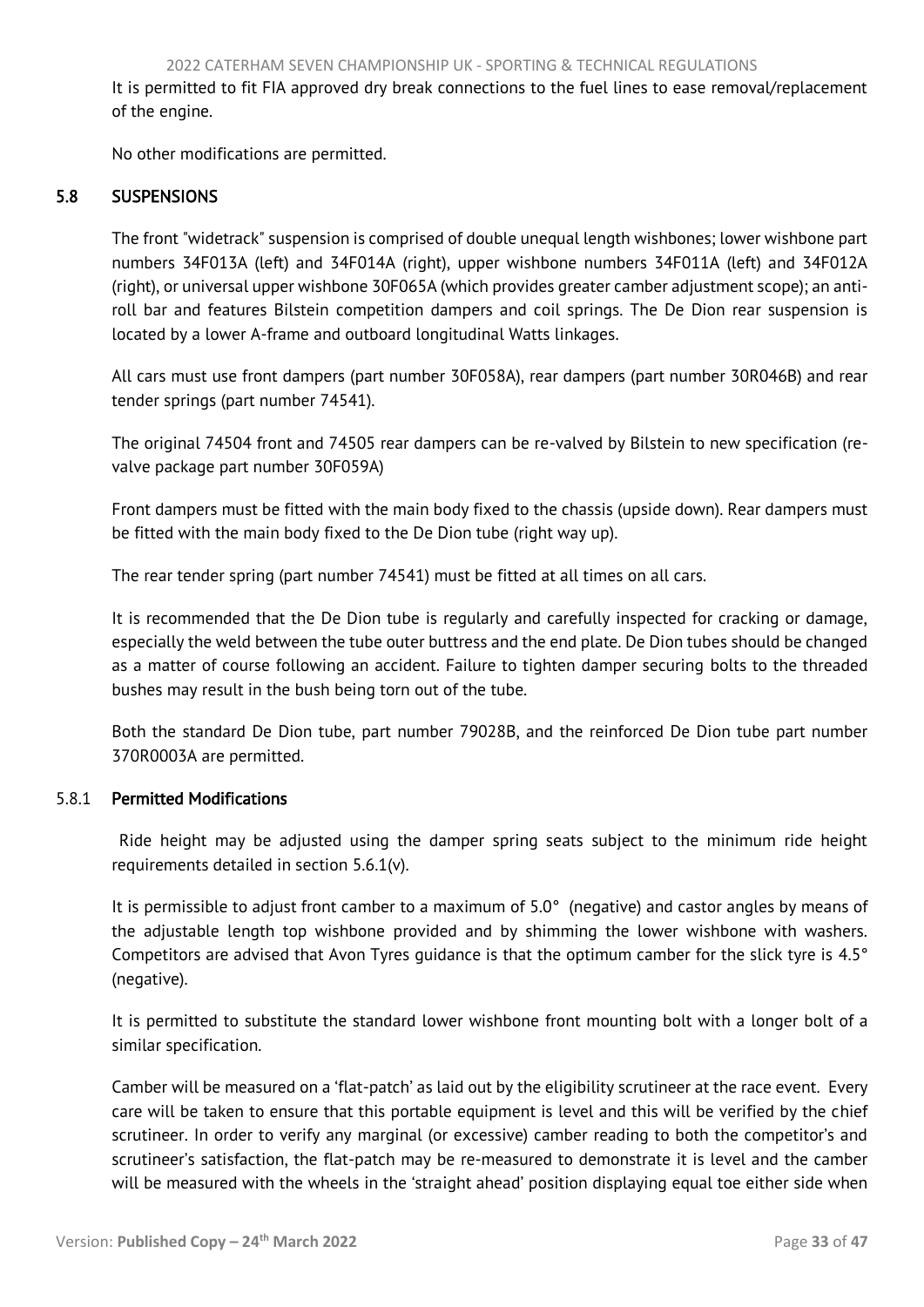<span id="page-33-1"></span>It is permitted to fit FIA approved dry break connections to the fuel lines to ease removal/replacement of the engine.

<span id="page-33-0"></span>No other modifications are permitted.

# 5.8 SUSPENSIONS

The front "widetrack" suspension is comprised of double unequal length wishbones; lower wishbone part numbers 34F013A (left) and 34F014A (right), upper wishbone numbers 34F011A (left) and 34F012A (right), or universal upper wishbone 30F065A (which provides greater camber adjustment scope); an antiroll bar and features Bilstein competition dampers and coil springs. The De Dion rear suspension is located by a lower A-frame and outboard longitudinal Watts linkages.

All cars must use front dampers (part number 30F058A), rear dampers (part number 30R046B) and rear tender springs (part number 74541).

The original 74504 front and 74505 rear dampers can be re-valved by Bilstein to new specification (revalve package part number 30F059A)

Front dampers must be fitted with the main body fixed to the chassis (upside down). Rear dampers must be fitted with the main body fixed to the De Dion tube (right way up).

The rear tender spring (part number 74541) must be fitted at all times on all cars.

It is recommended that the De Dion tube is regularly and carefully inspected for cracking or damage, especially the weld between the tube outer buttress and the end plate. De Dion tubes should be changed as a matter of course following an accident. Failure to tighten damper securing bolts to the threaded bushes may result in the bush being torn out of the tube.

Both the standard De Dion tube, part number 79028B, and the reinforced De Dion tube part number 370R0003A are permitted.

## 5.8.1 Permitted Modifications

Ride height may be adjusted using the damper spring seats subject to the minimum ride height requirements detailed in section 5.6.1(v).

It is permissible to adjust front camber to a maximum of 5.0° (negative) and castor angles by means of the adjustable length top wishbone provided and by shimming the lower wishbone with washers. Competitors are advised that Avon Tyres guidance is that the optimum camber for the slick tyre is 4.5° (negative).

It is permitted to substitute the standard lower wishbone front mounting bolt with a longer bolt of a similar specification.

Camber will be measured on a 'flat-patch' as laid out by the eligibility scrutineer at the race event. Every care will be taken to ensure that this portable equipment is level and this will be verified by the chief scrutineer. In order to verify any marginal (or excessive) camber reading to both the competitor's and scrutineer's satisfaction, the flat-patch may be re-measured to demonstrate it is level and the camber will be measured with the wheels in the 'straight ahead' position displaying equal toe either side when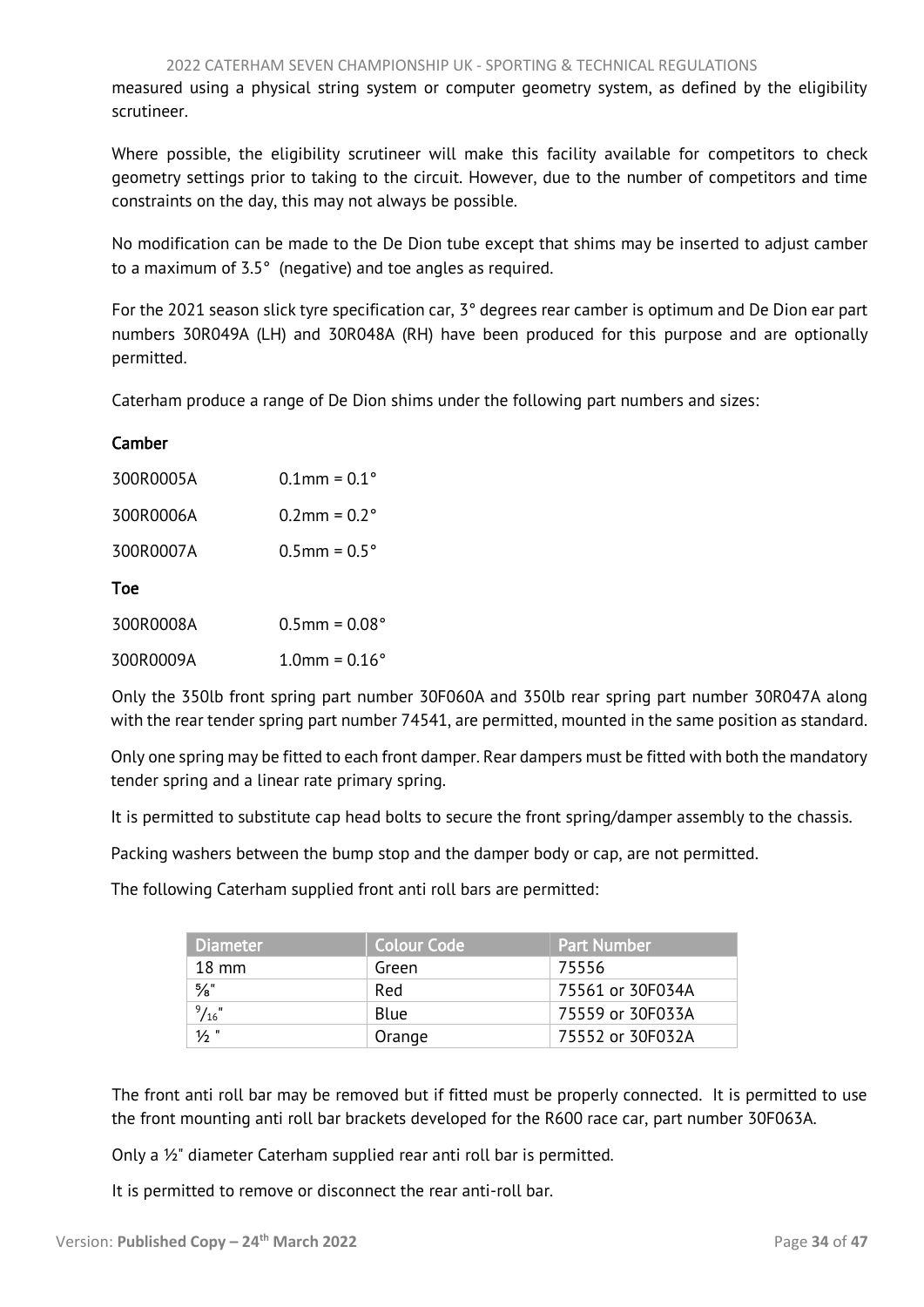measured using a physical string system or computer geometry system, as defined by the eligibility scrutineer.

Where possible, the eligibility scrutineer will make this facility available for competitors to check geometry settings prior to taking to the circuit. However, due to the number of competitors and time constraints on the day, this may not always be possible.

No modification can be made to the De Dion tube except that shims may be inserted to adjust camber to a maximum of 3.5° (negative) and toe angles as required.

For the 2021 season slick tyre specification car, 3° degrees rear camber is optimum and De Dion ear part numbers 30R049A (LH) and 30R048A (RH) have been produced for this purpose and are optionally permitted.

Caterham produce a range of De Dion shims under the following part numbers and sizes:

| Camber    |                           |
|-----------|---------------------------|
| 300R0005A | $0.1$ mm = $0.1$ °        |
| 300R0006A | $0.2$ mm = $0.2^{\circ}$  |
| 300R0007A | $0.5$ mm = $0.5^{\circ}$  |
| Toe       |                           |
| 300R0008A | $0.5$ mm = $0.08^{\circ}$ |
| 300R0009A | $1.0$ mm = $0.16^{\circ}$ |
|           |                           |

Only the 350lb front spring part number 30F060A and 350lb rear spring part number 30R047A along with the rear tender spring part number 74541, are permitted, mounted in the same position as standard.

Only one spring may be fitted to each front damper. Rear dampers must be fitted with both the mandatory tender spring and a linear rate primary spring.

It is permitted to substitute cap head bolts to secure the front spring/damper assembly to the chassis.

Packing washers between the bump stop and the damper body or cap, are not permitted.

The following Caterham supplied front anti roll bars are permitted:

| <b>Diameter</b> | <b>Colour Code</b> | <b>Part Number</b> |
|-----------------|--------------------|--------------------|
| $18 \text{ mm}$ | Green              | 75556              |
| $\frac{5}{8}$ " | Red                | 75561 or 30F034A   |
| $^{9}/_{16}$ "  | Blue               | 75559 or 30F033A   |
| $1/2$ "         | Orange             | 75552 or 30F032A   |

The front anti roll bar may be removed but if fitted must be properly connected. It is permitted to use the front mounting anti roll bar brackets developed for the R600 race car, part number 30F063A.

Only a ½" diameter Caterham supplied rear anti roll bar is permitted.

It is permitted to remove or disconnect the rear anti-roll bar.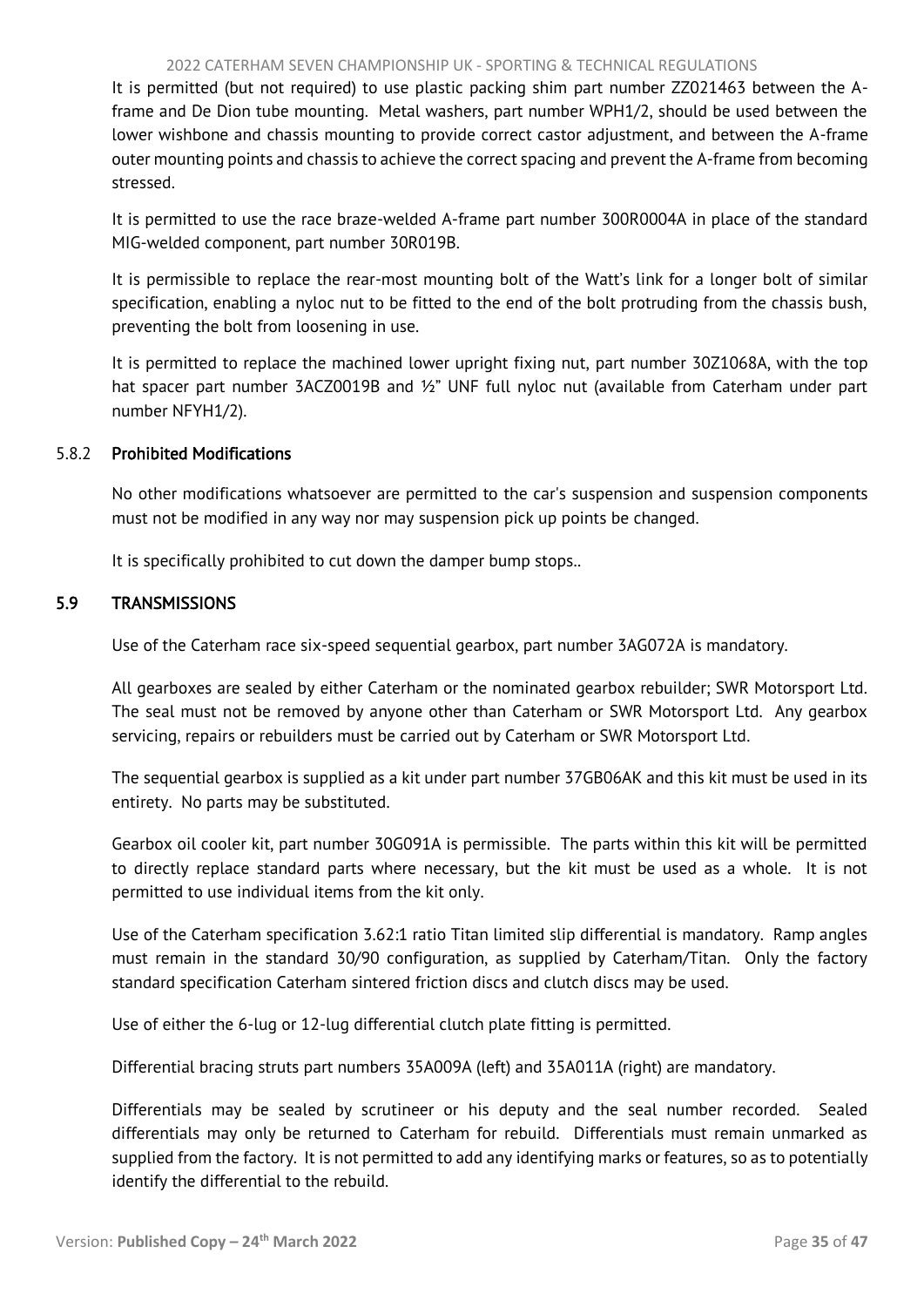#### 2022 CATERHAM SEVEN CHAMPIONSHIP UK - SPORTING & TECHNICAL REGULATIONS

<span id="page-35-1"></span>It is permitted (but not required) to use plastic packing shim part number ZZ021463 between the Aframe and De Dion tube mounting. Metal washers, part number WPH1/2, should be used between the lower wishbone and chassis mounting to provide correct castor adjustment, and between the A-frame outer mounting points and chassis to achieve the correct spacing and prevent the A-frame from becoming stressed.

It is permitted to use the race braze-welded A-frame part number 300R0004A in place of the standard MIG-welded component, part number 30R019B.

It is permissible to replace the rear-most mounting bolt of the Watt's link for a longer bolt of similar specification, enabling a nyloc nut to be fitted to the end of the bolt protruding from the chassis bush, preventing the bolt from loosening in use.

It is permitted to replace the machined lower upright fixing nut, part number 30Z1068A, with the top hat spacer part number 3ACZ0019B and ½" UNF full nyloc nut (available from Caterham under part number NFYH1/2).

#### 5.8.2 Prohibited Modifications

No other modifications whatsoever are permitted to the car's suspension and suspension components must not be modified in any way nor may suspension pick up points be changed.

It is specifically prohibited to cut down the damper bump stops..

## <span id="page-35-0"></span>5.9 TRANSMISSIONS

Use of the Caterham race six-speed sequential gearbox, part number 3AG072A is mandatory.

All gearboxes are sealed by either Caterham or the nominated gearbox rebuilder; SWR Motorsport Ltd. The seal must not be removed by anyone other than Caterham or SWR Motorsport Ltd. Any gearbox servicing, repairs or rebuilders must be carried out by Caterham or SWR Motorsport Ltd.

The sequential gearbox is supplied as a kit under part number 37GB06AK and this kit must be used in its entirety. No parts may be substituted.

Gearbox oil cooler kit, part number 30G091A is permissible. The parts within this kit will be permitted to directly replace standard parts where necessary, but the kit must be used as a whole. It is not permitted to use individual items from the kit only.

Use of the Caterham specification 3.62:1 ratio Titan limited slip differential is mandatory. Ramp angles must remain in the standard 30/90 configuration, as supplied by Caterham/Titan. Only the factory standard specification Caterham sintered friction discs and clutch discs may be used.

Use of either the 6-lug or 12-lug differential clutch plate fitting is permitted.

Differential bracing struts part numbers 35A009A (left) and 35A011A (right) are mandatory.

Differentials may be sealed by scrutineer or his deputy and the seal number recorded. Sealed differentials may only be returned to Caterham for rebuild. Differentials must remain unmarked as supplied from the factory. It is not permitted to add any identifying marks or features, so as to potentially identify the differential to the rebuild.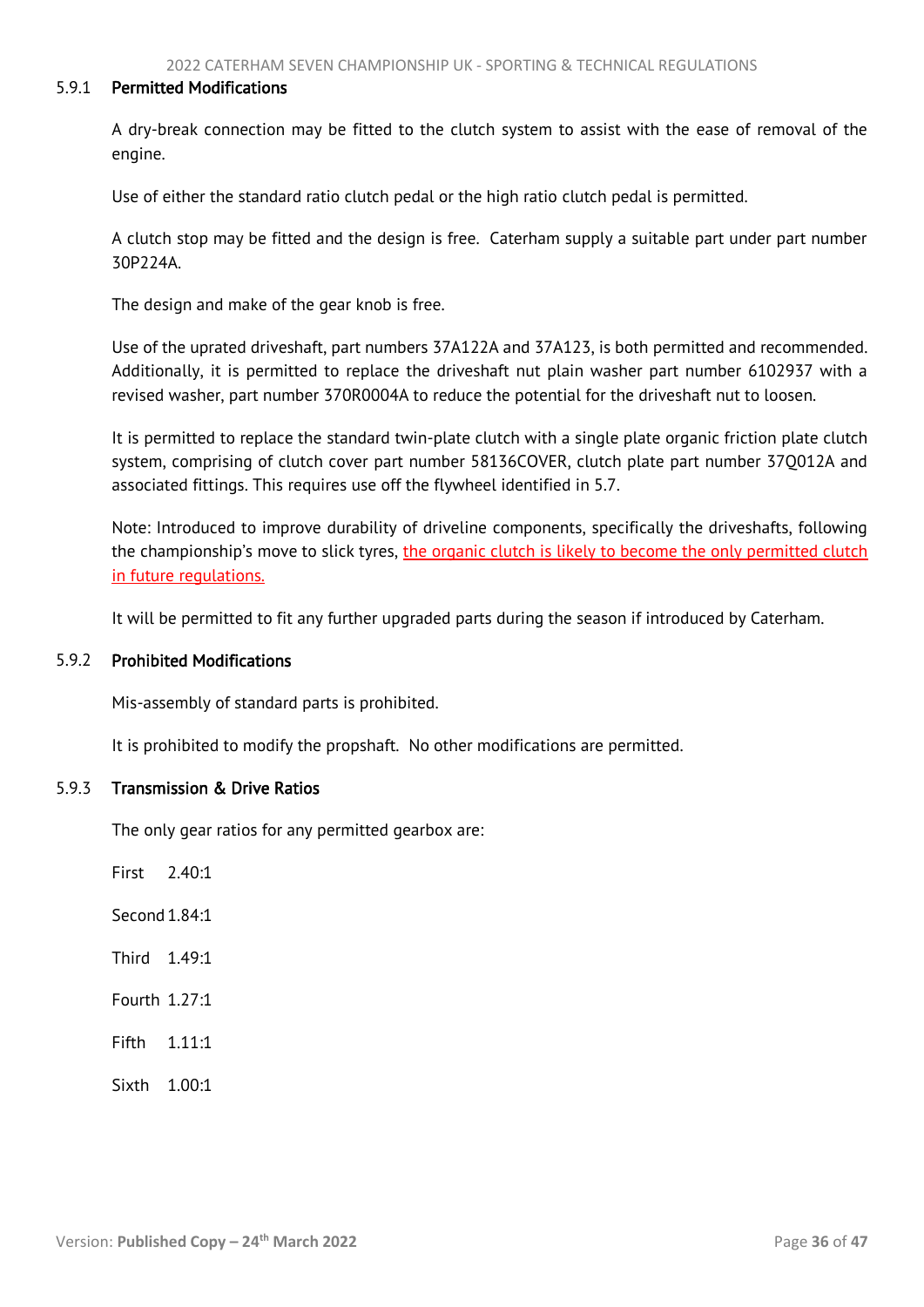#### 5.9.1 Permitted Modifications

A dry-break connection may be fitted to the clutch system to assist with the ease of removal of the engine.

Use of either the standard ratio clutch pedal or the high ratio clutch pedal is permitted.

A clutch stop may be fitted and the design is free. Caterham supply a suitable part under part number 30P224A.

The design and make of the gear knob is free.

Use of the uprated driveshaft, part numbers 37A122A and 37A123, is both permitted and recommended. Additionally, it is permitted to replace the driveshaft nut plain washer part number 6102937 with a revised washer, part number 370R0004A to reduce the potential for the driveshaft nut to loosen.

It is permitted to replace the standard twin-plate clutch with a single plate organic friction plate clutch system, comprising of clutch cover part number 58136COVER, clutch plate part number 37Q012A and associated fittings. This requires use off the flywheel identified in 5.7.

Note: Introduced to improve durability of driveline components, specifically the driveshafts, following the championship's move to slick tyres, the organic clutch is likely to become the only permitted clutch in future regulations.

It will be permitted to fit any further upgraded parts during the season if introduced by Caterham.

#### 5.9.2 Prohibited Modifications

Mis-assembly of standard parts is prohibited.

It is prohibited to modify the propshaft. No other modifications are permitted.

#### 5.9.3 Transmission & Drive Ratios

The only gear ratios for any permitted gearbox are:

First  $7.40 \cdot 1$ 

Second 1.84:1

Third 1.49:1

Fourth 1.27:1

Fifth 1.11:1

Sixth 1.00:1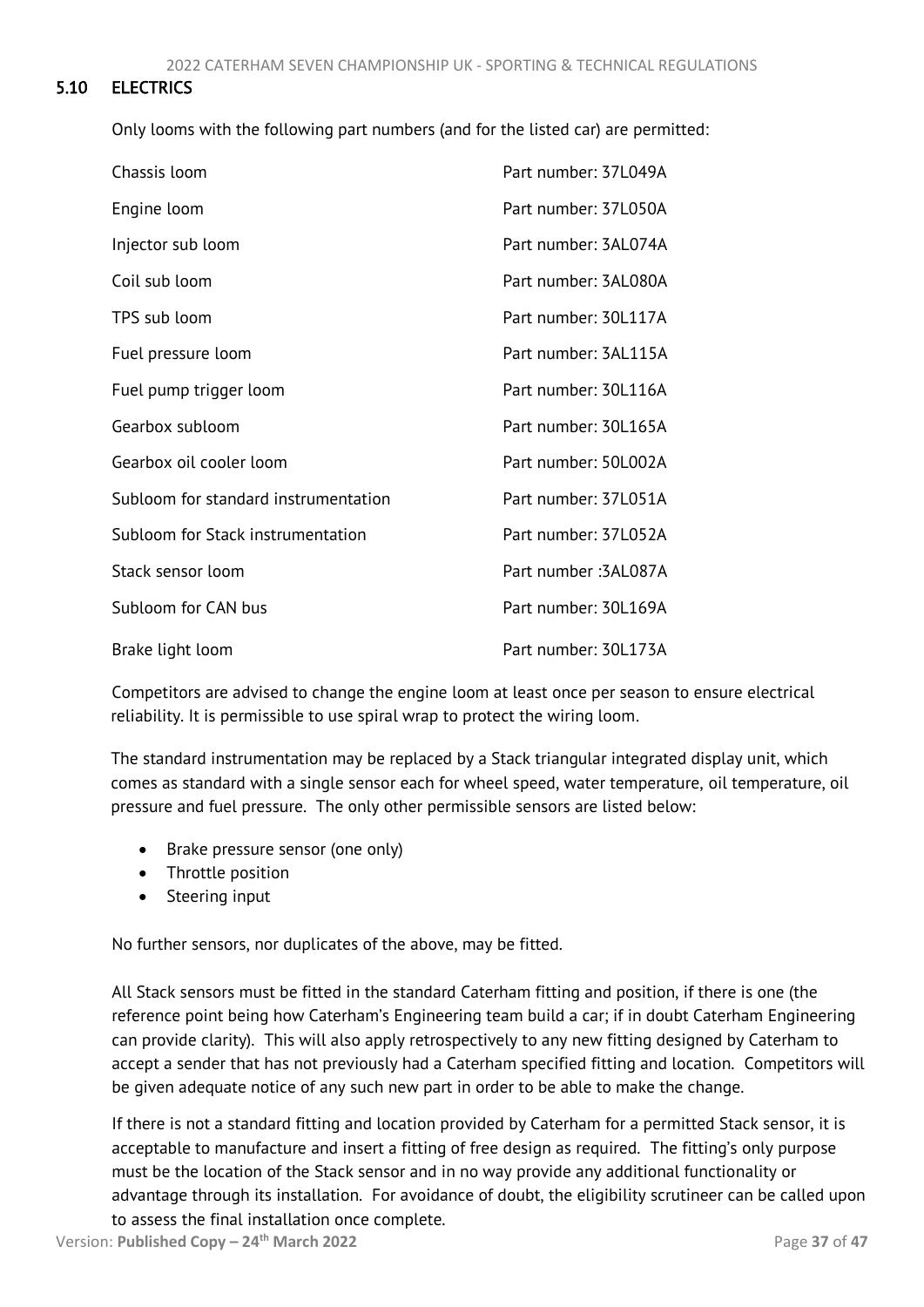# <span id="page-37-1"></span>5.10 ELECTRICS

<span id="page-37-0"></span>Only looms with the following part numbers (and for the listed car) are permitted:

| Chassis Ioom                         | Part number: 37L049A |
|--------------------------------------|----------------------|
| Engine loom                          | Part number: 37L050A |
| Injector sub loom                    | Part number: 3AL074A |
| Coil sub loom                        | Part number: 3AL080A |
| TPS sub loom                         | Part number: 30L117A |
| Fuel pressure loom                   | Part number: 3AL115A |
| Fuel pump trigger loom               | Part number: 30L116A |
| Gearbox subloom                      | Part number: 30L165A |
| Gearbox oil cooler loom              | Part number: 50L002A |
| Subloom for standard instrumentation | Part number: 37L051A |
| Subloom for Stack instrumentation    | Part number: 37L052A |
| Stack sensor loom                    | Part number: 3AL087A |
| Subloom for CAN bus                  | Part number: 30L169A |
| Brake light loom                     | Part number: 30L173A |

Competitors are advised to change the engine loom at least once per season to ensure electrical reliability. It is permissible to use spiral wrap to protect the wiring loom.

The standard instrumentation may be replaced by a Stack triangular integrated display unit, which comes as standard with a single sensor each for wheel speed, water temperature, oil temperature, oil pressure and fuel pressure. The only other permissible sensors are listed below:

- Brake pressure sensor (one only)
- Throttle position
- Steering input

No further sensors, nor duplicates of the above, may be fitted.

All Stack sensors must be fitted in the standard Caterham fitting and position, if there is one (the reference point being how Caterham's Engineering team build a car; if in doubt Caterham Engineering can provide clarity). This will also apply retrospectively to any new fitting designed by Caterham to accept a sender that has not previously had a Caterham specified fitting and location. Competitors will be given adequate notice of any such new part in order to be able to make the change.

If there is not a standard fitting and location provided by Caterham for a permitted Stack sensor, it is acceptable to manufacture and insert a fitting of free design as required. The fitting's only purpose must be the location of the Stack sensor and in no way provide any additional functionality or advantage through its installation. For avoidance of doubt, the eligibility scrutineer can be called upon to assess the final installation once complete.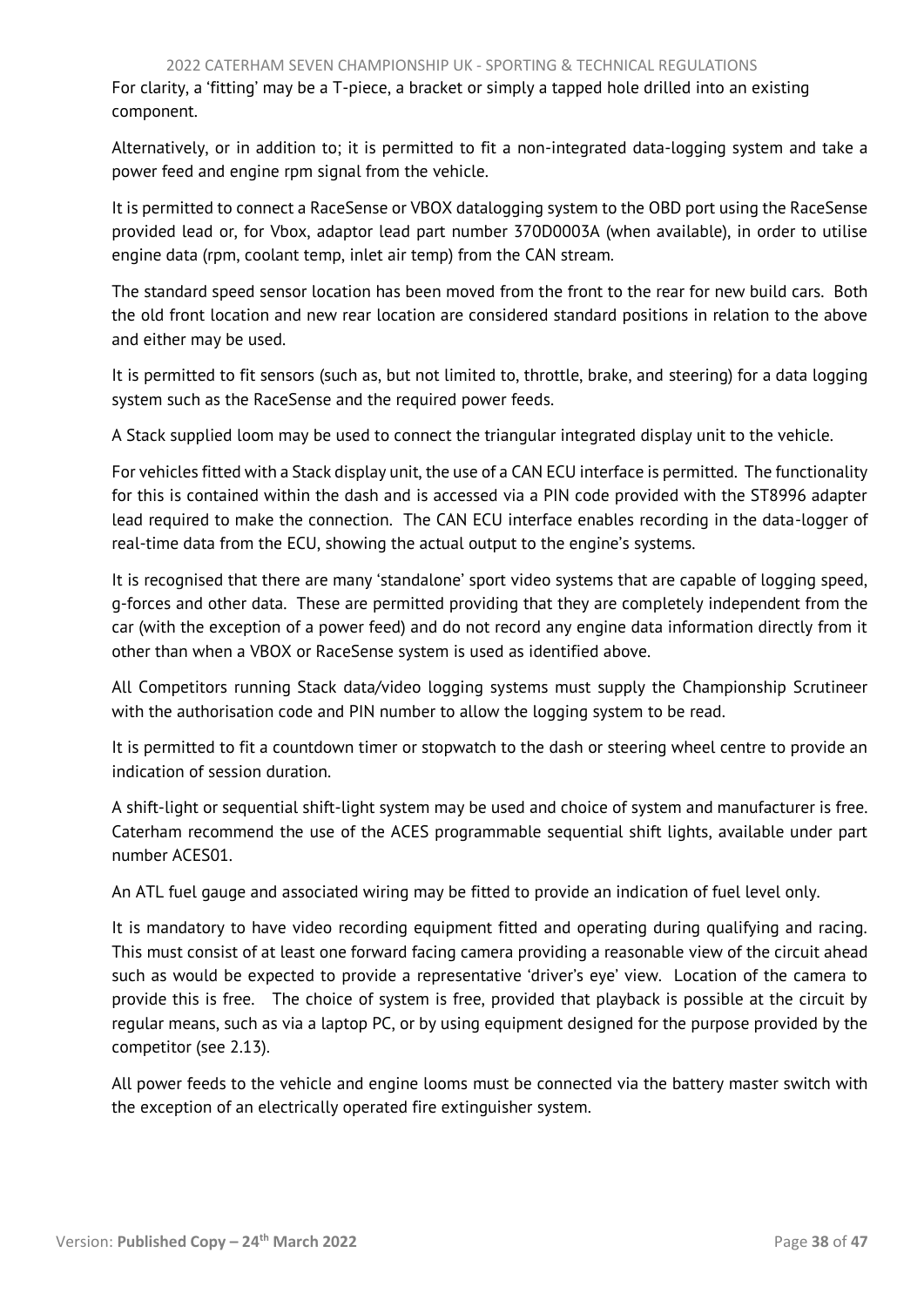For clarity, a 'fitting' may be a T-piece, a bracket or simply a tapped hole drilled into an existing component.

Alternatively, or in addition to; it is permitted to fit a non-integrated data-logging system and take a power feed and engine rpm signal from the vehicle.

It is permitted to connect a RaceSense or VBOX datalogging system to the OBD port using the RaceSense provided lead or, for Vbox, adaptor lead part number 370D0003A (when available), in order to utilise engine data (rpm, coolant temp, inlet air temp) from the CAN stream.

The standard speed sensor location has been moved from the front to the rear for new build cars. Both the old front location and new rear location are considered standard positions in relation to the above and either may be used.

It is permitted to fit sensors (such as, but not limited to, throttle, brake, and steering) for a data logging system such as the RaceSense and the required power feeds.

A Stack supplied loom may be used to connect the triangular integrated display unit to the vehicle.

For vehicles fitted with a Stack display unit, the use of a CAN ECU interface is permitted. The functionality for this is contained within the dash and is accessed via a PIN code provided with the ST8996 adapter lead required to make the connection. The CAN ECU interface enables recording in the data-logger of real-time data from the ECU, showing the actual output to the engine's systems.

It is recognised that there are many 'standalone' sport video systems that are capable of logging speed, g-forces and other data. These are permitted providing that they are completely independent from the car (with the exception of a power feed) and do not record any engine data information directly from it other than when a VBOX or RaceSense system is used as identified above.

All Competitors running Stack data/video logging systems must supply the Championship Scrutineer with the authorisation code and PIN number to allow the logging system to be read.

It is permitted to fit a countdown timer or stopwatch to the dash or steering wheel centre to provide an indication of session duration.

A shift-light or sequential shift-light system may be used and choice of system and manufacturer is free. Caterham recommend the use of the ACES programmable sequential shift lights, available under part number ACES01.

An ATL fuel gauge and associated wiring may be fitted to provide an indication of fuel level only.

It is mandatory to have video recording equipment fitted and operating during qualifying and racing. This must consist of at least one forward facing camera providing a reasonable view of the circuit ahead such as would be expected to provide a representative 'driver's eye' view. Location of the camera to provide this is free. The choice of system is free, provided that playback is possible at the circuit by regular means, such as via a laptop PC, or by using equipment designed for the purpose provided by the competitor (see 2.13).

All power feeds to the vehicle and engine looms must be connected via the battery master switch with the exception of an electrically operated fire extinguisher system.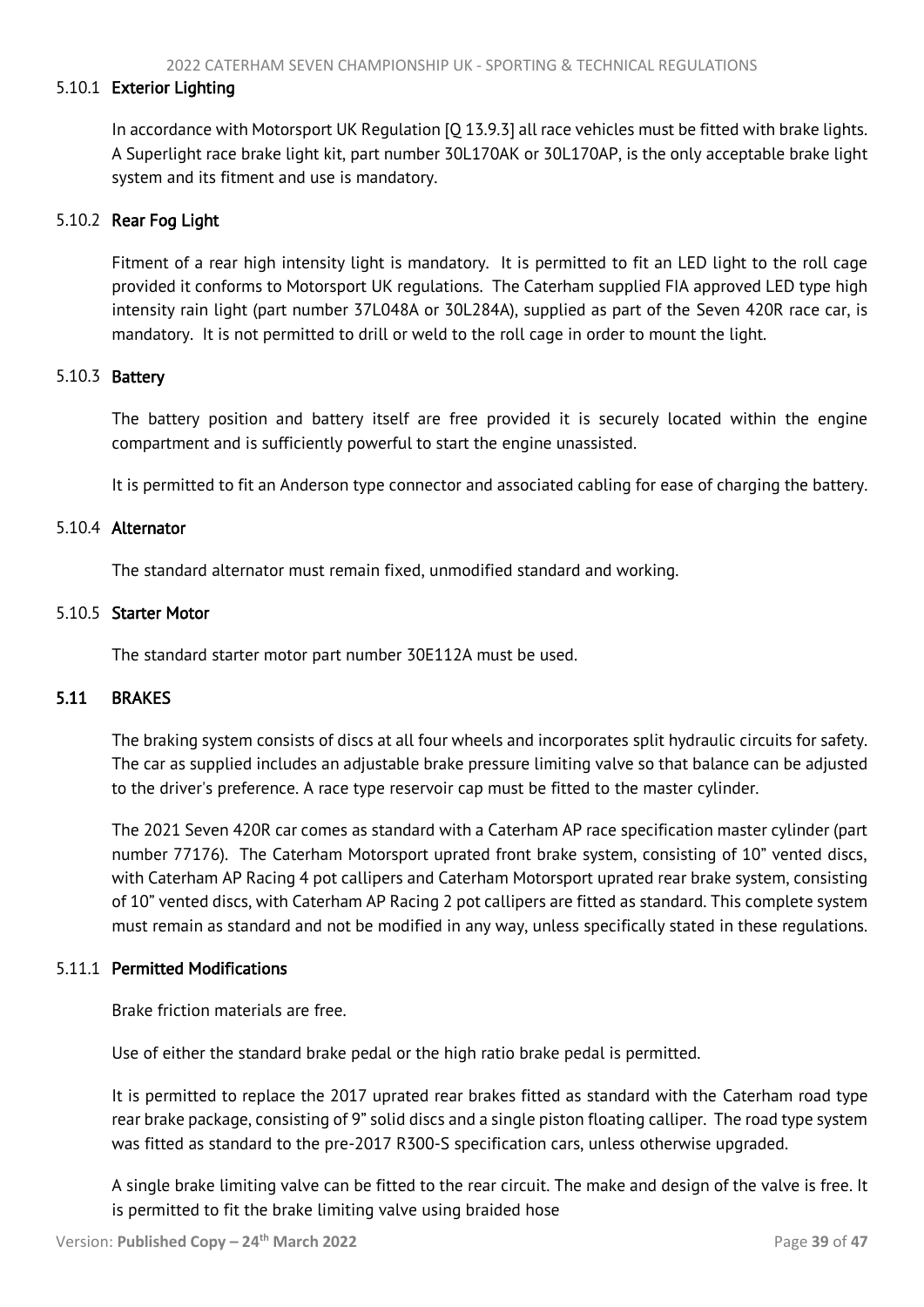## <span id="page-39-1"></span>5.10.1 Exterior Lighting

In accordance with Motorsport UK Regulation [Q 13.9.3] all race vehicles must be fitted with brake lights. A Superlight race brake light kit, part number 30L170AK or 30L170AP, is the only acceptable brake light system and its fitment and use is mandatory.

## 5.10.2 Rear Fog Light

Fitment of a rear high intensity light is mandatory. It is permitted to fit an LED light to the roll cage provided it conforms to Motorsport UK regulations. The Caterham supplied FIA approved LED type high intensity rain light (part number 37L048A or 30L284A), supplied as part of the Seven 420R race car, is mandatory. It is not permitted to drill or weld to the roll cage in order to mount the light.

#### 5.10.3 Battery

The battery position and battery itself are free provided it is securely located within the engine compartment and is sufficiently powerful to start the engine unassisted.

It is permitted to fit an Anderson type connector and associated cabling for ease of charging the battery.

#### 5.10.4 Alternator

The standard alternator must remain fixed, unmodified standard and working.

#### 5.10.5 Starter Motor

<span id="page-39-0"></span>The standard starter motor part number 30E112A must be used.

## 5.11 BRAKES

The braking system consists of discs at all four wheels and incorporates split hydraulic circuits for safety. The car as supplied includes an adjustable brake pressure limiting valve so that balance can be adjusted to the driver's preference. A race type reservoir cap must be fitted to the master cylinder.

The 2021 Seven 420R car comes as standard with a Caterham AP race specification master cylinder (part number 77176). The Caterham Motorsport uprated front brake system, consisting of 10" vented discs, with Caterham AP Racing 4 pot callipers and Caterham Motorsport uprated rear brake system, consisting of 10" vented discs, with Caterham AP Racing 2 pot callipers are fitted as standard. This complete system must remain as standard and not be modified in any way, unless specifically stated in these regulations.

#### 5.11.1 Permitted Modifications

Brake friction materials are free.

Use of either the standard brake pedal or the high ratio brake pedal is permitted.

It is permitted to replace the 2017 uprated rear brakes fitted as standard with the Caterham road type rear brake package, consisting of 9" solid discs and a single piston floating calliper. The road type system was fitted as standard to the pre-2017 R300-S specification cars, unless otherwise upgraded.

A single brake limiting valve can be fitted to the rear circuit. The make and design of the valve is free. It is permitted to fit the brake limiting valve using braided hose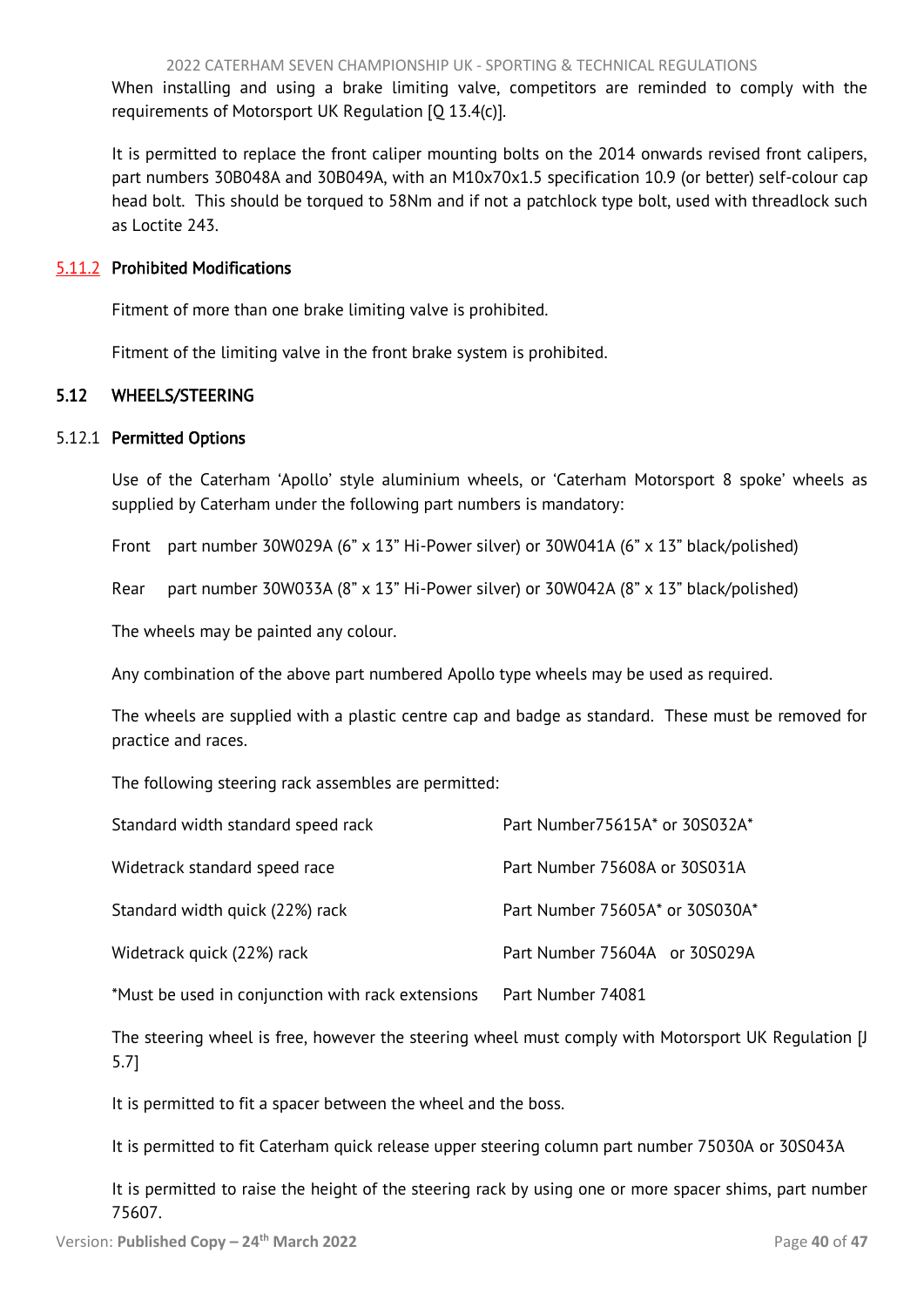<span id="page-40-1"></span>When installing and using a brake limiting valve, competitors are reminded to comply with the requirements of Motorsport UK Regulation [Q 13.4(c)].

It is permitted to replace the front caliper mounting bolts on the 2014 onwards revised front calipers, part numbers 30B048A and 30B049A, with an M10x70x1.5 specification 10.9 (or better) self-colour cap head bolt. This should be torqued to 58Nm and if not a patchlock type bolt, used with threadlock such as Loctite 243.

## 5.11.2 Prohibited Modifications

Fitment of more than one brake limiting valve is prohibited.

<span id="page-40-0"></span>Fitment of the limiting valve in the front brake system is prohibited.

# 5.12 WHEELS/STEERING

## 5.12.1 Permitted Options

Use of the Caterham 'Apollo' style aluminium wheels, or 'Caterham Motorsport 8 spoke' wheels as supplied by Caterham under the following part numbers is mandatory:

Front part number 30W029A (6" x 13" Hi-Power silver) or 30W041A (6" x 13" black/polished)

Rear part number 30W033A (8"  $\times$  13" Hi-Power silver) or 30W042A (8"  $\times$  13" black/polished)

The wheels may be painted any colour.

Any combination of the above part numbered Apollo type wheels may be used as required.

The wheels are supplied with a plastic centre cap and badge as standard. These must be removed for practice and races.

The following steering rack assembles are permitted:

| Standard width standard speed rack                | Part Number75615A* or 30S032A*  |
|---------------------------------------------------|---------------------------------|
| Widetrack standard speed race                     | Part Number 75608A or 30S031A   |
| Standard width quick (22%) rack                   | Part Number 75605A* or 30S030A* |
| Widetrack quick (22%) rack                        | Part Number 75604A or 30S029A   |
| *Must be used in conjunction with rack extensions | Part Number 74081               |

The steering wheel is free, however the steering wheel must comply with Motorsport UK Regulation [J 5.7]

It is permitted to fit a spacer between the wheel and the boss.

It is permitted to fit Caterham quick release upper steering column part number 75030A or 30S043A

It is permitted to raise the height of the steering rack by using one or more spacer shims, part number 75607.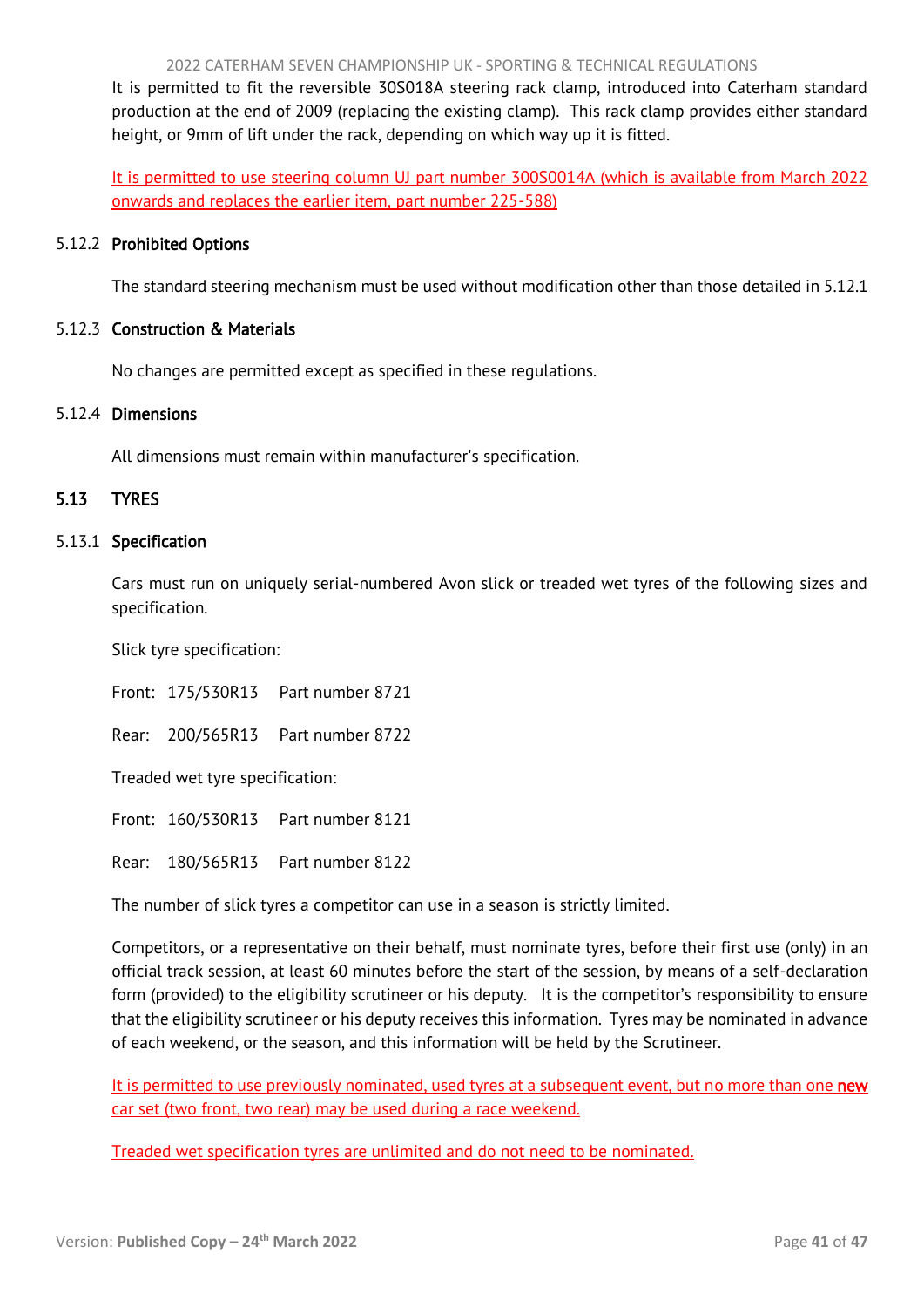2022 CATERHAM SEVEN CHAMPIONSHIP UK - SPORTING & TECHNICAL REGULATIONS

<span id="page-41-1"></span>It is permitted to fit the reversible 30S018A steering rack clamp, introduced into Caterham standard production at the end of 2009 (replacing the existing clamp). This rack clamp provides either standard height, or 9mm of lift under the rack, depending on which way up it is fitted.

It is permitted to use steering column UJ part number 300S0014A (which is available from March 2022 onwards and replaces the earlier item, part number 225-588)

## 5.12.2 Prohibited Options

The standard steering mechanism must be used without modification other than those detailed in 5.12.1

## 5.12.3 Construction & Materials

No changes are permitted except as specified in these regulations.

#### 5.12.4 Dimensions

<span id="page-41-0"></span>All dimensions must remain within manufacturer's specification.

## 5.13 TYRES

#### 5.13.1 Specification

Cars must run on uniquely serial-numbered Avon slick or treaded wet tyres of the following sizes and specification.

Slick tyre specification:

Front: 175/530R13 Part number 8721

Rear: 200/565R13 Part number 8722

Treaded wet tyre specification:

Front: 160/530R13 Part number 8121

Rear: 180/565R13 Part number 8122

The number of slick tyres a competitor can use in a season is strictly limited.

Competitors, or a representative on their behalf, must nominate tyres, before their first use (only) in an official track session, at least 60 minutes before the start of the session, by means of a self-declaration form (provided) to the eligibility scrutineer or his deputy. It is the competitor's responsibility to ensure that the eligibility scrutineer or his deputy receives this information. Tyres may be nominated in advance of each weekend, or the season, and this information will be held by the Scrutineer.

It is permitted to use previously nominated, used tyres at a subsequent event, but no more than one new car set (two front, two rear) may be used during a race weekend.

Treaded wet specification tyres are unlimited and do not need to be nominated.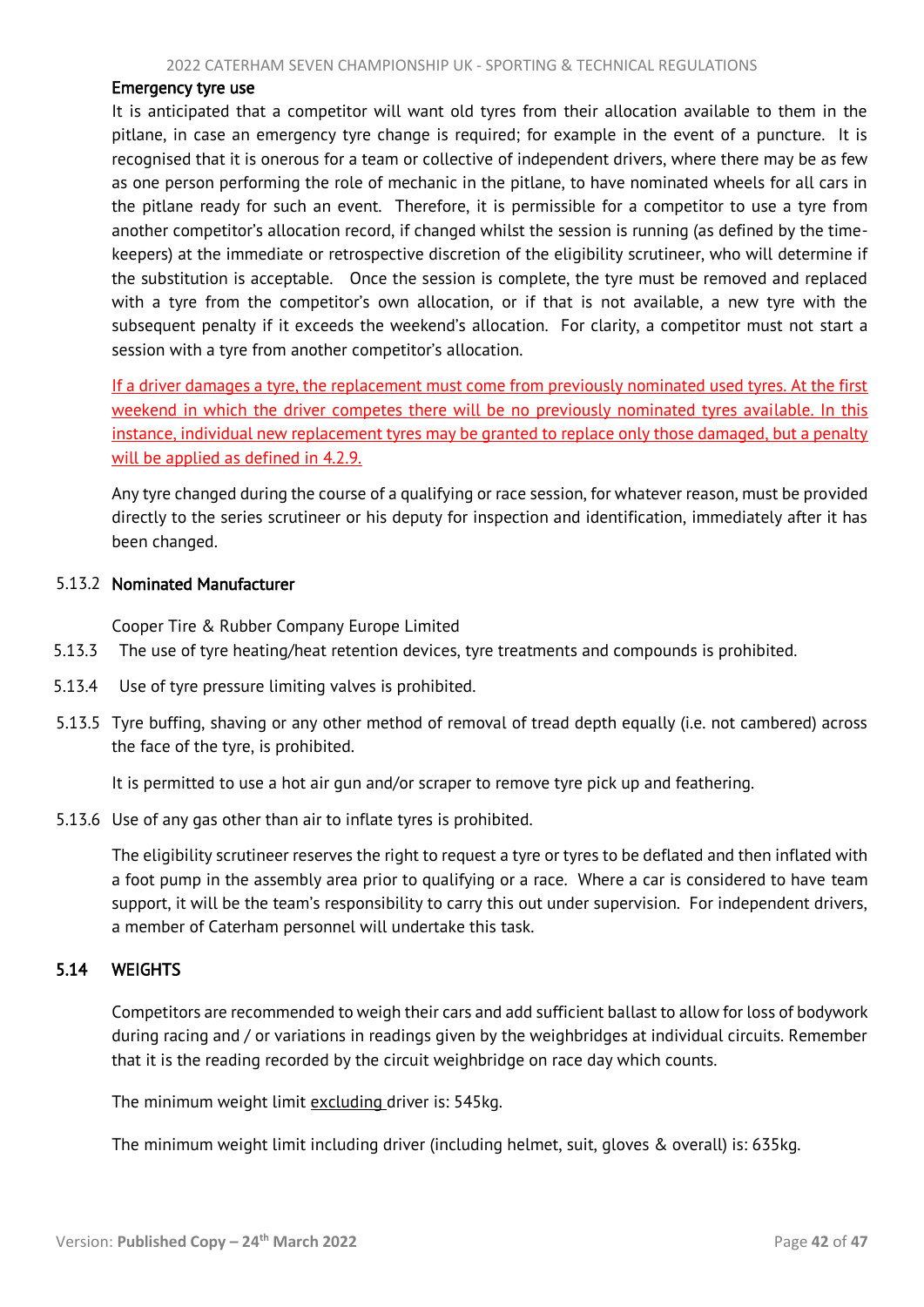#### <span id="page-42-1"></span>Emergency tyre use

It is anticipated that a competitor will want old tyres from their allocation available to them in the pitlane, in case an emergency tyre change is required; for example in the event of a puncture. It is recognised that it is onerous for a team or collective of independent drivers, where there may be as few as one person performing the role of mechanic in the pitlane, to have nominated wheels for all cars in the pitlane ready for such an event. Therefore, it is permissible for a competitor to use a tyre from another competitor's allocation record, if changed whilst the session is running (as defined by the timekeepers) at the immediate or retrospective discretion of the eligibility scrutineer, who will determine if the substitution is acceptable. Once the session is complete, the tyre must be removed and replaced with a tyre from the competitor's own allocation, or if that is not available, a new tyre with the subsequent penalty if it exceeds the weekend's allocation. For clarity, a competitor must not start a session with a tyre from another competitor's allocation.

If a driver damages a tyre, the replacement must come from previously nominated used tyres. At the first weekend in which the driver competes there will be no previously nominated tyres available. In this instance, individual new replacement tyres may be granted to replace only those damaged, but a penalty will be applied as defined in 4.2.9.

Any tyre changed during the course of a qualifying or race session, for whatever reason, must be provided directly to the series scrutineer or his deputy for inspection and identification, immediately after it has been changed.

#### 5.13.2 Nominated Manufacturer

Cooper Tire & Rubber Company Europe Limited

- 5.13.3 The use of tyre heating/heat retention devices, tyre treatments and compounds is prohibited.
- 5.13.4 Use of tyre pressure limiting valves is prohibited.
- 5.13.5 Tyre buffing, shaving or any other method of removal of tread depth equally (i.e. not cambered) across the face of the tyre, is prohibited.

It is permitted to use a hot air gun and/or scraper to remove tyre pick up and feathering.

5.13.6 Use of any gas other than air to inflate tyres is prohibited.

The eligibility scrutineer reserves the right to request a tyre or tyres to be deflated and then inflated with a foot pump in the assembly area prior to qualifying or a race. Where a car is considered to have team support, it will be the team's responsibility to carry this out under supervision. For independent drivers, a member of Caterham personnel will undertake this task.

# 5.14 WEIGHTS

<span id="page-42-0"></span>Competitors are recommended to weigh their cars and add sufficient ballast to allow for loss of bodywork during racing and / or variations in readings given by the weighbridges at individual circuits. Remember that it is the reading recorded by the circuit weighbridge on race day which counts.

The minimum weight limit excluding driver is: 545kg.

The minimum weight limit including driver (including helmet, suit, gloves & overall) is: 635kg.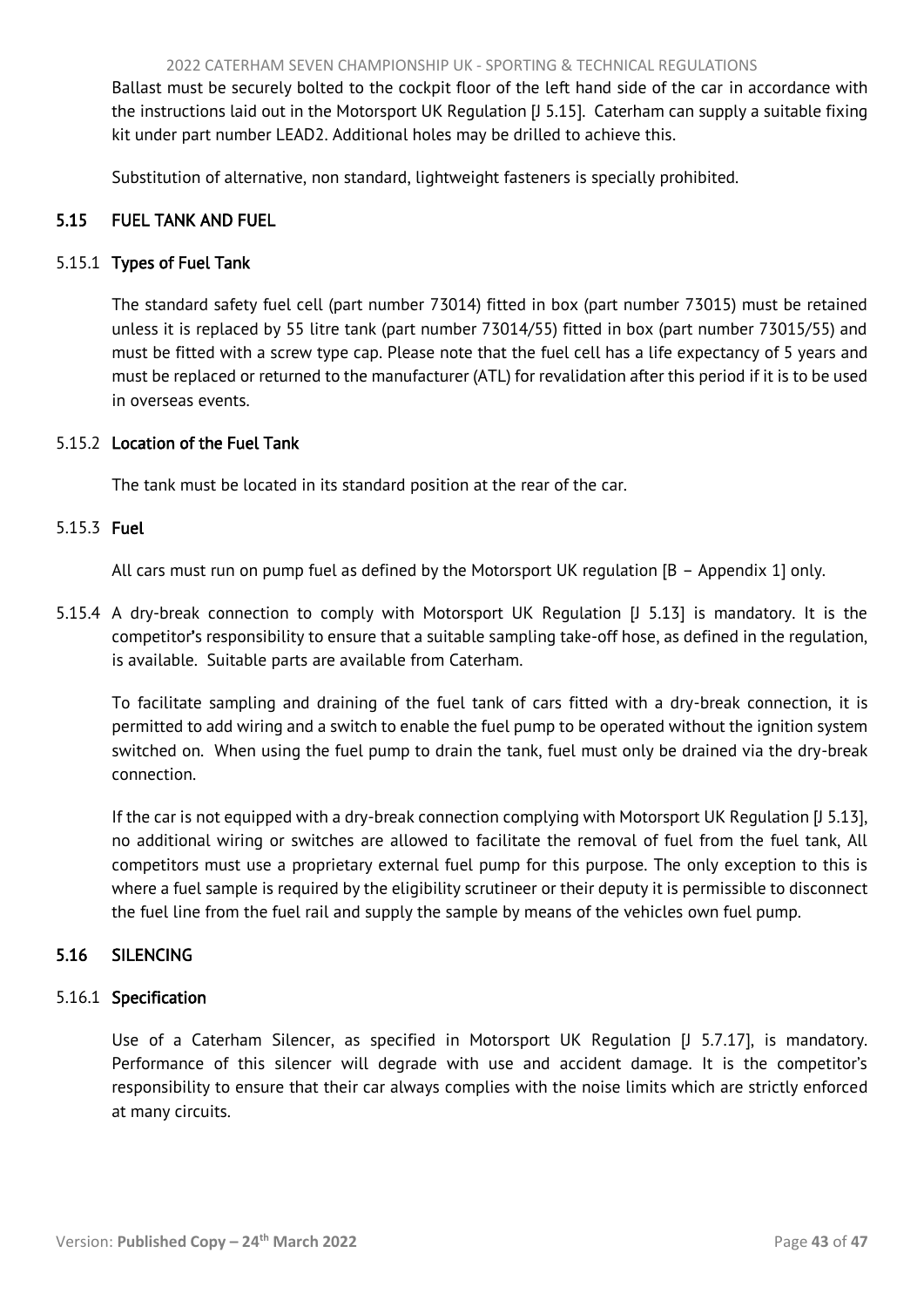<span id="page-43-2"></span>Ballast must be securely bolted to the cockpit floor of the left hand side of the car in accordance with the instructions laid out in the Motorsport UK Regulation [J 5.15]. Caterham can supply a suitable fixing kit under part number LEAD2. Additional holes may be drilled to achieve this.

<span id="page-43-0"></span>Substitution of alternative, non standard, lightweight fasteners is specially prohibited.

# 5.15 FUEL TANK AND FUEL

# 5.15.1 Types of Fuel Tank

The standard safety fuel cell (part number 73014) fitted in box (part number 73015) must be retained unless it is replaced by 55 litre tank (part number 73014/55) fitted in box (part number 73015/55) and must be fitted with a screw type cap. Please note that the fuel cell has a life expectancy of 5 years and must be replaced or returned to the manufacturer (ATL) for revalidation after this period if it is to be used in overseas events.

## 5.15.2 Location of the Fuel Tank

The tank must be located in its standard position at the rear of the car.

#### 5.15.3 Fuel

All cars must run on pump fuel as defined by the Motorsport UK regulation [B – Appendix 1] only.

5.15.4 A dry-break connection to comply with Motorsport UK Regulation [J 5.13] is mandatory. It is the competitor's responsibility to ensure that a suitable sampling take-off hose, as defined in the regulation, is available. Suitable parts are available from Caterham.

To facilitate sampling and draining of the fuel tank of cars fitted with a dry-break connection, it is permitted to add wiring and a switch to enable the fuel pump to be operated without the ignition system switched on. When using the fuel pump to drain the tank, fuel must only be drained via the dry-break connection.

If the car is not equipped with a dry-break connection complying with Motorsport UK Regulation [J 5.13], no additional wiring or switches are allowed to facilitate the removal of fuel from the fuel tank, All competitors must use a proprietary external fuel pump for this purpose. The only exception to this is where a fuel sample is required by the eligibility scrutineer or their deputy it is permissible to disconnect the fuel line from the fuel rail and supply the sample by means of the vehicles own fuel pump.

## <span id="page-43-1"></span>5.16 SILENCING

## 5.16.1 Specification

Use of a Caterham Silencer, as specified in Motorsport UK Regulation [J 5.7.17], is mandatory. Performance of this silencer will degrade with use and accident damage. It is the competitor's responsibility to ensure that their car always complies with the noise limits which are strictly enforced at many circuits.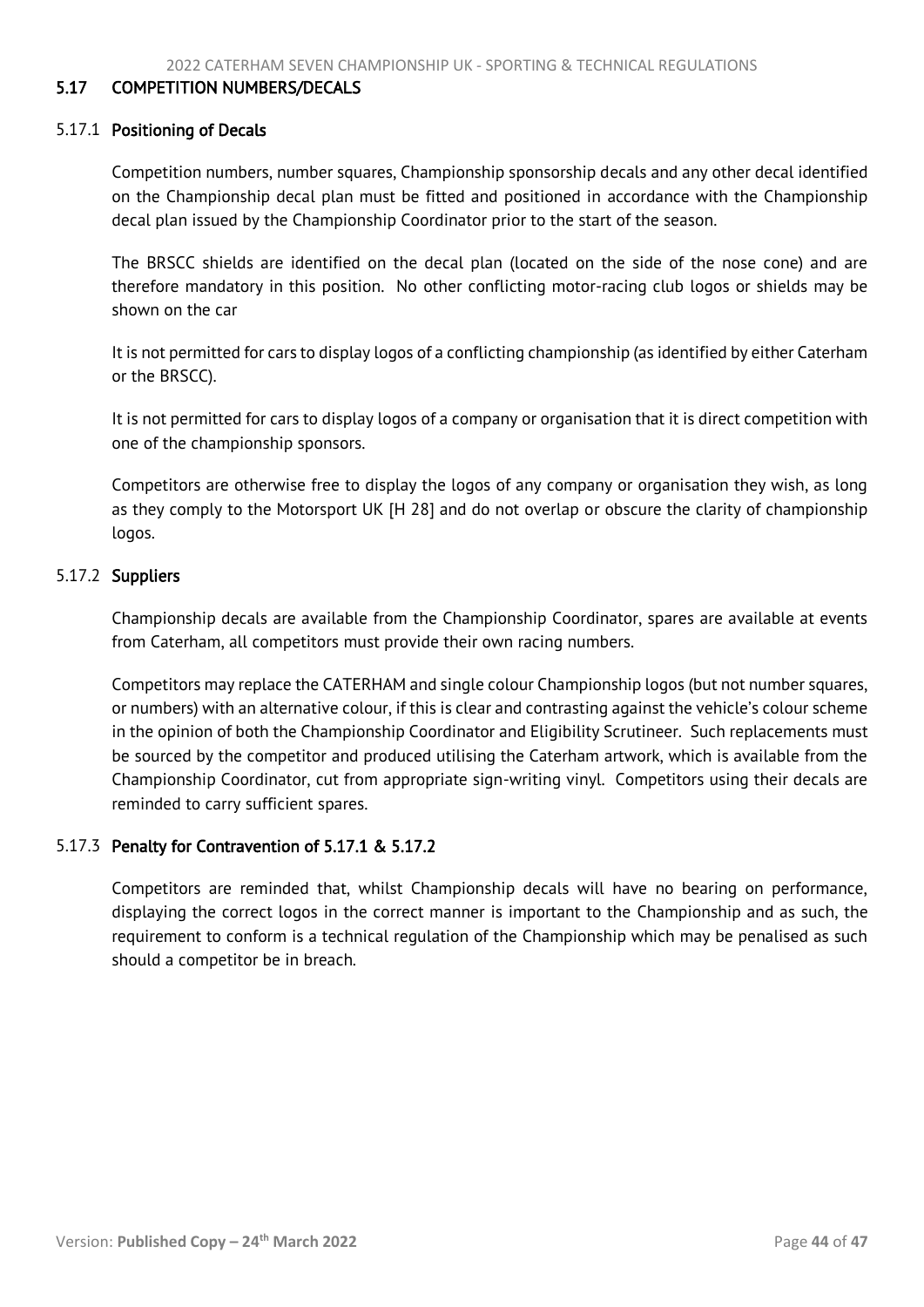#### <span id="page-44-1"></span><span id="page-44-0"></span>5.17 COMPETITION NUMBERS/DECALS

#### 5.17.1 Positioning of Decals

Competition numbers, number squares, Championship sponsorship decals and any other decal identified on the Championship decal plan must be fitted and positioned in accordance with the Championship decal plan issued by the Championship Coordinator prior to the start of the season.

The BRSCC shields are identified on the decal plan (located on the side of the nose cone) and are therefore mandatory in this position. No other conflicting motor-racing club logos or shields may be shown on the car

It is not permitted for cars to display logos of a conflicting championship (as identified by either Caterham or the BRSCC).

It is not permitted for cars to display logos of a company or organisation that it is direct competition with one of the championship sponsors.

Competitors are otherwise free to display the logos of any company or organisation they wish, as long as they comply to the Motorsport UK [H 28] and do not overlap or obscure the clarity of championship logos.

#### 5.17.2 Suppliers

Championship decals are available from the Championship Coordinator, spares are available at events from Caterham, all competitors must provide their own racing numbers.

Competitors may replace the CATERHAM and single colour Championship logos (but not number squares, or numbers) with an alternative colour, if this is clear and contrasting against the vehicle's colour scheme in the opinion of both the Championship Coordinator and Eligibility Scrutineer. Such replacements must be sourced by the competitor and produced utilising the Caterham artwork, which is available from the Championship Coordinator, cut from appropriate sign-writing vinyl. Competitors using their decals are reminded to carry sufficient spares.

## 5.17.3 Penalty for Contravention of 5.17.1 & 5.17.2

Competitors are reminded that, whilst Championship decals will have no bearing on performance, displaying the correct logos in the correct manner is important to the Championship and as such, the requirement to conform is a technical regulation of the Championship which may be penalised as such should a competitor be in breach.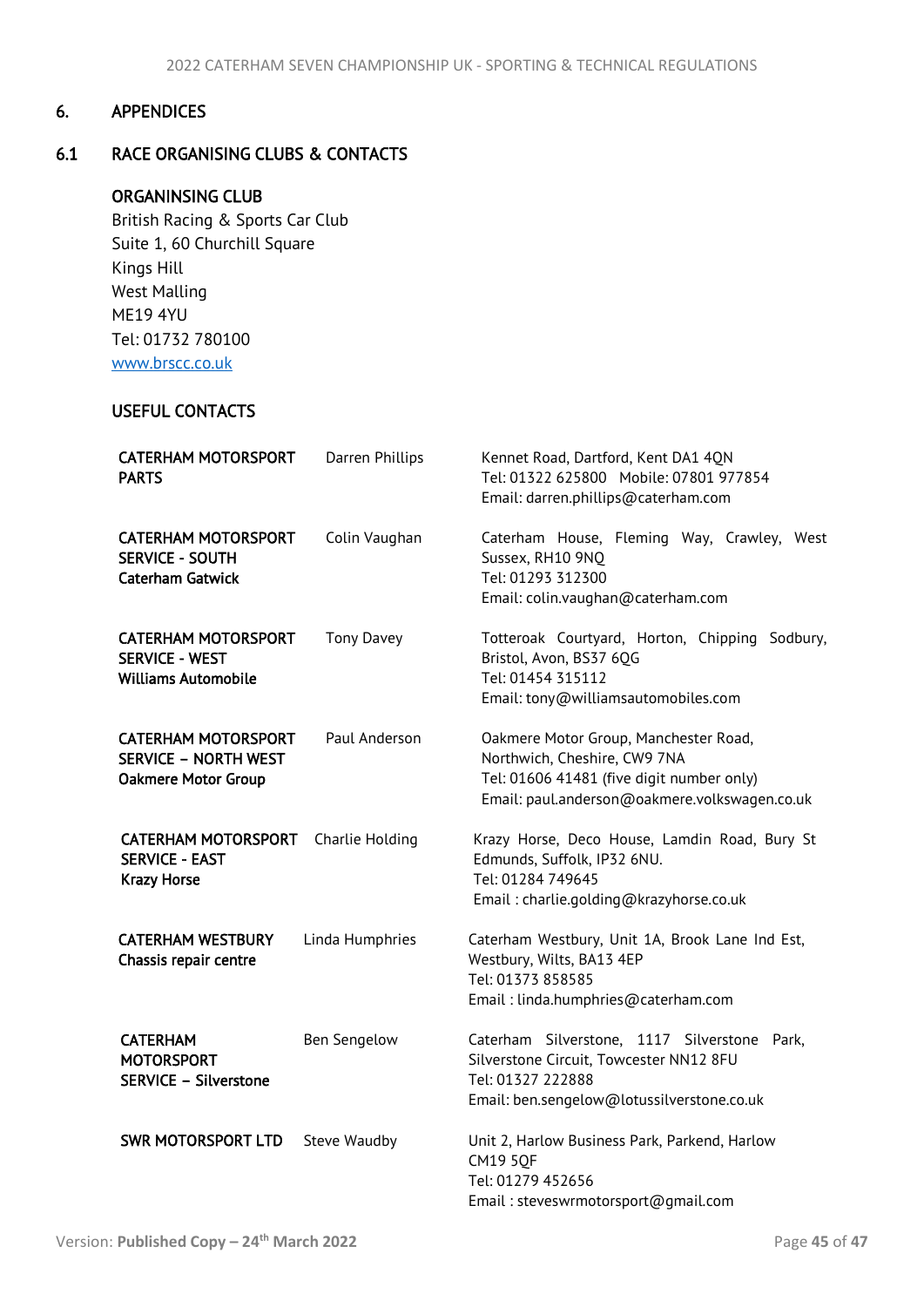# <span id="page-45-2"></span><span id="page-45-0"></span>6. APPENDICES

# <span id="page-45-1"></span>6.1 RACE ORGANISING CLUBS & CONTACTS

# ORGANINSING CLUB

 British Racing & Sports Car Club Suite 1, 60 Churchill Square Kings Hill West Malling ME19 4YU Tel: 01732 780100 [www.brscc.co.uk](http://www.brscc.co.uk/)

# USEFUL CONTACTS

| <b>CATERHAM MOTORSPORT</b><br><b>PARTS</b>                                              | Darren Phillips     | Kennet Road, Dartford, Kent DA1 4QN<br>Tel: 01322 625800 Mobile: 07801 977854<br>Email: darren.phillips@caterham.com                                                |
|-----------------------------------------------------------------------------------------|---------------------|---------------------------------------------------------------------------------------------------------------------------------------------------------------------|
| <b>CATERHAM MOTORSPORT</b><br><b>SERVICE - SOUTH</b><br><b>Caterham Gatwick</b>         | Colin Vaughan       | Caterham House, Fleming Way, Crawley, West<br>Sussex, RH10 9NQ<br>Tel: 01293 312300<br>Email: colin.vaughan@caterham.com                                            |
| <b>CATERHAM MOTORSPORT</b><br><b>SERVICE - WEST</b><br><b>Williams Automobile</b>       | <b>Tony Davey</b>   | Totteroak Courtyard, Horton, Chipping Sodbury,<br>Bristol, Avon, BS37 6QG<br>Tel: 01454 315112<br>Email: tony@williamsautomobiles.com                               |
| <b>CATERHAM MOTORSPORT</b><br><b>SERVICE - NORTH WEST</b><br><b>Oakmere Motor Group</b> | Paul Anderson       | Oakmere Motor Group, Manchester Road,<br>Northwich, Cheshire, CW9 7NA<br>Tel: 01606 41481 (five digit number only)<br>Email: paul.anderson@oakmere.volkswagen.co.uk |
| <b>CATERHAM MOTORSPORT</b><br><b>SERVICE - EAST</b><br><b>Krazy Horse</b>               | Charlie Holding     | Krazy Horse, Deco House, Lamdin Road, Bury St<br>Edmunds, Suffolk, IP32 6NU.<br>Tel: 01284 749645<br>Email: charlie.golding@krazyhorse.co.uk                        |
| <b>CATERHAM WESTBURY</b><br>Chassis repair centre                                       | Linda Humphries     | Caterham Westbury, Unit 1A, Brook Lane Ind Est,<br>Westbury, Wilts, BA13 4EP<br>Tel: 01373 858585<br>Email: linda.humphries@caterham.com                            |
| <b>CATERHAM</b><br><b>MOTORSPORT</b><br><b>SERVICE - Silverstone</b>                    | <b>Ben Sengelow</b> | Caterham Silverstone, 1117 Silverstone<br>Park,<br>Silverstone Circuit, Towcester NN12 8FU<br>Tel: 01327 222888<br>Email: ben.sengelow@lotussilverstone.co.uk       |
| <b>SWR MOTORSPORT LTD</b>                                                               | Steve Waudby        | Unit 2, Harlow Business Park, Parkend, Harlow<br><b>CM19 5OF</b><br>Tel: 01279 452656<br>Email: steveswrmotorsport@gmail.com                                        |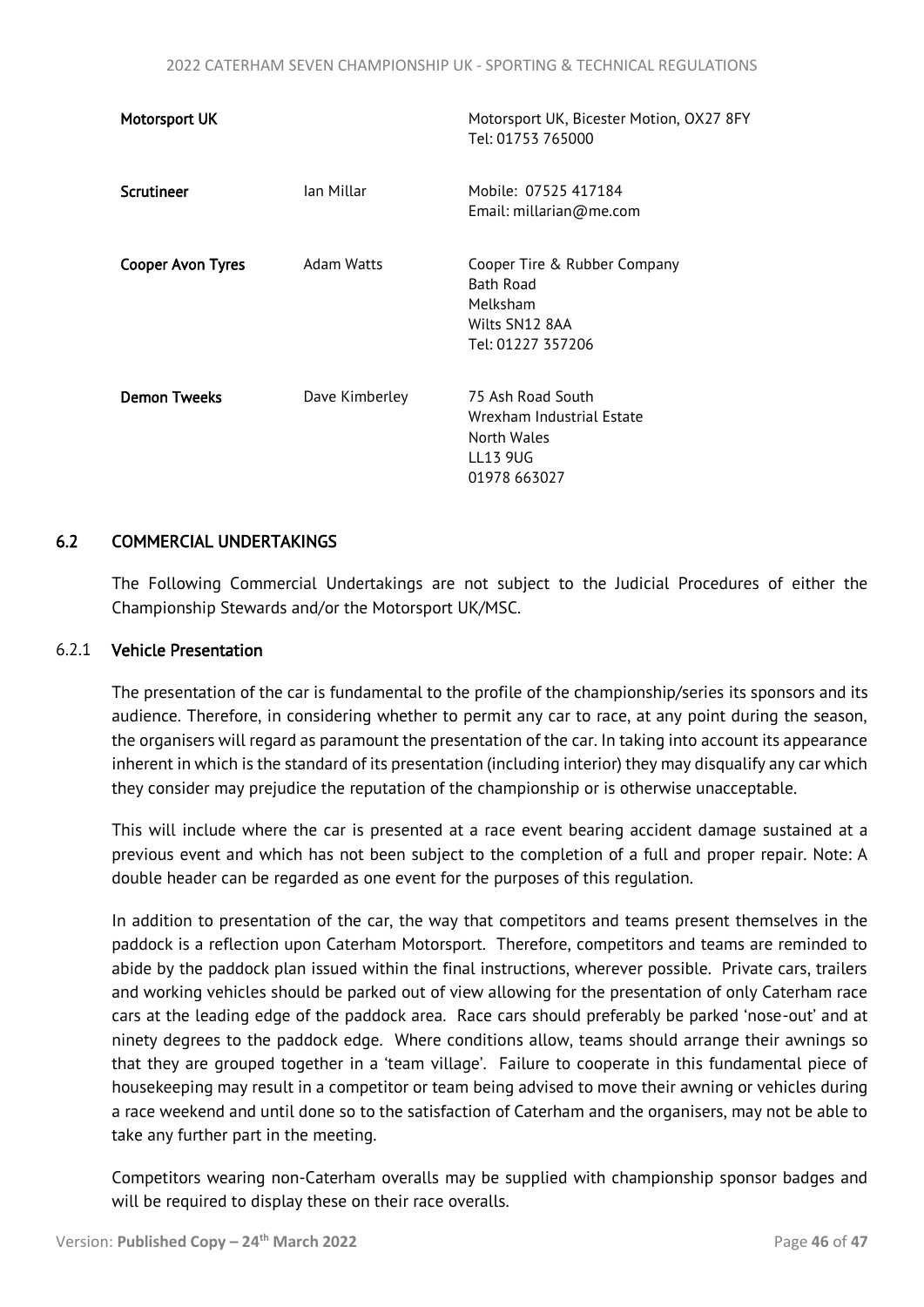<span id="page-46-1"></span>

| Motorsport UK            |                | Motorsport UK, Bicester Motion, OX27 8FY<br>Tel: 01753 765000                                       |
|--------------------------|----------------|-----------------------------------------------------------------------------------------------------|
| Scrutineer               | lan Millar     | Mobile: 07525 417184<br>Email: millarian@me.com                                                     |
| <b>Cooper Avon Tyres</b> | Adam Watts     | Cooper Tire & Rubber Company<br><b>Bath Road</b><br>Melksham<br>Wilts SN12 8AA<br>Tel: 01227 357206 |
| <b>Demon Tweeks</b>      | Dave Kimberley | 75 Ash Road South<br>Wrexham Industrial Estate<br>North Wales<br>LL13 9UG<br>01978 663027           |

#### <span id="page-46-0"></span>6.2 COMMERCIAL UNDERTAKINGS

The Following Commercial Undertakings are not subject to the Judicial Procedures of either the Championship Stewards and/or the Motorsport UK/MSC.

#### 6.2.1 Vehicle Presentation

The presentation of the car is fundamental to the profile of the championship/series its sponsors and its audience. Therefore, in considering whether to permit any car to race, at any point during the season, the organisers will regard as paramount the presentation of the car. In taking into account its appearance inherent in which is the standard of its presentation (including interior) they may disqualify any car which they consider may prejudice the reputation of the championship or is otherwise unacceptable.

This will include where the car is presented at a race event bearing accident damage sustained at a previous event and which has not been subject to the completion of a full and proper repair. Note: A double header can be regarded as one event for the purposes of this regulation.

In addition to presentation of the car, the way that competitors and teams present themselves in the paddock is a reflection upon Caterham Motorsport. Therefore, competitors and teams are reminded to abide by the paddock plan issued within the final instructions, wherever possible. Private cars, trailers and working vehicles should be parked out of view allowing for the presentation of only Caterham race cars at the leading edge of the paddock area. Race cars should preferably be parked 'nose-out' and at ninety degrees to the paddock edge. Where conditions allow, teams should arrange their awnings so that they are grouped together in a 'team village'. Failure to cooperate in this fundamental piece of housekeeping may result in a competitor or team being advised to move their awning or vehicles during a race weekend and until done so to the satisfaction of Caterham and the organisers, may not be able to take any further part in the meeting.

Competitors wearing non-Caterham overalls may be supplied with championship sponsor badges and will be required to display these on their race overalls.